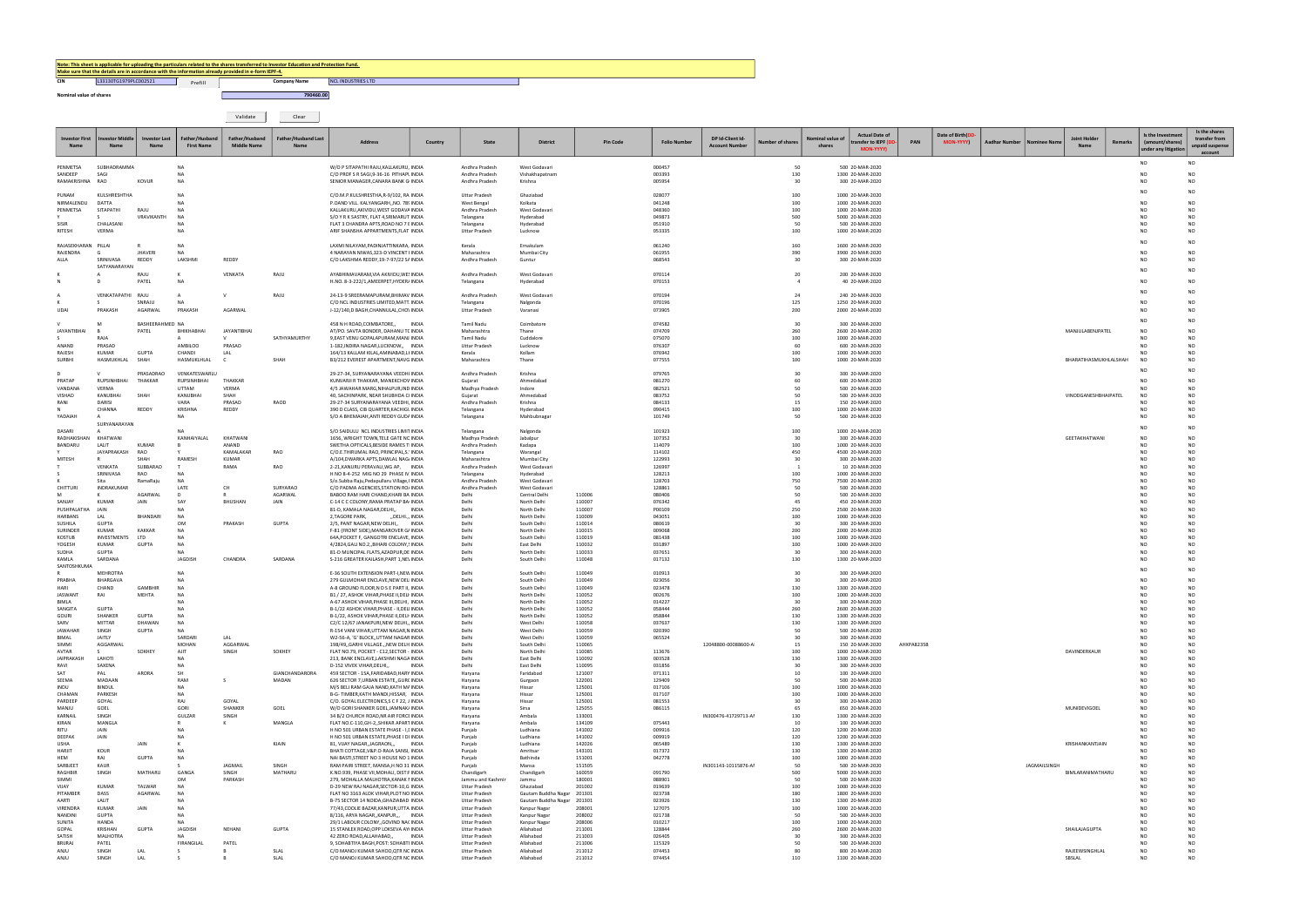## CIN 133130TG1979PLC002521 | Prefill | Detail Company Name Note: This sheet is applicable for uploading the particulars related to the shares transferred to Investor Education and Protection Fund.<br>
<u>Make sure that the details are in accordance with the information already provided</u>

Validate Clear

| <b>Investor First</b><br><b>Name</b> | Name                         | <b>Investor Last</b><br>Name | Father/Husband<br><b>First Name</b> | Father/Husband<br><b>Middle Name</b> | Father/Husband Last<br><b>Name</b> | <b>Address</b>                                                                         | Country | <b>State</b>                                 | <b>District</b>                                          | <b>Pin Code</b>  | <b>Folio Number</b> | DP Id-Client Id-<br><b>Account Number</b> | ber of shares | Nominal value o<br>shares | <b>Actual Date of</b><br>transfer to IEPF (D<br><b>MON-YYYY)</b> | PAN        | Date of Birth(DD<br><b>MON-YYYY)</b> | Aadhar Number | Nominee Nam  | <b>Joint Holder</b><br><b>Name</b> | Remarks | Is the Investment<br>(amount/shares)<br>under any litigation | Is the shares<br>transfer from<br>unpaid suspense<br>account |
|--------------------------------------|------------------------------|------------------------------|-------------------------------------|--------------------------------------|------------------------------------|----------------------------------------------------------------------------------------|---------|----------------------------------------------|----------------------------------------------------------|------------------|---------------------|-------------------------------------------|---------------|---------------------------|------------------------------------------------------------------|------------|--------------------------------------|---------------|--------------|------------------------------------|---------|--------------------------------------------------------------|--------------------------------------------------------------|
| PENMETSA                             | SUBHADRAMMA                  |                              | <b>NA</b>                           |                                      |                                    | W/O P SITAPATHI RAJU, KALLAKURU, INDIA                                                 |         | Andhra Pradesh                               | West Godavari                                            |                  | 000457              |                                           | 50            |                           | 500 20-MAR-2020                                                  |            |                                      |               |              |                                    |         | NO.                                                          | N <sub>O</sub>                                               |
| SANDEEP<br>RAMAKRISHNA               | SAG<br>RAO                   | <b>KOVUR</b>                 | <b>NA</b><br>NA                     |                                      |                                    | C/O PROF S R SAGI, 9-36-16 PITHAPI INDIA<br>SENIOR MANAGER, CANARA BANK G INDIA        |         | Andhra Pradesh<br>Andhra Pradesh             | Vishakhapatnam<br>Krishna                                |                  | 003393<br>005954    |                                           | 130<br>30     |                           | 1300 20-MAR-2020<br>300 20-MAR-2020                              |            |                                      |               |              |                                    |         | N <sub>C</sub><br>N <sub>C</sub>                             | NO.<br>NO.                                                   |
| PUNAM                                | KULSHRESHTH/                 |                              | <b>NA</b>                           |                                      |                                    | C/O.M.P.KULSHRESTHA,R-9/102, RA INDIA                                                  |         | <b>Uttar Pradesh</b>                         | Ghaziabad                                                |                  | 028077              |                                           | 100           |                           | 1000 20-MAR-2020                                                 |            |                                      |               |              |                                    |         | N <sub>C</sub>                                               | N <sub>O</sub>                                               |
| NIRMALENDU                           | DATTA                        |                              | <b>NA</b>                           |                                      |                                    | P.OAND VILL. KALYANGARH,, NO. 78! INDIA                                                |         | West Bengal                                  | Kolkata                                                  |                  | 041248              |                                           | 100           |                           | 1000 20-MAR-2020                                                 |            |                                      |               |              |                                    |         | N <sub>O</sub>                                               | NO.                                                          |
| PENMETSA                             | SITAPATHI                    | RAJU<br>VRAVIKANTH           | <b>NA</b><br>NA                     |                                      |                                    | KALLAKURU, AKIVIDU, WEST GODAVA INDIA<br>S/O Y R K SASTRY, FLAT 4, SRIMARUT INDIA      |         | Andhra Pradesh<br>Telangana                  | West Godavari<br>Hyderabad                               |                  | 048360<br>049873    |                                           | 100<br>500    |                           | 1000 20-MAR-2020<br>5000 20-MAR-2020                             |            |                                      |               |              |                                    |         | N <sub>O</sub><br>N <sub>C</sub>                             | NO.<br>NO.                                                   |
| SISIR<br>RITESH                      | CHALASANI<br>VERMA           |                              | <b>NA</b><br><b>NA</b>              |                                      |                                    | FLAT 3 CHANDRA APTS, ROAD NO 7 E INDIA<br>ARIF SHANSHA APPARTMENTS, FLAT INDIA         |         | Telangana<br><b>Uttar Pradesh</b>            | Hyderabad<br>Lucknow                                     |                  | 051910<br>053335    |                                           | 50<br>100     |                           | 500 20-MAR-2020<br>1000 20-MAR-2020                              |            |                                      |               |              |                                    |         | N <sub>C</sub><br>N <sub>O</sub>                             | NO.<br><b>NO</b>                                             |
|                                      |                              |                              |                                     |                                      |                                    |                                                                                        |         |                                              |                                                          |                  |                     |                                           |               |                           |                                                                  |            |                                      |               |              |                                    |         | N <sub>O</sub>                                               | N <sub>O</sub>                                               |
| RAJASEKHARAN<br>RAJENDRA             | PILLAI                       | <b>JHAVERI</b>               | <b>NA</b><br><b>NA</b>              |                                      |                                    | LAXMI NILAYAM, PADINJATTINKARA, INDIA<br>4 NARAYAN NIWAS, 323-D VINCENT I INDIA        |         | Kerala<br>Maharashtra                        | Ernakulam<br>Mumbai City                                 |                  | 061240<br>061955    |                                           | 160<br>390    |                           | 1600 20-MAR-2020<br>3900 20-MAR-2020                             |            |                                      |               |              |                                    |         | N <sub>O</sub>                                               | NO.                                                          |
| ALLA                                 | SRINIVASA<br>SATYANARAYAN    | REDDY                        | LAKSHMI                             | REDDY                                |                                    | C/O LAKSHMA REDDY, 19-7-97/22 S/ INDIA                                                 |         | Andhra Pradesh                               | Guntur                                                   |                  | 068543              |                                           | 30            |                           | 300 20-MAR-2020                                                  |            |                                      |               |              |                                    |         | N <sub>O</sub>                                               | <b>NO</b>                                                    |
|                                      |                              | RAJU                         |                                     | VENKATA                              | RAJU                               | AYABHIMAVARAM, VIA AKIVIDU, WE! INDIA                                                  |         | Andhra Pradesh                               | West Godavari                                            |                  | 070114              |                                           | 20            |                           | 200 20-MAR-2020                                                  |            |                                      |               |              |                                    |         | N <sub>O</sub>                                               | N <sub>O</sub>                                               |
|                                      |                              | PATEL                        | NA                                  |                                      |                                    | H.NO. 8-3-222/1, AMEERPET, HYDER/ INDIA                                                |         | Telangana                                    | Hyderabad                                                |                  | 070153              |                                           |               |                           | 40 20-MAR-2020                                                   |            |                                      |               |              |                                    |         | N <sub>O</sub><br>N <sub>O</sub>                             | NO.<br><b>NO</b>                                             |
|                                      | VENKATAPATHI RAJU            | SNRAJU                       | $\mathsf{A}$<br><b>NA</b>           |                                      | RAJU                               | 24-13-9 SREERAMAPURAM, BHIMAV INDIA<br>C/O NCL INDUSTRIES LIMITED, MATT INDIA          |         | Andhra Pradesh<br>Telangana                  | West Godavari<br>Nalgonda                                |                  | 070194<br>070196    |                                           | 24<br>125     |                           | 240 20-MAR-2020<br>1250 20-MAR-2020                              |            |                                      |               |              |                                    |         | <b>NC</b>                                                    | NO.                                                          |
| UDAI                                 | PRAKASH                      | AGARWAL                      | PRAKASH                             | AGARWAL                              |                                    | J-12/140,D BAGH,CHANNULAL,CHO\ INDIA                                                   |         | <b>Uttar Pradesh</b>                         | Varanasi                                                 |                  | 073905              |                                           | 200           |                           | 2000 20-MAR-2020                                                 |            |                                      |               |              |                                    |         | N <sub>O</sub>                                               | NO.                                                          |
|                                      |                              | BASHEERAHMED NA              |                                     |                                      |                                    | 458 N H ROAD, COIMBATORE,                                                              | INDIA   | Tamil Nadu                                   | Coimbatore                                               |                  | 074582              |                                           | 30            |                           | 300 20-MAR-2020                                                  |            |                                      |               |              |                                    |         | N <sub>O</sub>                                               | NO                                                           |
| JAYANTIBHAI                          | RAJA                         | PATEL                        | BHIKHABHAI                          | <b>JAYANTIBHAI</b>                   | SATHYAMURTHY                       | AT/PO. SAVTA BONDER, DAHANU T( INDIA<br>9, EAST VENU GOPALAPURAM, MANJ INDIA           |         | Maharashtra<br>Tamil Nadu                    | Thane<br>Cuddalore                                       |                  | 074709<br>075070    |                                           | 260<br>100    |                           | 2600 20-MAR-2020<br>1000 20-MAR-2020                             |            |                                      |               |              | MANJULABENJPATEL                   |         | <b>NO</b><br>N <sub>O</sub>                                  | NO.<br>NO.                                                   |
| ANAND                                | PRASAD                       |                              | AMBILOO                             | PRASAD                               |                                    | 1-182, INDIRA NAGAR, LUCKNOW,, INDIA                                                   |         | Uttar Pradesh                                | Lucknow                                                  |                  | 076307              |                                           | 60            |                           | 600 20-MAR-2020                                                  |            |                                      |               |              |                                    |         | N <sub>O</sub>                                               | NO.                                                          |
| RAJESH<br>SURBHI                     | <b>KUMAR</b><br>HASMUKHLAL   | <b>GUPTA</b><br>SHAH         | CHANDI<br>HASMUKLHLAL               | LAL                                  | SHAH                               | 164/13 KALLAM KILAL, AMINABAD, LI INDIA<br>B3/212 EVEREST APARTMENT, NAVG INDIA        |         | Kerala<br>Maharashtra                        | Kollam<br>Thane                                          |                  | 076942<br>077555    |                                           | 100<br>100    |                           | 1000 20-MAR-2020<br>1000 20-MAR-2020                             |            |                                      |               |              | BHARATIHASMUKHLALSHAH              |         | N <sub>C</sub><br><b>NO</b>                                  | NO.<br><b>NO</b>                                             |
|                                      |                              | PRASADRAO                    | VENKATESWARLU                       |                                      |                                    | 29-27-34, SURYANARAYANA VEEDHI INDIA                                                   |         | Andhra Pradesh                               | Krishna                                                  |                  | 079765              |                                           | 30            |                           | 300 20-MAR-2020                                                  |            |                                      |               |              |                                    |         | <b>NC</b>                                                    | N <sub>O</sub>                                               |
| PRATAP                               | <b>RUPSINHBHA</b>            | THAKKAR                      | <b>RUPSINHBHAI</b>                  | THAKKAR                              |                                    | KUNVARJI R THAKKAR, MANEKCHOV INDIA                                                    |         | Gujarat                                      | Ahmedabad                                                |                  | 081270              |                                           | 60            |                           | 600 20-MAR-2020                                                  |            |                                      |               |              |                                    |         | N <sub>O</sub>                                               | NO.                                                          |
| VANDANA<br>VISHAD                    | VERMA<br>KANUBHAI            | SHAH                         | <b>UTTAM</b><br>KANUBHAI            | VERMA<br>SHAH                        |                                    | 4/5 JAWAHAR MARG, NIHALPUR, IND INDIA<br>40, SACHINPARK, NEAR SHUBHDA CI INDIA         |         | Madhya Pradesh<br>Guiarat                    | Indore<br>Ahmedabad                                      |                  | 082521<br>083752    |                                           | 50<br>50      |                           | 500 20-MAR-2020<br>500 20-MAR-2020                               |            |                                      |               |              | VINODGANESHBHAIPATEL               |         | N <sub>O</sub>                                               | NO.<br>NO.                                                   |
| RANI                                 | DARISI<br>CHANNA             | REDDY                        | VARA<br>KRISHNA                     | PRASAD<br>REDDY                      | RAOD                               | 29-27-34 SURYANARAYANA VEEDHI, INDIA<br>390 D CLASS, CIB QUARTER, KACHIGL INDIA        |         | Andhra Pradesh<br>Telangana                  | Krishna<br>Hyderabad                                     |                  | 084133<br>090415    |                                           | 15<br>100     |                           | 150 20-MAR-2020<br>1000 20-MAR-2020                              |            |                                      |               |              |                                    |         | NC.<br>N <sub>O</sub>                                        | NO.<br>NO.                                                   |
| YADAIAH                              |                              |                              | <b>NA</b>                           |                                      |                                    | S/O A BHEMAIAH, ANTI REDDY GUD/ INDIA                                                  |         | Telangana                                    | Mahbubnagar                                              |                  | 101749              |                                           | 50            |                           | 500 20-MAR-2020                                                  |            |                                      |               |              |                                    |         | NO.                                                          | <b>NO</b>                                                    |
| DASARI                               | SURYANARAYAN                 |                              | <b>NA</b>                           |                                      |                                    | S/O SAIDULU NCL INDUSTRIES LIMIT INDIA                                                 |         | Telangana                                    | Nalgonda                                                 |                  | 101923              |                                           | 100           |                           | 1000 20-MAR-2020                                                 |            |                                      |               |              |                                    |         | N <sub>O</sub>                                               | NO.                                                          |
| RADHAKISHAN<br>BANDARU               | KHATWANI<br>LALIT            | <b>KUMAR</b>                 | KANHAIYALAL                         | KHATWANI<br>ANAND                    |                                    | 1656, WRIGHT TOWN, TELE GATE NC INDIA<br>SWETHA OPTICALS, BESIDE RAMES T INDIA         |         | Madhya Pradesh<br>Andhra Pradesh             | Jabalpur<br>Kadapa                                       |                  | 107352<br>114079    |                                           | 30<br>100     |                           | 300 20-MAR-2020<br>1000 20-MAR-2020                              |            |                                      |               |              | GEETAKHATWANI                      |         | N <sub>O</sub><br>N <sub>O</sub>                             | NO.<br>NO.                                                   |
|                                      | JAYAPRAKASH                  | RAO                          |                                     | KAMALAKAR                            | RAO                                | C/O.E.THIRUMAL RAO, PRINCIPAL,S. INDIA                                                 |         | Telangana                                    | Warangal                                                 |                  | 114102              |                                           | 450           |                           | 4500 20-MAR-2020                                                 |            |                                      |               |              |                                    |         | N <sub>C</sub>                                               | N <sub>O</sub>                                               |
| MITESH                               | VFNKATA                      | SHAH<br>SUBBARAO             | RAMESH                              | <b>KUMAR</b><br>RAMA                 | RAO                                | A/104,DWARKA APTS,DAWLAL NAG. INDIA<br>2-21, KANURU PERAVALI, WG AP, INDIA             |         | Maharashtra<br>Andhra Pradesh                | Mumbai City<br>West Godavari                             |                  | 122993<br>126997    |                                           | 30            |                           | 300 20-MAR-2020<br>10 20-MAR-2020                                |            |                                      |               |              |                                    |         | N <sub>O</sub><br>N <sub>C</sub>                             | NO.<br>NO.                                                   |
|                                      | SRINIVASA<br>Sita            | RAO<br>RamaRaiu              | <b>NA</b><br><b>NA</b>              |                                      |                                    | H NO 8-4-252 MIG NO 29 PHASE IV INDIA<br>S/o.Subba Raju, Pedapullaru Village, I INDIA  |         | Telangana<br>Andhra Pradesh                  | Hyderabad<br>West Godavari                               |                  | 128213<br>128703    |                                           | 100<br>750    |                           | 1000 20-MAR-2020<br>7500 20-MAR-2020                             |            |                                      |               |              |                                    |         | N <sub>C</sub><br>N <sub>C</sub>                             | NO.<br>NO.                                                   |
| CHITTURI                             | <b>INDRAKUMAR</b>            |                              | LATE                                | CH                                   | SURYARAO                           | C/O PADMA AGENCIES, STATION RO, INDIA                                                  |         | Andhra Pradesh                               | West Godavari                                            |                  | 128861              |                                           | 50            |                           | 500 20-MAR-2020                                                  |            |                                      |               |              |                                    |         | N <sub>C</sub>                                               | NO.                                                          |
| M<br>SANJAY                          | <b>KUMAR</b>                 | <b>AGARWA</b><br>JAIN        | D<br>SAY                            | <b>BHUSHAN</b>                       | AGARWAL<br>JAIN                    | BABOO RAM HARI CHAND, KHARI BA INDIA<br>C-14 C C COLONY, RAMA PRATAP BA INDIA          |         | Delhi<br>Delhi                               | Central Delhi<br>North Delhi                             | 110006<br>110007 | 080406<br>076342    |                                           | 50<br>45      |                           | 500 20-MAR-2020<br>450 20-MAR-2020                               |            |                                      |               |              |                                    |         | N <sub>O</sub><br>N <sub>O</sub>                             | NO.<br>NO.                                                   |
| PUSHPALATHA<br>HARBANS               | JAIN<br>LAL                  | BHANDARI                     | <b>NA</b><br>NA                     |                                      |                                    | 81-D, KAMALA NAGAR, DELHI,,<br>2, TAGORE PARK,<br>"DELHI." INDIA                       | INDIA   | Delhi<br>Delhi                               | North Delhi<br>North Delhi                               | 110007<br>110009 | P00109<br>043051    |                                           | 250<br>100    |                           | 2500 20-MAR-2020<br>1000 20-MAR-2020                             |            |                                      |               |              |                                    |         | N <sub>O</sub><br>N <sub>O</sub>                             | NO.<br>NO.                                                   |
| SUSHILA                              | <b>GUPTA</b>                 |                              | OM                                  | PRAKASH                              | <b>GUPTA</b>                       | 2/5, PANT NAGAR, NEW DELHI,,<br>INDIA                                                  |         | Delhi                                        | South Delhi                                              | 110014           | 080619              |                                           | 30            |                           | 300 20-MAR-2020                                                  |            |                                      |               |              |                                    |         | N <sub>C</sub>                                               | NO.                                                          |
| SURINDER<br><b>KOSTUB</b>            | KUMAR<br>INVESTMENTS         | <b>KAKKAR</b><br>LTD         | NA<br><b>NA</b>                     |                                      |                                    | F-81 (FRONT SIDE), MANSAROVER G/ INDIA<br>64A, POCKET F, GANGOTRI ENCLAVE, INDIA       |         | Delhi<br>Delhi                               | North Delhi<br>South Delhi                               | 110015<br>110019 | 009068<br>081438    |                                           | 200<br>100    |                           | 2000 20-MAR-2020<br>1000 20-MAR-2020                             |            |                                      |               |              |                                    |         | N <sub>C</sub><br>N <sub>O</sub>                             | NO.<br>NO.                                                   |
| YOGESH<br>SUDHA                      | KUMAR<br><b>GUPTA</b>        | <b>GUPTA</b>                 | <b>NA</b><br><b>NA</b>              |                                      |                                    | 4/2824, GALI NO.2,, BIHARI COLONY,! INDIA<br>81-D MUNCIPAL FLATS, AZADPUR, DE INDIA    |         | Delhi<br>Delhi                               | East Delhi<br>North Delhi                                | 110032<br>110033 | 031897<br>037651    |                                           | 100<br>30     |                           | 1000 20-MAR-2020<br>300 20-MAR-2020                              |            |                                      |               |              |                                    |         | N <sub>O</sub><br>N <sub>C</sub>                             | NO.<br>NO.                                                   |
| KAMLA                                | SARDANA                      |                              | JAGDISH                             | CHANDRA                              | SARDANA                            | S-216 GREATER KAILASH, PART 1, NE\ INDIA                                               |         | Delhi                                        | South Delhi                                              | 110048           | 017132              |                                           | 130           |                           | 1300 20-MAR-2020                                                 |            |                                      |               |              |                                    |         | NC.                                                          | <b>NO</b>                                                    |
| SANTOSHKUMA                          | <b>MEHROTRA</b>              |                              | <b>NA</b>                           |                                      |                                    | E-36 SOUTH EXTENSION PART-I, NEW INDIA                                                 |         | Delhi                                        | South Delhi                                              | 110049           | 010913              |                                           | 30            |                           | 300 20-MAR-2020                                                  |            |                                      |               |              |                                    |         |                                                              | N <sub>O</sub>                                               |
| PRABHA<br>HARI                       | BHARGAVA<br>CHAND            | <b>GAMBHIR</b>               | <b>NA</b><br>NA                     |                                      |                                    | 279 GULMOHAR ENCLAVE, NEW DEL INDIA<br>A-8 GROUND FLOOR,N D S E PART II, INDIA         |         | Delhi<br>Delhi                               | South Delhi<br>South Delhi                               | 110049<br>110049 | 023056<br>023478    |                                           | 30<br>130     |                           | 300 20-MAR-2020<br>1300 20-MAR-2020                              |            |                                      |               |              |                                    |         | N <sub>C</sub><br>N <sub>O</sub>                             | NO.<br>NO.                                                   |
| <b>JASWANT</b><br><b>BIMLA</b>       | RAI                          | MEHTA                        | <b>NA</b><br><b>NA</b>              |                                      |                                    | B1 / 27, ASHOK VIHAR, PHASE II, DELI INDIA                                             |         | Delhi<br>Delhi                               | North Delhi                                              | 110052           | 002676              |                                           | 100<br>30     |                           | 1000 20-MAR-2020<br>300 20-MAR-2020                              |            |                                      |               |              |                                    |         | NΩ<br>N <sub>O</sub>                                         | NO.<br>NO.                                                   |
| SANGITA                              | <b>GUPTA</b>                 |                              | <b>NA</b>                           |                                      |                                    | A-67 ASHOK VIHAR, PHASE III, DELHI, INDIA<br>B-1/22 ASHOK VIHAR, PHASE - II, DEL INDIA |         | Delhi                                        | North Delhi<br>North Delhi                               | 110052<br>110052 | 014227<br>058444    |                                           | 260           |                           | 2600 20-MAR-2020                                                 |            |                                      |               |              |                                    |         | N <sub>O</sub>                                               | NO.                                                          |
| 3OUI<br>SARV                         | MITTAR                       | DHAWAN                       | <b>NA</b>                           |                                      |                                    | B-1/22. ASHOK VIHAR.PHASE II.DELF INDI<br>C2/C 12/67 JANAKPURI, NEW DELHI,, INDIA      |         | Delhi                                        | North Dell<br>West Delhi                                 | 11005<br>110058  | 037637              |                                           | 130           |                           | 1300 20-MAR-20<br>1300 20-MAR-2020                               |            |                                      |               |              |                                    |         | N <sub>O</sub>                                               | NO.                                                          |
| <b>JAWAHAR</b><br><b>BIMAL</b>       | SINGH<br>JAITLY              | <b>GUPTA</b>                 | NA<br>SARDARI                       | LAL                                  |                                    | R-154 VANI VIHAR, UTTAM NAGAR, NINDIA                                                  |         | Delhi                                        | West Delhi                                               | 110059           | 020390              |                                           | 50<br>30      |                           | 500 20-MAR-2020                                                  |            |                                      |               |              |                                    |         | NO.<br>NO.                                                   | NO.<br>NO.                                                   |
| SIMMI                                | AGGARWAL                     |                              | MOHAN                               | AGGARWAL                             |                                    | W2-56-A, 'G' BLOCK,,UTTAM NAGAR INDIA<br>198/49,, GARHI VILLAGE.,, NEW DELH INDIA      |         | Delhi<br>Delhi                               | West Delhi<br>South Delhi                                | 110059<br>110065 | 065524              | 12048800-00088600-AI                      | 15            |                           | 300 20-MAR-2020<br>150 20-MAR-2020                               | AHXPA8235B |                                      |               |              |                                    |         | N <sub>O</sub>                                               | NO.                                                          |
| AVTAR<br>JAIPRAKASH                  | LAHOTI                       | SOKHEY                       | AJIT<br><b>NA</b>                   | SINGH                                | SOKHEY                             | FLAT NO.79, POCKET - C12, SECTOR - INDIA<br>213, BANK ENCLAVE, LAKSHMI NAGA INDIA      |         | Delhi<br>Delhi                               | North Delhi<br>East Delhi                                | 110085<br>110092 | 113676<br>003528    |                                           | 100<br>130    |                           | 1000 20-MAR-2020<br>1300 20-MAR-2020                             |            |                                      |               |              | DAVINDERKAUR                       |         | N <sub>O</sub><br>N <sub>O</sub>                             | NO.<br>NO.                                                   |
| RAVI<br>SAT                          | SAXENA<br>PAL                | ARORA                        | <b>NA</b><br>SH                     |                                      | GIANCHANDARORA                     | D-152 VIVEK VIHAR, DELHI,,<br><b>INDIA</b><br>459 SECTOR - 15A, FARIDABAD, HARY INDIA  |         | Delhi<br>Haryana                             | East Delhi<br>Faridabad                                  | 110095<br>121007 | 031856<br>071311    |                                           | 30<br>10      |                           | 300 20-MAR-2020<br>100 20-MAR-2020                               |            |                                      |               |              |                                    |         | N <sub>O</sub><br>N <sub>O</sub>                             | NO.<br>NO.                                                   |
| SEEMA                                | MADAAN                       |                              | RAM                                 |                                      | MADAN                              | 626 SECTOR 7, URBAN ESTATE,, GUR( INDIA                                                |         | Haryana                                      | Gurgaon                                                  | 122001           | 129409              |                                           | 50            |                           | 500 20-MAR-2020                                                  |            |                                      |               |              |                                    |         | NO.                                                          | NO.                                                          |
| INDU<br>CHAMAN                       | <b>BINDUL</b><br>PARKESH     |                              | <b>NA</b><br><b>NA</b>              |                                      |                                    | M/S BELI RAM GAJA NAND, KATH M/ INDIA<br>B-G- TIMBER, KATH MANDI, HISSAR, INDIA        |         | Haryana<br>Haryana                           | Hissar<br>Hissa                                          | 125001<br>125001 | 017106<br>017107    |                                           | 100<br>100    |                           | 1000 20-MAR-2020<br>1000 20-MAR-2020                             |            |                                      |               |              |                                    |         | NO.<br>N <sub>O</sub>                                        | NO.<br>NO.                                                   |
| PARDEEP                              | GOYAL<br>GOEL                |                              | RAJ<br>GORI                         | GOYAL<br>SHANKER                     |                                    | C/O. GOYAL ELECTRONICS, SC F 22, J INDIA                                               |         | Haryana                                      | Hissa                                                    | 125001<br>125055 | 081553              |                                           | 30<br>65      |                           | 300 20-MAR-2020<br>650 20-MAR-2020                               |            |                                      |               |              |                                    |         | N <sub>O</sub><br><b>NO</b>                                  | NO.<br>NO.                                                   |
| MANJU<br>KARNAIL                     | SINGH                        |                              | GULZAR                              | SINGH                                | GOEL                               | W/O GORI SHANKER GOEL, JAMNAK/ INDIA<br>34 B/2 CHURCH ROAD, NR AIR FORCI INDIA         |         | Haryana<br>Haryana                           | Sirsa<br>Ambala                                          | 133001           | 086115              | IN300476-41729713-AM                      | 130           |                           | 1300 20-MAR-2020                                                 |            |                                      |               |              | MUNIDEVIGOEL                       |         | N <sub>O</sub>                                               | NO.                                                          |
| KIRAN<br>RITU                        | MANGLA<br>JAIN               |                              | $\mathsf{R}$<br><b>NA</b>           |                                      | MANGLA                             | FLAT NO.C-110,GH-2,,SHIKAR APART INDIA<br>H NO 501 URBAN ESTATE PHASE - I,I INDIA      |         | Haryana<br>Punjab                            | Ambala<br>Ludhiana                                       | 134109<br>141002 | 075443<br>009916    |                                           | 10<br>120     |                           | 100 20-MAR-2020<br>1200 20-MAR-2020                              |            |                                      |               |              |                                    |         | NO.<br>NO.                                                   | NO.<br>NO.                                                   |
| DEEPAK<br><b>USHA</b>                | JAIN                         | <b>JAIN</b>                  | <b>NA</b>                           |                                      | KJAIN                              | H NO 501 URBAN ESTATE, PHASE I DI INDIA<br>81, VIJAY NAGAR, JAGRAON, HINDIA            |         | Punjab                                       | Ludhiana<br>Ludhiana                                     | 141002<br>142026 | 009919<br>065489    |                                           | 120<br>130    |                           | 1200 20-MAR-2020<br>1300 20-MAR-2020                             |            |                                      |               |              | KRISHANKANTJAIN                    |         | N <sub>O</sub><br>N <sub>O</sub>                             | NO.<br>NO.                                                   |
| HARJIT                               | KOUR                         |                              | <b>NA</b>                           |                                      |                                    | BHATI COTTAGE, V&P.O-RAJA SANSI, INDIA                                                 |         | Punjab<br>Punjab                             | Amritsar                                                 | 143101           | 017372              |                                           | 130           |                           | 1300 20-MAR-2020                                                 |            |                                      |               |              |                                    |         | N <sub>O</sub>                                               | NO.                                                          |
| HEM<br>SARBJEET                      | RAJ<br>KAUR                  | <b>GUPTA</b>                 | <b>NA</b>                           | JAGMAIL                              | SINGH                              | NAI BASTI, STREET NO 3 HOUSE NO 1 INDIA<br>RAM PAIRI STREET, MANSA, H NO 31 INDIA      |         | Punjab<br>Punjab                             | Bathinda<br>Mansa                                        | 151001<br>151505 | 042778              | IN301143-10115876-AM                      | 100<br>50     |                           | 1000 20-MAR-2020<br>500 20-MAR-2020                              |            |                                      |               | JAGMAILSINGH |                                    |         | NO.<br>NO.                                                   | NO.<br>NO.                                                   |
| RAGHBIR                              | SINGH                        | MATHARU                      | GANGA                               | SINGH                                | MATHARU                            | K.NO.939, PHASE VII, MOHALI, DIST: INDIA                                               |         | Chandigarh                                   | Chandigarh                                               | 160059           | 091790              |                                           | 500<br>50     |                           | 5000 20-MAR-2020                                                 |            |                                      |               |              | BIMLARANIMATHARU                   |         | NO.<br>NO.                                                   | <b>NO</b><br><b>NO</b>                                       |
| SIMMI<br>VIJAY                       | <b>KUMAR</b>                 | TALWAR                       | OM<br>NA                            | PARKASH                              |                                    | 279, MOHALLA MALHOTRA, KANAK I INDIA<br>D-29 NEW RAJ NAGAR, SECTOR-10, GINDIA          |         | Jammu and Kashmir<br><b>Uttar Pradesh</b>    | Jammu<br>Ghaziabad                                       | 180001<br>201002 | 088901<br>019639    |                                           | 100           |                           | 500 20-MAR-2020<br>1000 20-MAR-2020                              |            |                                      |               |              |                                    |         | N <sub>O</sub>                                               | NO.                                                          |
| PITAMBER<br>AARTI                    | DASS<br>LALIT                | AGARWAL                      | <b>NA</b><br><b>NA</b>              |                                      |                                    | FLAT NO 3163 ALOK VIHAR, PLOT NO INDIA<br>B-75 SECTOR 14 NOIDA, GHAZIABAD INDIA        |         | <b>Uttar Pradesh</b><br><b>Uttar Pradesh</b> | Gautam Buddha Nagar 201301<br>Gautam Buddha Nagar 201301 |                  | 023738<br>023926    |                                           | 180<br>130    |                           | 1800 20-MAR-2020<br>1300 20-MAR-2020                             |            |                                      |               |              |                                    |         | N <sub>O</sub><br>N <sub>O</sub>                             | NO.<br>NO.                                                   |
| VIRENDRA<br><b>NANDINI</b>           | <b>KUMAR</b><br><b>GUPTA</b> | JAIN                         | <b>NA</b><br><b>NA</b>              |                                      |                                    | 77/43, COOLIE BAZAR, KANPUR, UTTA INDIA                                                |         | <b>Uttar Pradesh</b>                         | Kanpur Nagar                                             | 208001           | 127075              |                                           | 100<br>50     |                           | 1000 20-MAR-2020                                                 |            |                                      |               |              |                                    |         | N <sub>O</sub><br>NO.                                        | NO.<br>NO.                                                   |
| SUNITA                               | <b>HANDA</b>                 |                              | <b>NA</b>                           |                                      |                                    | 8/116, ARYA NAGAR,, KANPUR,,, INDIA<br>29/1 LABOUR COLONY,, GOVIND NA( INDIA           |         | Uttar Pradesh<br><b>Uttar Pradesh</b>        | Kanpur Nagar<br>Kanpur Nagar                             | 208002<br>208006 | 021738<br>010217    |                                           | 100           |                           | 500 20-MAR-2020<br>1000 20-MAR-2020                              |            |                                      |               |              |                                    |         | N <sub>O</sub>                                               | NO.                                                          |
| GOPAL<br>SATISH                      | KRISHAN<br><b>MALHOTRA</b>   | <b>GUPTA</b>                 | JAGDISH<br><b>NA</b>                | NEHANI                               | <b>GUPTA</b>                       | 15 STANLEX ROAD, OPP LOKSEVA AY INDIA<br>42 ZERO ROAD, ALLAHABAD,,<br><b>INDIA</b>     |         | <b>Uttar Pradesh</b><br>Uttar Pradesh        | Allahabad<br>Allahabad                                   | 211001<br>211003 | 128844<br>026405    |                                           | 260<br>30     |                           | 2600 20-MAR-2020<br>300 20-MAR-2020                              |            |                                      |               |              | SHAILAJAGUPTA                      |         | N <sub>C</sub><br>N <sub>O</sub>                             | NO.<br>NO.                                                   |
| BRIJRAJ<br>ANJU                      | PATEL<br>SINGH               | LAL                          | FIRANGILAL                          | PATEL                                | SLAL                               | 9, SOHABTIYA BAGH, POST: SOHABTI INDIA<br>C/O MANOJ KUMAR SAHOO, QTR NC INDIA          |         | <b>Uttar Pradesh</b><br><b>Uttar Pradesh</b> | Allahabad<br>Allahabad                                   | 211006<br>211012 | 115329<br>074453    |                                           | 50<br>80      |                           | 500 20-MAR-2020<br>800 20-MAR-2020                               |            |                                      |               |              | RAJEEWSINGHLAL                     |         | NO.<br>NO.                                                   | NO.<br>NO.                                                   |
| ANJU                                 | SINGH                        | LAL                          |                                     |                                      | SLAL                               | C/O MANOJ KUMAR SAHOO, QTR NC INDIA                                                    |         | <b>Uttar Pradesh</b>                         | Allahabad                                                | 211012           | 074454              |                                           | 110           |                           | 1100 20-MAR-2020                                                 |            |                                      |               |              | SBSLAL                             |         | NO.                                                          | NO.                                                          |

 $\overline{\phantom{0}}$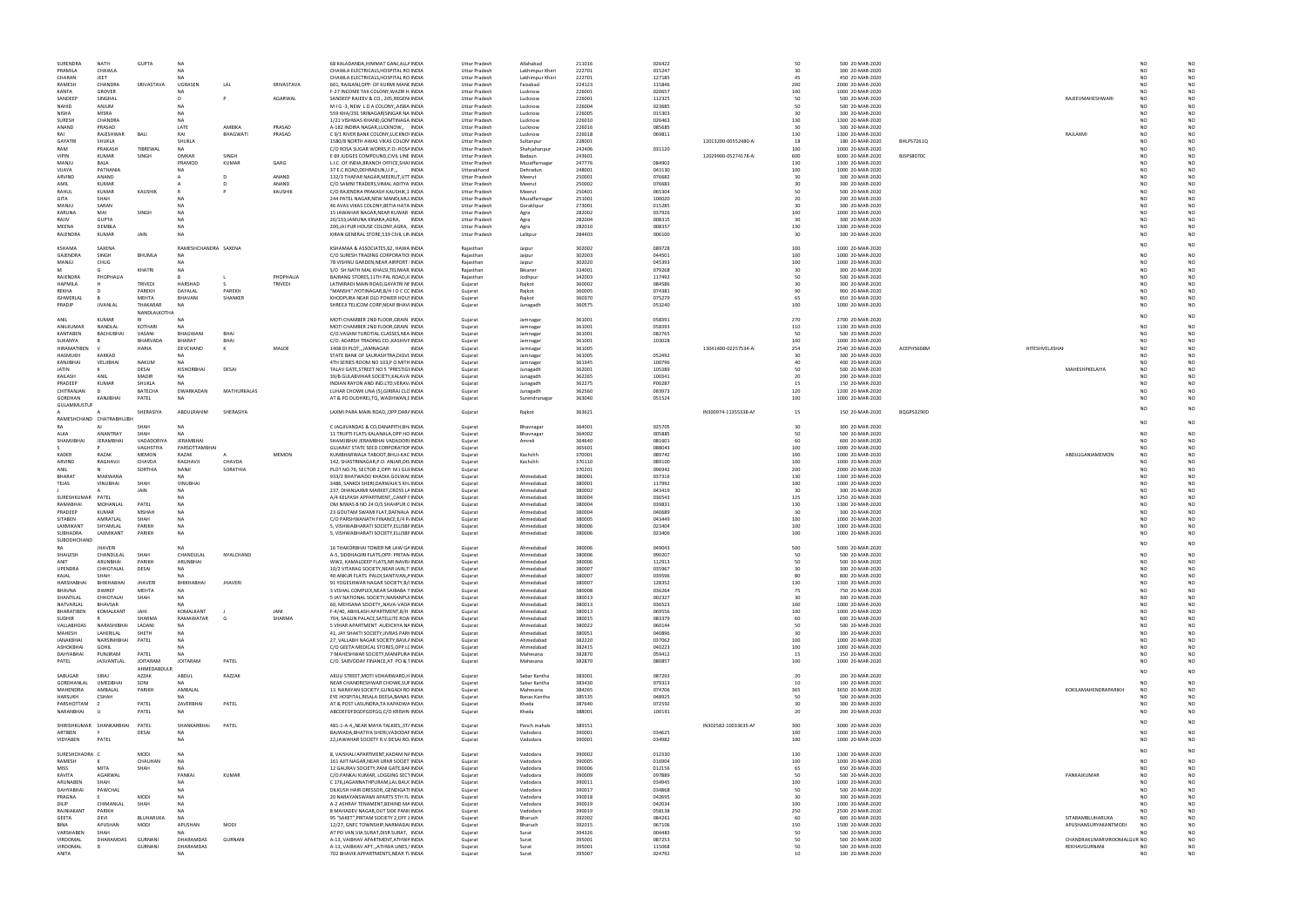| SURENDRA                      | <b>NATH</b>                     | <b>GUPTA</b>            | <b>NA</b>               |               |            | 68 KALADANDA, HIMMAT GANJ, ALL/ INDIA                                                | Uttar Pradesh                  | Allahabad                          | 211016           | 026422           |                      | 50         | 500 20-MAR-2020                      |            |                            | NO              |                      |
|-------------------------------|---------------------------------|-------------------------|-------------------------|---------------|------------|--------------------------------------------------------------------------------------|--------------------------------|------------------------------------|------------------|------------------|----------------------|------------|--------------------------------------|------------|----------------------------|-----------------|----------------------|
| PRAMILA<br>CHARAN             | CHAWLA<br><b>IFFT</b>           |                         | <b>NA</b>               |               |            | CHAWLA ELECTRICALS, HOSPITAL RO INDIA<br>CHAWLA ELECTRICALS, HOSPITAL RO INDIA       | Uttar Pradesh<br>Uttar Pradesh | Lakhimpur Kheri<br>Lakhimpur Kheri | 222701<br>222701 | 015247<br>127185 |                      | 30<br>45   | 300 20-MAR-2020<br>450 20-MAR-2020   |            |                            | NO.<br>NO.      |                      |
| RAMESH                        | CHANDRA                         | SRIVASTAVA              | UGRASEN                 | LAL           | SRIVASTAVA | 601, RAIGANJ, OPP: OF KURMI MANI INDIA                                               | Uttar Pradesh                  | Faizabad                           | 224123           | 115846           |                      | 200        | 2000 20-MAR-2020                     |            |                            | NO.             |                      |
| KANTA                         | <b>GROVER</b>                   |                         | NΑ                      |               |            | F-27 INCOME TAX COLONY, WAZIR H INDIA                                                | Uttar Pradesh                  | Lucknow                            | 226001           | 020657           |                      | 100        | 1000 20-MAR-2020                     |            |                            |                 |                      |
| SANDEER                       | SINGHAI                         |                         |                         |               | AGARWAL    | SANDEEP RAJEEV & CO., 205, REGEN INDIA                                               | Uttar Pradesh                  | Lucknow                            | 226001           | 112325           |                      | 50         | 500 20-MAR-2020                      |            | RAJEEVMAHESHWARI           | NO              |                      |
| NAHID<br><b>NISHA</b>         | ANJUM<br>MISRA                  |                         | NΔ<br><b>NA</b>         |               |            | MIG-3, NEW LDACOLONY, AISBA INDIA<br>559 KHA/291 SRINAGAR(SINGAR NA INDIA            | Uttar Pradesh<br>Uttar Pradesh | Lucknow<br>Lucknow                 | 226004<br>226005 | 023685<br>015303 |                      | 50<br>30   | 500 20-MAR-2020<br>300 20-MAR-2020   |            |                            | NO<br>NO        |                      |
| SURESH                        | CHANDRA                         |                         | <b>NA</b>               |               |            | 1/21 VISHWAS KHAND, GOMTINAGA INDIA                                                  | Uttar Pradesh                  | Lucknow                            | 226010           | 026463           |                      | 130        | 1300 20-MAR-2020                     |            |                            | NO.             |                      |
| ANAND                         | PRASAD                          |                         | LATE                    | AMBIKA        | PRASAD     | A-182 INDIRA NAGAR, LUCKNOW,, INDIA                                                  | Uttar Pradesh                  | Lucknow                            | 226016           | 085685           |                      | 30         | 300 20-MAR-2020                      |            |                            | NO              |                      |
| RAI                           | RAJESHWAR                       | <b>BAI</b>              | RAI                     | BHAGWATI      | PRASAD     | C 9/1 RIVER BANK COLONY, LUCKNO' INDIA                                               | Uttar Pradesh                  | Lucknow                            | 226018           | 069811           |                      | 130        | 1300 20-MAR-2020                     |            | RAJLAXMI                   | NO              |                      |
| GAYATRI                       | SHUKLA                          |                         | SHUKLA                  |               |            | 1580/8 NORTH AWAS VIKAS COLON' INDIA                                                 | Uttar Pradesh                  | Sultanpur                          | 228001           |                  | 12013200-00552480-AI | 18         | 180 20-MAR-2020                      | BHLPS7261Q |                            |                 |                      |
| RAM<br><b>VIPIN</b>           | PRAKASH<br><b>KUMAR</b>         | TIBREWAL                | NA<br>OMKAR             | SINGH         |            | C/O ROSA SUGAR WORKS, P.O:-ROSA INDIA                                                | Uttar Pradesh                  | Shahjahanpur                       | 242406           | 031120           |                      | 100        | 1000 20-MAR-2020                     |            |                            | NO<br>NO        |                      |
| MANJU                         | BALA                            | SINGH                   | PRAMOD                  | <b>KUMAR</b>  | GARG       | E 69 JUDGES COMPOUND, CIVIL LINE INDIA<br>L.I.C. OF INDIA, BRANCH OFFICE, SHAI INDIA | Uttar Pradesh<br>Uttar Pradesh | Badaun<br>Muzaffarnagar            | 243601<br>247776 | 084902           | 12029900-05274178-AI | 600<br>130 | 6000 20-MAR-2020<br>1300 20-MAR-2020 | BJSPS8070C |                            | NO.             |                      |
| VIJAYA                        | PATHANIA                        |                         | NΑ                      |               |            | 37 E.C.ROAD, DEHRADUN, U.P.,,<br>INDIA                                               | Uttarakhand                    | Dehradun                           | 248001           | 043130           |                      | 100        | 1000 20-MAR-2020                     |            |                            | NΩ              |                      |
| ARVIND                        | ANAND                           |                         |                         |               | ANAND      | 132/3 THAPAR NAGAR, MEERUT, UTT INDIA                                                | Uttar Pradesh                  | Meerut                             | 250001           | 076682           |                      | 30         | 300 20-MAR-2020                      |            |                            | NO              |                      |
| AMIL                          | <b>KUMAR</b>                    |                         |                         |               | ANAND      | C/O SAMNI TRADERS, VIMAL ADITYA INDIA                                                | Uttar Pradesh                  | Meerut                             | 250002           | 076683           |                      | 30         | 300 20-MAR-2020                      |            |                            |                 |                      |
| RAHUL                         | KUMAR                           | KAUSHIK                 |                         |               | KAUSHIK    | C/O RAJENDRA PRAKASH KAUSHIK,1 INDIA                                                 | Uttar Pradesh                  | Meerut                             | 250401           | 065304           |                      | 50         | 500 20-MAR-2020                      |            |                            | N٢              |                      |
| GITA                          | SHAH                            |                         |                         |               |            | 244 PATEL NAGAR, NEW MANDI, MU. INDIA                                                | Uttar Pradesh                  | Muzaffarnagar                      | 251001           | 100020           |                      | 20         | 200 20-MAR-2020                      |            |                            | NC              |                      |
| MANJU<br>KARUNA               | SARAN<br>MAI                    | SINGH                   | <b>NA</b><br><b>NA</b>  |               |            | 46 AVAS VIKAS COLONY, BETIA HATA INDIA<br>15 JAWAHAR NAGAR, NEAR KUWAR INDIA         | Uttar Pradesh<br>Uttar Pradesh | Gorakhpur                          | 273001<br>282002 | 015285<br>037926 |                      | 30<br>100  | 300 20-MAR-2020<br>1000 20-MAR-2020  |            |                            | NO<br>NΩ        |                      |
| RAJIV                         | <b>GUPTA</b>                    |                         | NA                      |               |            | 20/133, JAMUNA KINARA, AGRA, INDIA                                                   | Uttar Pradesh                  | Agra<br>Agra                       | 282004           | 008315           |                      | 30         | 300 20-MAR-2020                      |            |                            | NO              |                      |
| MEENA                         | DEMBLA                          |                         |                         |               |            | 200, JAI PUR HOUSE COLONY, AGRA, INDIA                                               | <b>Uttar Pradesh</b>           | Agra                               | 282010           | 008357           |                      | 130        | 1300 20-MAR-2020                     |            |                            | NΩ              |                      |
| RAJENDRA                      | KUMAR                           | <b>JAIN</b>             | <b>NA</b>               |               |            | KIRAN GENERAL STORE, 539 CIVIL LIN INDIA                                             | Uttar Pradesh                  | Lalitpur                           | 284403           | 006100           |                      | 30         | 300 20-MAR-2020                      |            |                            | NΩ              | N <sub>O</sub>       |
|                               |                                 |                         |                         |               |            |                                                                                      |                                |                                    |                  |                  |                      |            |                                      |            |                            |                 |                      |
| KSHAMA                        | SAXENA                          |                         | RAMESHCHANDRA SAXENA    |               |            | KSHAMAA & ASSOCIATES,62, HAWA INDIA                                                  | Raiasthan                      | Jaipur                             | 302002           | 089728           |                      | 100        | 1000 20-MAR-2020                     |            |                            |                 |                      |
| GAJENDRA<br>MANJU             | SINGH<br>CHUG                   | BHUMLA                  | <b>NA</b><br>NΔ         |               |            | C/O SURESH TRADING CORPORATIO INDIA<br>78 VISHNU GARDEN, NEAR AIRPORT INDIA          | Rajasthan<br>Rajasthan         | Jaipur<br>Jaipur                   | 302003<br>302020 | 044501<br>045393 |                      | 100<br>100 | 1000 20-MAR-2020<br>1000 20-MAR-2020 |            |                            | NΩ<br>NO        |                      |
|                               |                                 | KHATRI                  | <b>NA</b>               |               |            | S/O SH NATH MAL KHALSI, TELIWAR INDIA                                                | Rajasthan                      | Bikaneı                            | 334001           | 079268           |                      | 30         | 300 20-MAR-2020                      |            |                            | NΩ              |                      |
| RAJENDRA                      | PHOPHALIA                       |                         |                         |               | PHOPHALIA  | BAJRANG STORES, 11TH PAL ROAD, JI INDIA                                              | Rajasthar                      | Jodhpur                            | 342003           | 117492           |                      | 50         | 500 20-MAR-2020                      |            |                            | N٢              |                      |
| <b>HAPMILA</b>                |                                 | TRIVEDI                 | HARSHAD                 |               | TRIVEDI    | LATMIRADI MAIN ROAD, GAYATRI NI INDIA                                                | Gujarat                        | Rajkot                             | 360002           | 084586           |                      | 30         | 300 20-MAR-2020                      |            |                            | NC              |                      |
| REKHA                         |                                 | PAREKH                  | DAYALAL                 | PAREKH        |            | "MANSHI" JYOTINAGAR, B/H I O C CC INDIA                                              | Gujarat                        | Rajkot                             | 360005           | 074381           |                      | 90         | 900 20-MAR-2020                      |            |                            | NO              |                      |
| ISHWERLAI                     |                                 | <b>MEHTA</b>            | BHAVANI                 | SHANKER       |            | KHODPURA NEAR OLD POWER HOU! INDIA                                                   | Gujarat                        | Rajkot                             | 360370           | 075279           |                      | 65         | 650 20-MAR-2020                      |            |                            | NΩ              |                      |
| PRADIP                        | JIVANLAL                        | THAKARAR                | N <sub>0</sub>          |               |            | SHREEJI TELICOM CORP, NEAR BHAV INDIA                                                | Gujarat                        | Junagadh                           | 360575           | 053240           |                      | 100        | 1000 20-MAR-2020                     |            |                            | NΩ              |                      |
| ANII                          | KUMAR                           | NANDLALKOTHA<br>RI      | NA                      |               |            | MOTI CHAMBER 2ND FLOOR, GRAIN INDIA                                                  |                                | Jamnagar                           | 361001           | 058391           |                      | 270        | 2700 20-MAR-2020                     |            |                            |                 |                      |
| ANILKUMAR                     | NANDLAL                         | <b>KOTHARI</b>          | NΔ                      |               |            | MOTI CHAMBER 2ND FLOOR, GRAIN INDIA                                                  | Gujarat<br>Gujarat             | Jamnaga                            | 361001           | 058393           |                      | 110        | 1100 20-MAR-2020                     |            |                            | NC              |                      |
| KANTABEN                      | <b>BACHUBHAI</b>                | VASANI                  | BHAGWANI                | BHAI          |            | C/O.VASANI TUROTIAL CLASSES, NEA INDIA                                               | Guiarat                        | Jamnagar                           | 361001           | 082765           |                      | 50         | 500 20-MAR-2020                      |            |                            | NΩ              |                      |
| SUKANYA                       |                                 | BHARVADA                | <b>BHARAT</b>           | BHAI          |            | C/O. ADARSH TRADING CO., KASHIVI: INDIA                                              | Gujarat                        | Jamnagar                           | 361001           | 103028           |                      | 100        | 1000 20-MAR-2020                     |            |                            | NΩ              |                      |
| <b>HIRAMATIBEN</b>            |                                 | HARIA                   | DEVCHAND                | K             | MALDE      | 1408 DI PLOT,,,JAMNAGAR<br>INDIA                                                     | Gujarat                        | Jamnaga                            | 361005           |                  | 13041400-02257534-AI | 254        | 2540 20-MAR-2020                     | ACEPH5668M | HITESHVELJISHAI            | NO.             |                      |
| <b>HASMUKH</b>                | <b>KAKKAD</b>                   |                         | <b>NA</b>               |               |            | STATE BANK OF SAURASHTRA, DIGVI INDIA                                                | Gujarat                        | Jamnaga                            | 361005           | 052492           |                      | 30         | 300 20-MAR-2020                      |            |                            |                 |                      |
| KANJIBHAI                     | VELJIBHAI                       | <b>NAKUM</b>            | <b>NA</b>               |               |            | 4TH SERIES ROOM NO 103,P O MITH INDIA                                                | Gujarat                        | Jamnagar                           | 361345           | 100796           |                      | 40         | 400 20-MAR-2020                      |            |                            | NΩ              |                      |
| JATIN<br>KAILASH              | ANIL                            | DESAI<br>MADIR          | KISHORBHA<br><b>NA</b>  | DESAI         |            | TALAV GATE, STREET NO 5 "PRESTIGI INDIA<br>39/B GULABVIHAR SOCIETY, KALAVA INDIA     | Gujarat<br>Gujarat             | Junagadh<br>Junagadh               | 362001<br>362265 | 105389<br>100341 |                      | 50<br>20   | 500 20-MAR-2020<br>200 20-MAR-2020   |            | MAHESHPKELAIYA             | NO<br>NO        |                      |
| PRADEEP                       | KUMAR                           | SHUKLA                  | <b>NA</b>               |               |            | INDIAN RAYON AND IND.LTD, VERAV. INDIA                                               | Gujarat                        | Junagadh                           | 362275           | P00287           |                      | 15         | 150 20-MAR-2020                      |            |                            | NΩ              |                      |
| CHITRANJAN                    |                                 | BATECHA                 | DWARKADAN               | MATHURKALAS   |            | LUHAR CHOWK UNA (5), GIRIRAJ CLC INDIA                                               | Gujarat                        | Junagadh                           | 362560           | 083973           |                      | 120        | 1200 20-MAR-2020                     |            |                            | NΟ              |                      |
| <b>GORDHAN</b>                | KANJIBHA                        | PATEL                   | <b>NA</b>               |               |            | AT & PO DUDHREJ, TQ, WADHWAN, I INDIA                                                | Gujarat                        | Surendranagar                      | 363040           | 051524           |                      | 100        | 1000 20-MAR-2020                     |            |                            |                 |                      |
| GULAMMUSTU                    |                                 |                         |                         |               |            |                                                                                      |                                |                                    |                  |                  |                      |            |                                      |            |                            |                 |                      |
|                               |                                 | SHERASIYA               | ABDULRAHIM              | SHERASIYA     |            | LAXMI PARA MAIN ROAD,, OPP.DAR/ INDIA                                                | Gujarat                        | Rajkot                             | 363621           |                  | IN300974-11355338-AM | 15         | 150 20-MAR-2020                      | BQGPS3290D |                            |                 |                      |
| RAMESHCHAND CHATRABHUJI<br>RA |                                 | SHAH                    | <b>NA</b>               |               |            |                                                                                      |                                |                                    | 364001           |                  |                      | 30         |                                      |            |                            | NΩ              |                      |
| ALKA                          | ANANTRAY                        | SHAH                    | <b>NA</b>               |               |            | C JAGJIVANDAS & CO, DANAPITH, BH. INDIA<br>11 TRUPTI FLATS KALANALA, OPP HO INDIA    | Gujarat<br>Gujarat             | Bhavnagar<br>Bhavnagar             | 364002           | 025705<br>005885 |                      | 50         | 300 20-MAR-2020<br>500 20-MAR-2020   |            |                            | NO              | N <sub>O</sub>       |
| SHAMJIBHAI                    | <b>IFRAMBHAI</b>                | VADADORIYA              | <b>JERAMBHAI</b>        |               |            | SHAMJIBHAI JERAMBHAI VADADORI INDIA                                                  | Guiarat                        | Amreli                             | 364640           | 081601           |                      | 60         | 600 20-MAR-2020                      |            |                            | NΩ              | N <sub>O</sub>       |
|                               |                                 | VAGHSTIYA               | PARSOTTAMBHAI           |               |            | GUJARAT STATE SEED CORPORATIOI INDIA                                                 | Gujarat                        |                                    | 365601           | 088043           |                      | 100        | 1000 20-MAR-2020                     |            |                            | NΩ              |                      |
| KADER                         | RAZAK                           | MEMON                   | RAZAK                   |               | MEMON      | KUMBHARWALA TABOOT, BHUJ-KAC INDIA                                                   | Gujarat                        | Kachchh                            | 370001           | 089742           |                      | 100        | 1000 20-MAR-2020                     |            | ABDULGANIAMEMON            | NO              |                      |
| ARVIND                        | RAGHAVJI                        | CHAVDA                  | RAGHAVJI                | CHAVDA        |            | 142, SHASTRINAGAR, P.O. ANJAR, DIS INDIA                                             | Gujarat                        | Kachchh                            | 370110           | 089100           |                      | 100        | 1000 20-MAR-2020                     |            |                            | NO              |                      |
| ANII                          |                                 | SORTHIA                 | NANJI                   | SORATHIA      |            | PLOT NO.76, SECTOR 2, OPP: M J GUI INDIA                                             | Gujarat                        |                                    | 370201           | 096942           |                      | 200        | 2000 20-MAR-2020                     |            |                            | NO.             |                      |
| <b>BHARA</b>                  | <b>MAKWAN</b><br><b>VINUBHA</b> | SHAH                    | NA<br>VINUBHAI          |               |            | 933/2 BHATWADO KHADIA GOLWAI INDIA<br>3486, SANKDI SHERI, DARWAJA'S KH. INDIA        | Gujarat                        | Ahmedabad                          | 380001<br>380001 | 037316           |                      | 130<br>100 | 1300 20-MAR-2020                     |            |                            | NO              |                      |
| TEJAS                         |                                 | <b>JAIN</b>             | N۵                      |               |            | 237, DHANLAXMI MARKET, CROSS LA INDIA                                                | Gujarat<br>Gujarat             | Ahmedabad<br>Ahmedabad             | 380002           | 117992<br>043419 |                      | 30         | 1000 20-MAR-2020<br>300 20-MAR-2020  |            |                            |                 |                      |
| SURESHKUMAR                   | PATEL                           |                         |                         |               |            | A/4 KELPASH APPARTMENT, CAMP I INDIA                                                 | Gujarat                        | Ahmedabad                          | 380004           | 036543           |                      | 125        | 1250 20-MAR-2020                     |            |                            | NO              |                      |
| RAMABHA                       | MOHANLAL                        | PATEL                   | N۵                      |               |            | OM NIWAS B NO 24 O/S SHAHPUR C INDIA                                                 | Gujarat                        | Ahmedabad                          | 380004           | 039831           |                      | 130        | 1300 20-MAR-2020                     |            |                            | NO              |                      |
| PRADEEP                       | <b>KUMAR</b>                    | <b>MSHAH</b>            | <b>NA</b>               |               |            | 23 GOUTAM SWAMI FLAT, DAFNALA INDIA                                                  | Guiarat                        | Ahmedabad                          | 380004           | 040689           |                      | 30         | 300 20-MAR-2020                      |            |                            | NΩ              |                      |
| SITABEN                       | AMRATLAI                        | SHAH                    | <b>NA</b>               |               |            | C/O PARSHWANATH FINANCE, E/4 P. INDIA                                                | Gujarat                        | Ahmedabad                          | 380005           | 043449           |                      | 100        | 1000 20-MAR-2020                     |            |                            | NO              |                      |
| <b>LAXMIKANT</b>              | SHYAMLA                         | PARIKH<br><b>PARIKH</b> | <b>NA</b><br>NΔ         |               |            | 5, VISHWABHARATI SOCIETY, ELLISBF INDIA                                              | Gujarat                        | Ahmedabad                          | 380006           | 023404           |                      | 100        | 1000 20-MAR-2020                     |            |                            |                 |                      |
| SUBHADRA<br>SUBODHCHAND       | LAXMIKANT                       |                         |                         |               |            | 5, VISHWABHARATI SOCIETY, ELLISBF INDIA                                              | Gujarat                        | Ahmedabad                          | 380006           | 023406           |                      | 100        | 1000 20-MAR-2020                     |            |                            |                 |                      |
| RA                            | <b>JHAVER</b>                   |                         | NΔ                      |               |            | 16 THAKORBHAI TOWER NR LAW GA INDIA                                                  | Gujarat                        | Ahmedabad                          | 380006           | 049043           |                      | 500        | 5000 20-MAR-2020                     |            |                            | NO              | N <sub>O</sub>       |
| <b>SHAILES</b>                | CHANDULAI                       | SHAH                    | CHANDULAL               | NYALCHAND     |            | A-5, SIDDHAGIRI FLATS, OPP: PRITAN INDIA                                             | Guiarat                        | Ahmedabac                          | 380006           | 09020            |                      |            | 500 20-MAR-2020                      |            |                            |                 |                      |
| <b>ANIT</b>                   | ARUNBHAI                        | PARIKH                  | ARUNBHAI                |               |            | WW2, KAMALDEEP FLATS, NR: NAVR/ INDIA                                                | Gujarat                        | Ahmedabad                          | 380006           | 112913           |                      | 50         | 500 20-MAR-2020                      |            |                            | NO              |                      |
| UPENDRA                       | CHHOTALAL                       | DESAI                   | <b>NA</b>               |               |            | 10/2 VITARAG SOCIETY, NEAR JAIN, T INDIA                                             | Gujarat                        | Ahmedabad                          | 380007           | 035967           |                      | 30         | 300 20-MAR-2020                      |            |                            | NO.             |                      |
| KAJAI                         | SHAH                            |                         |                         |               |            | 40 ANKUR FLATS PALDI, SANTIVAN, A INDIA                                              | Gujarat                        | Ahmedabad                          | 380007           | 039596           |                      | 80         | 800 20-MAR-2020                      |            |                            | NO              |                      |
| HARSHABHAI<br><b>BHAVNA</b>   | BHIKHABHAI<br><b>DWIREF</b>     | JHAVERI<br>MEHTA        | BHIKHABHAI<br><b>NA</b> | <b>JHAVER</b> |            | 91 YOGESHWAR NAGAR SOCIETY, B/I INDIA<br>3 VISHAL COMPLEX, NEAR SAIBABA T INDIA      | Gujarat<br>Gujarat             | Ahmedabad<br>Ahmedabad             | 380007<br>380008 | 128352<br>036264 |                      | 130<br>75  | 1300 20-MAR-2020<br>750 20-MAR-2020  |            |                            | NΩ<br>NO        |                      |
| SHANTILAL                     | CHHOTALAI                       | SHAH                    | <b>NA</b>               |               |            | 5 JAY NATIONAL SOCIETY, NARANPU INDIA                                                | Guiarat                        | Ahmedabad                          | 380013           | 002327           |                      | 30         | 300 20-MAR-2020                      |            |                            | NO.             |                      |
| NATVARLAI                     | <b>BHAVSAR</b>                  |                         | <b>NA</b>               |               |            | 60, MEHSANA SOCIETY,, NAVA-VADA INDIA                                                | Gujarat                        | Ahmedabad                          | 380013           | 036523           |                      | 100        | 1000 20-MAR-2020                     |            |                            | NO              |                      |
| <b>BHARATIBEN</b>             | KOMALKANT                       | JAHI                    | KOMALKANT               |               | JANI       | F-4/40, ABHILASH APARTMENT, B/H INDIA                                                | Gujarat                        | Ahmedabad                          | 380013           | 069556           |                      | 100        | 1000 20-MAR-2020                     |            |                            | NO              |                      |
| <b>SUDHIR</b>                 |                                 | SHARMA                  | RAMAWATAR               |               | SHARMA     | 704. SAGUN PALACE SATELLITE ROA INDIA                                                | Gujarat                        | Ahmedabad                          | 380015           | 083379           |                      | 60         | 600 20-MAR-2020                      |            |                            |                 |                      |
| VALLABHDAS                    | NARASHIBHA                      | LADAN                   | <b>NA</b>               |               |            | 5 VIHAR APARTMENT AUDICHYA N/ INDIA                                                  | Gujarat                        | Ahmedabad                          | 380022           | 060144           |                      | 50         | 500 20-MAR-2020                      |            |                            | N٢              |                      |
| MAHESH<br><b>JANAKBHAI</b>    | LAHERILAL<br>NARSINHBHAI        | SHETH<br>PATEL          | <b>NA</b><br><b>NA</b>  |               |            | 41, JAY SHAKTI SOCIETY, JIVRAS PARI INDIA<br>27, VALLABH NAGAR SOCIETY, BAVL/ INDIA  | Gujarat<br>Gujarat             | Ahmedabad<br>Ahmedabad             | 380051<br>382220 | 040896<br>037062 |                      | 30<br>100  | 300 20-MAR-2020<br>1000 20-MAR-2020  |            |                            | NC<br>NO        |                      |
| <b>ASHOKBHAI</b>              | GOHII                           |                         | NΑ                      |               |            | C/O GEETA MEDICAL STORES, OPP LC INDIA                                               | Gujarat                        | Ahmedabad                          | 382415           | 040223           |                      | 100        | 1000 20-MAR-2020                     |            |                            | NΩ              |                      |
| DAHYABHAI                     | PUNJIRAM                        | PATEL                   | <b>NA</b>               |               |            | 7 MAHESHWAR SOCIETY, MANIPURA INDIA                                                  | Gujarat                        | Mahesana                           | 382870           | 059412           |                      | 15         | 150 20-MAR-2020                      |            |                            | NO              |                      |
| PATEL                         | JASVANTLAL                      | <b>JOITARAM</b>         | <b>JOITARAM</b>         | PATEL         |            | C/O. SARVODAY FINANCE, AT PO & 1 INDIA                                               | Gujarat                        | Mahesana                           | 382870           | 080857           |                      | 100        | 1000 20-MAR-2020                     |            |                            | NO              | NO                   |
|                               |                                 | AHMEDABDULR             |                         |               |            |                                                                                      |                                |                                    |                  |                  |                      |            |                                      |            |                            | NO              |                      |
| SABUGAR                       | SIRAJ                           | AZZAK                   | ABDUL                   | RAZZAK        |            | AKULI STREET, MOTI VOHARWARD, H INDIA                                                | Gujarat                        | Sabar Kantha                       | 383001           | 087293           |                      | 20<br>10   | 200 20-MAR-2020                      |            |                            |                 |                      |
| GORDHANLAL<br>MAHENDRA        | <b>UMEDBHAI</b><br>AMBALAL      | SONI<br><b>PARIKH</b>   | NA<br>AMBALAL           |               |            | NEAR CHANDRESHWAR CHOWK, SUF INDIA<br>13 NARAYAN SOCIETY, GUNGADI RO INDIA           | Gujarat<br>Gujarat             | Sabar Kantha<br>Mahesana           | 383430<br>384265 | 079313<br>074706 |                      | 365        | 100 20-MAR-2020<br>3650 20-MAR-2020  |            | KOKILAMAHENDRAPARIKH       | NO<br><b>NO</b> | N <sub>O</sub>       |
| <b>HARSUKH</b>                | <b>CSHAF</b>                    |                         | <b>NA</b>               |               |            | EYE HOSPITAL, RISALA DEESA, BANAS INDIA                                              | Gujarat                        | Banas Kantha                       | 385535           | 048925           |                      | 50         | 500 20-MAR-2020                      |            |                            | NO              | N <sub>O</sub>       |
| PARSHOTTAM                    |                                 | PATEL                   | ZAVERBHAI               | PATEL         |            | AT & POST LASUNDRA, TA KAPADWA INDIA                                                 | Gujarat                        | Kheda                              | 387640           | 072592           |                      | 30         | 300 20-MAR-2020                      |            |                            | NO.             |                      |
| NARANBHAI                     |                                 | PATEL                   | <b>NA</b>               |               |            | ABCDEFDFDGDFGDFGG,C/O KRISHN INDIA                                                   | Gujarat                        | Kheda                              | 388001           | 100191           |                      | 20         | 200 20-MAR-2020                      |            |                            | NO              | N <sub>O</sub>       |
|                               |                                 |                         |                         |               |            |                                                                                      |                                |                                    |                  |                  |                      |            |                                      |            |                            |                 |                      |
| SHIRISHKUMAR                  | SHANKARBHAI                     | PATEL                   | SHANKARBHAI             | PATEL         |            | 481-1-A-4, NEAR MAYA TALKIES, ST/ INDIA                                              | Gujarat                        | Panch mahals                       | 389151           |                  | IN302582-10033635-AM | 300        | 3000 20-MAR-2020                     |            |                            |                 |                      |
| ARTIBEN                       |                                 | DESAI                   | <b>NA</b>               |               |            | BAJWADA, BHATIYA SHERI, VADODAF INDIA                                                | Gujarat                        | Vadodara                           | 390001           | 034625           |                      | 100        | 1000 20-MAR-2020                     |            |                            | NΩ              |                      |
| VIDYABEN                      | PATEL                           |                         | <b>NA</b>               |               |            | 22, JAWAHAR SOCIETY R.V. DESAI RO. INDIA                                             | Gujarat                        | Vadodara                           | 390001           | 034982           |                      | 100        | 1000 20-MAR-2020                     |            |                            | NO              | NO                   |
| SURESHCHADRA C                |                                 | <b>MODI</b>             | <b>NA</b>               |               |            | 8, VAISHALI APARTMENT, KADAM N/ INDIA                                                | Gujarat                        | Vadodara                           | 390002           | 012330           |                      | 130        | 1300 20-MAR-2020                     |            |                            |                 |                      |
| RAMESH                        |                                 | CHAUHAN                 | <b>NA</b>               |               |            | 161 AJIT NAGAR, NEAR URMI SOCIET INDIA                                               | Gujarat                        | Vadodara                           | 390005           | 016904           |                      | 100        | 1000 20-MAR-2020                     |            |                            | NO              |                      |
| MISS                          | MITA                            | SHAH                    | <b>NA</b>               |               |            | 12 GAURAV SOCIETY, PANI GATE, BAF INDIA                                              | Guiarat                        | Vadodara                           | 390006           | 012156           |                      | 65         | 650 20-MAR-2020                      |            |                            | NO.             |                      |
| KAVITA                        | AGARWAL                         |                         | PANKAJ                  | KUMAR         |            | C/O.PANKAJ KUMAR, LOGGING SECT INDIA                                                 | Gujarat                        | Vadodara                           | 390009           | 097889           |                      | 50         | 500 20-MAR-2020                      |            | PANKAJKUMAR                | NO              | N <sub>O</sub>       |
| ARUNABEN                      | SHAH<br>PAWCHAL                 |                         | <b>NA</b>               |               |            | C 176, JAGANNATHPURAM, LAL BAU( INDIA                                                | Gujarat                        | Vadodara                           | 390011           | 034945           |                      | 100        | 1000 20-MAR-2020                     |            |                            | NO              | N <sub>O</sub>       |
| DAHYABHAI<br>PRAGNA           |                                 | <b>MODI</b>             | <b>NA</b><br>NΔ         |               |            | DILKUSH HAIR DRESSOR, GENDIGATI INDIA<br>20 NARAYANSWAMI APARTS 5TH FL INDIA         | Gujarat                        | Vadodara<br>Vadodara               | 390017<br>390018 | 034868<br>042695 |                      | 50<br>30   | 500 20-MAR-2020<br>300 20-MAR-2020   |            |                            | NO<br>NO        |                      |
| DILIP                         |                                 |                         |                         |               |            | A-2 ASHRAY TENAMENT, BEHIND MA INDIA                                                 | Gujarat<br>Gujarat             | Vadodara                           | 390019           | 042034           |                      | 100        | 1000 20-MAR-2020                     |            |                            | NO              |                      |
|                               | CHIMANLA                        |                         | N۵                      |               |            |                                                                                      |                                |                                    |                  |                  |                      |            |                                      |            |                            |                 |                      |
| RAJNIAKANT                    | PARIKH                          | SHAH                    |                         |               |            | 8 MAHADEV NAGAR, OUT SIDE PANILINDIA                                                 | Gujarat                        | Vadodara                           | 390019           | 058138           |                      | 250        | 2500 20-MAR-2020                     |            |                            | NO.             |                      |
| GEETA                         | <b>DFVI</b>                     | <b>BIUHARUKA</b>        | NΑ                      |               |            | 95 "SAKET", PRITAM SOCIETY 2, OFF 2 INDIA                                            | Gujarat                        | Bharuch                            | 392002           | 084261           |                      | 60         | 600 20-MAR-2020                      |            | SITARAMBLUHARUKA           | NO              |                      |
| <b>BINA</b>                   | APUSHAN                         | <b>MODI</b>             | APUSHAN                 | MODI          |            | 12/27, GNFC TOWNSHIP, NARMADA INDIA                                                  | Gujarat                        | Bharuch                            | 392015           | 067106           |                      | 150        | 1500 20-MAR-2020                     |            | APUSHANSURYAKANTMODI       | NO              |                      |
| VARSHABEN                     | SHAH                            |                         |                         |               |            | AT PO VAN, VIA SURAT, DISR SURAT, INDIA                                              | Gujarat                        | Surat                              | 394326           | 004483           |                      | 50         | 500 20-MAR-2020                      |            |                            |                 |                      |
| VIROOMAL                      | <b>DHARAMDAS</b>                | <b>GURNANI</b>          | DHARAMDAS               | GURNANI       |            | A-13, VAIBHAV APARTMENT, ATHW/ INDIA                                                 | Gujarat                        | Surat                              | 395001           | 087253           |                      | 50         | 500 20-MAR-2020                      |            | CHANDRAKUMARVIROOMALGUR NO |                 | NO                   |
| VIROOMAL<br>ANITA             |                                 | <b>GURNANI</b>          | DHARAMDAS<br><b>NA</b>  |               |            | A-13, VAIBHAV APT.,,ATHWA LINES, INDIA<br>702 BHAVIK APPARTMENTS, NEAR TUNDIA        | Gujarat<br>Gujarat             | Surat<br>Surat                     | 395001<br>395007 | 115068<br>024792 |                      | 50<br>10   | 500 20-MAR-2020<br>100 20-MAR-2020   |            | REKHAVGURNANI              | NO<br>NO.       | NO<br>N <sub>O</sub> |

|    |                            | N <sub>O</sub>                   | NO                     |
|----|----------------------------|----------------------------------|------------------------|
|    |                            | <b>NO</b>                        | <b>NO</b>              |
|    |                            | <b>NO</b><br>NO                  | <b>NO</b><br><b>NO</b> |
|    |                            | NO                               | NO                     |
|    | RAJEEVMAHESHWARI           | N <sub>O</sub><br>N <sub>O</sub> | <b>NO</b><br>NO        |
|    |                            | NO                               | NO                     |
|    |                            | <b>NO</b>                        | <b>NO</b>              |
|    | RAJLAXMI                   | NO<br>NO                         | NO<br>N <sub>O</sub>   |
|    |                            | <b>NO</b>                        | <b>NO</b>              |
|    |                            | N <sub>O</sub>                   | NO                     |
|    |                            | NO<br><b>NO</b>                  | NO<br><b>NO</b>        |
|    |                            | <b>NO</b>                        | <b>NO</b>              |
|    |                            | N <sub>O</sub>                   | NO                     |
|    |                            | N <sub>O</sub><br><b>NO</b>      | <b>NO</b><br><b>NO</b> |
|    |                            | NO                               | NO                     |
|    |                            | <b>NO</b>                        | <b>NO</b><br><b>NO</b> |
|    |                            | <b>NO</b><br>NO                  | NO                     |
|    |                            | N <sub>O</sub>                   | <b>NO</b>              |
|    |                            | <b>NO</b>                        | <b>NO</b>              |
|    |                            | NO                               | NO                     |
|    |                            | NO                               | NO                     |
|    |                            | NO<br>NO                         | <b>NO</b><br><b>NO</b> |
|    |                            | N <sub>O</sub>                   | <b>NO</b>              |
|    |                            | N <sub>O</sub>                   | NO                     |
|    |                            | <b>NO</b><br><b>NO</b>           | <b>NO</b><br><b>NO</b> |
|    |                            | <b>NO</b>                        | NO                     |
|    |                            | <b>NO</b>                        | <b>NO</b>              |
|    |                            | NO                               | <b>NO</b>              |
|    |                            | <b>NO</b>                        | <b>NO</b>              |
|    |                            | <b>NO</b>                        | <b>NO</b>              |
| Aŀ |                            | NO<br>NO                         | NO<br><b>NO</b>        |
|    |                            | N <sub>O</sub>                   | <b>NO</b>              |
|    | MAHESHPKELAIYA             | N <sub>O</sub>                   | NO                     |
|    |                            | <b>NO</b>                        | <b>NO</b>              |
|    |                            | <b>NO</b><br><b>NO</b>           | <b>NO</b><br>NO        |
|    |                            | <b>NO</b>                        | <b>NO</b>              |
|    |                            | <b>NO</b>                        | <b>NO</b>              |
|    |                            |                                  |                        |
|    |                            | <b>NO</b>                        | <b>NO</b>              |
|    |                            | NO<br><b>NO</b>                  | <b>NO</b><br><b>NO</b> |
|    |                            | <b>NO</b>                        | <b>NO</b>              |
|    | ABDULGANIAMEMON            | N <sub>O</sub>                   | NO                     |
|    |                            | N <sub>O</sub>                   | <b>NO</b>              |
|    |                            | <b>NO</b><br><b>NO</b>           | <b>NO</b><br>NO        |
|    |                            | NO                               | N <sub>O</sub>         |
|    |                            | N <sub>O</sub><br>N <sub>O</sub> | <b>NO</b><br>NO        |
|    |                            | NO                               | NO                     |
|    |                            | <b>NO</b>                        | <b>NO</b>              |
|    |                            | NO<br>NO                         | NO<br>NO               |
|    |                            | <b>NO</b>                        | <b>NO</b>              |
|    |                            | NO                               | NO                     |
|    |                            | N <sub>O</sub>                   | NO                     |
|    |                            | N <sub>O</sub>                   | NO                     |
|    |                            | N <sub>0</sub>                   | NO                     |
|    |                            | NO<br>NO                         | NO<br>NO               |
|    |                            | N <sub>O</sub>                   | NO                     |
|    |                            | <b>NO</b>                        | <b>NO</b>              |
|    |                            | <b>NO</b><br>N <sub>O</sub>      | NO<br>N <sub>O</sub>   |
|    |                            | N <sub>O</sub>                   | NO                     |
|    |                            | NO                               | <b>NO</b>              |
|    |                            | N <sub>O</sub><br><b>NO</b>      | NO<br><b>NO</b>        |
|    |                            | <b>NO</b>                        | <b>NO</b>              |
|    |                            | N <sub>O</sub>                   | NO.                    |
|    |                            | <b>NO</b>                        | NO                     |
|    |                            | NO                               | NO                     |
|    |                            | N <sub>O</sub>                   | NO                     |
|    | KOKILAMAHENDRAPARIKH       | <b>NO</b><br>N <sub>O</sub>      | <b>NO</b><br>NO.       |
|    |                            | N <sub>O</sub>                   | NO                     |
|    |                            | NO                               | <b>NO</b>              |
|    |                            | N <sub>O</sub>                   | NO                     |
|    |                            | N <sub>O</sub>                   | NO                     |
|    |                            | N <sub>O</sub>                   | <b>NO</b>              |
|    |                            | <b>NO</b>                        | NO                     |
|    |                            | N <sub>O</sub>                   | NO                     |
|    |                            | <b>NO</b>                        | <b>NO</b>              |
|    | PANKAJKUMAR                | <b>NO</b><br>N <sub>O</sub>      | <b>NO</b><br>NO        |
|    |                            | NO                               | NO                     |
|    |                            | NO                               | <b>NO</b>              |
|    |                            | NO<br><b>NO</b>                  | NO<br><b>NO</b>        |
|    | SITARAMBLUHARUKA           | <b>NO</b>                        | <b>NO</b>              |
|    | APUSHANSURYAKANTMODI       | <b>NO</b>                        | NO                     |
|    | CHANDRAKUMARVIROOMALGUR NO | N <sub>O</sub>                   | NO<br><b>NO</b>        |
|    | REKHAVGURNANI              | NO                               | NO                     |
|    |                            | NO                               | NO                     |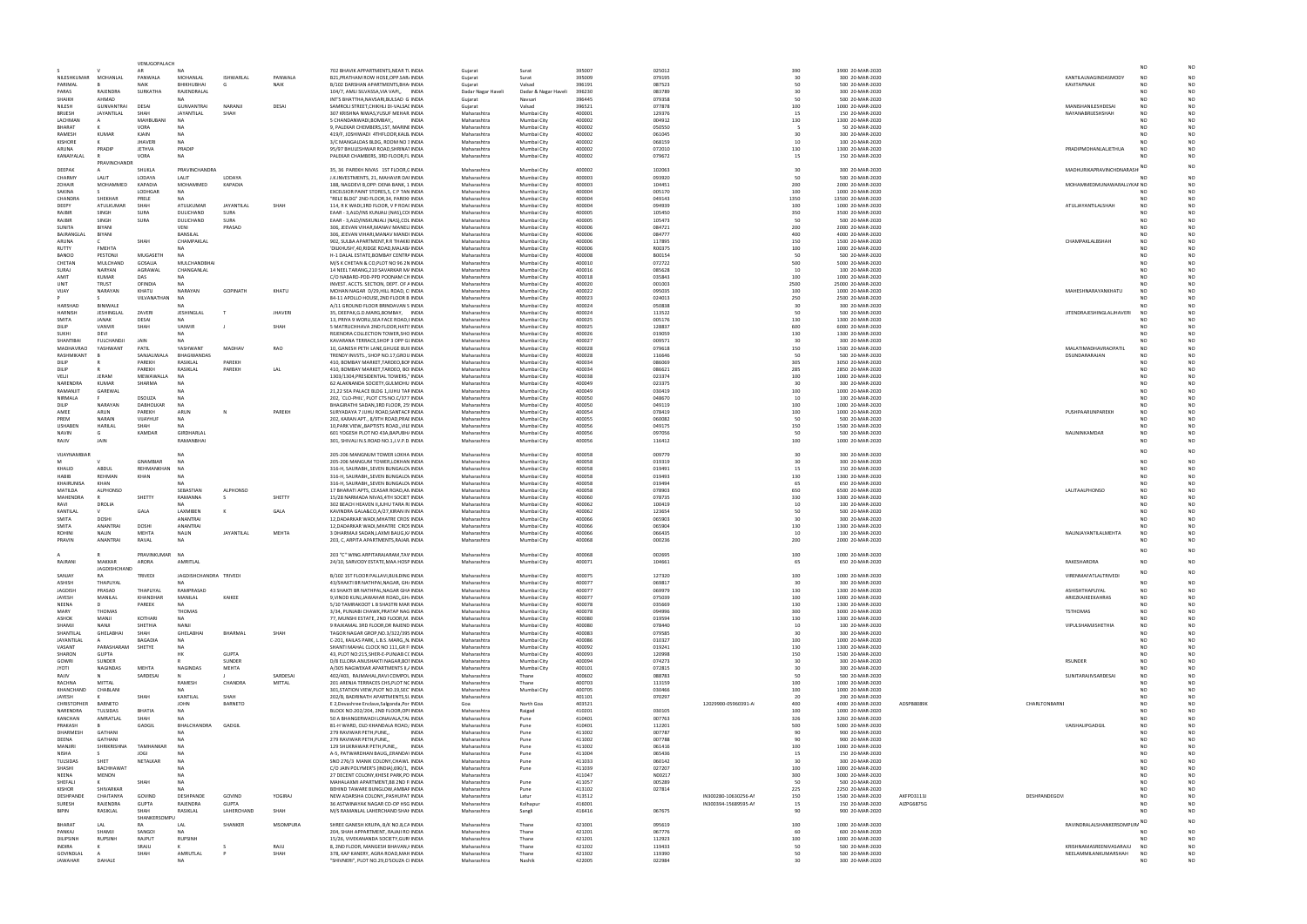|       |               |                                         | NO                   | NO             |
|-------|---------------|-----------------------------------------|----------------------|----------------|
|       |               | KANTILALNAGINDASMODY                    | <b>NO</b>            | NO             |
|       |               | KAVITAPNAIK                             | NO                   | NO             |
|       |               |                                         | NO                   | NO             |
|       |               |                                         | NO                   | NO             |
|       |               | MANISHANILESHDESAI                      | NO                   | NO             |
|       |               | NAYANABRIJESHSHAH                       | NO                   | NO             |
|       |               |                                         | <b>NO</b><br>NO      | NO<br>NO       |
|       |               |                                         | NO                   | NO             |
|       |               |                                         | <b>NO</b>            | <b>NO</b>      |
|       |               | PRADIPMOHANLALJETHUA                    | NO                   | NO             |
|       |               |                                         | NO                   | NO             |
|       |               |                                         | <b>NO</b>            | NO             |
|       |               | MADHURIKAPRAVINCHDNARASH                |                      |                |
|       |               |                                         | NO                   | NO             |
|       |               | MOHAMMEDMUNAWARALLYKAF NO               |                      | NO<br>NO       |
|       |               |                                         | NO<br>NO             | NO             |
|       |               | ATULJAYANTILALSHAH                      | <b>NO</b>            | NO             |
|       |               |                                         | NO                   | NO             |
|       |               |                                         | NO                   | NO             |
|       |               |                                         | <b>NO</b>            | <b>NO</b>      |
|       |               |                                         | NO                   | NO             |
|       |               | CHAMPAKLALBSHAH                         | N <sub>O</sub><br>NO | NO<br>NO       |
|       |               |                                         | <b>NO</b>            | NO             |
|       |               |                                         | N <sub>O</sub>       | NO             |
|       |               |                                         | NO                   | NO             |
|       |               |                                         | <b>NO</b>            | NO             |
|       |               |                                         | NO                   | NO             |
|       |               | MAHESHNARAYANKHATU                      | NO                   | <b>NO</b>      |
|       |               |                                         | <b>NO</b><br>NO      | NO<br>NO       |
|       |               | JITENDRAJESHINGLALJHAVERI               | <b>NO</b>            | NO             |
|       |               |                                         | <b>NO</b>            | <b>NO</b>      |
|       |               |                                         | NO                   | NO             |
|       |               |                                         | NO                   | NO             |
|       |               |                                         | <b>NO</b>            | NO             |
|       |               | MALATIMADHAVRAOPATIL                    | NO                   | NO             |
|       |               | DSUNDARARAJAN                           | NO<br>NO             | NO<br>NO       |
|       |               |                                         | NO                   | NO             |
|       |               |                                         | NO                   | NO             |
|       |               |                                         | <b>NO</b>            | NO             |
|       |               |                                         | NO                   | NO             |
|       |               |                                         | NO                   | NO             |
|       |               |                                         | <b>NO</b>            | <b>NO</b>      |
|       |               | PUSHPAARUNPAREKH                        | NO<br>N <sub>O</sub> | NO<br>NO       |
|       |               |                                         | <b>NO</b>            | <b>NO</b>      |
|       |               | NALININKAMDAR                           | NO                   | NO             |
|       |               |                                         | NO                   | NO             |
|       |               |                                         | <b>NO</b>            | NO             |
|       |               |                                         |                      |                |
|       |               |                                         | NO<br><b>NO</b>      | NO<br>NO       |
|       |               |                                         | NO                   | NO             |
|       |               |                                         | NO                   | NO             |
|       |               | LALITAALPHONSO                          | <b>NO</b>            | NO             |
|       |               |                                         | NO                   | NO             |
|       |               |                                         | NO                   | NO             |
|       |               |                                         | <b>NO</b>            | <b>NO</b>      |
|       |               |                                         | <b>NO</b><br>NO      | NO<br>NO       |
|       |               | NALINJAYANTILALMEHTA                    | <b>NO</b>            | NO             |
|       |               |                                         | <b>NO</b>            | NO             |
|       |               |                                         | N <sub>O</sub>       | N <sub>O</sub> |
|       |               |                                         |                      |                |
|       |               | RAKESHARORA                             | <b>NO</b>            | NO             |
|       |               | VIRENMAFATLALTRIVEDI                    | NO                   | NO             |
|       |               |                                         | NO                   | NO             |
|       |               | ASHISHTHAPLIYAL                         | NO                   | NO             |
|       |               | ARIEZKAIKEEKAHRAS                       | NO                   | NO             |
|       |               | <b>TSTHOMAS</b>                         | NO<br>NO             | NO<br>NO       |
|       |               |                                         | NO                   | NO             |
|       |               | VIPULSHAMJISHETHIA                      | NO                   | NO             |
|       |               |                                         | NO                   | NO             |
|       |               |                                         | NO                   | NO             |
|       |               |                                         | NO                   | NO             |
|       |               | RSUNDER                                 | NO<br>NO             | NO<br>NO       |
|       |               |                                         | NO                   | NO             |
|       |               | SUNITARAJIVSARDESAI                     | NO                   | NO             |
|       |               |                                         | NO                   | NO             |
|       |               |                                         | NO                   | NO             |
| 8089K | CHARLTONBARNI |                                         | NO<br>NO             | NO<br>NO       |
|       |               |                                         | NO                   | NO             |
|       |               |                                         | NO                   | NO             |
|       |               | VAISHALIPGADGIL                         | NO                   | NO             |
|       |               |                                         | NO                   | NO             |
|       |               |                                         | NO                   | NO             |
|       |               |                                         | NO                   | NO             |
|       |               |                                         | NO<br>NO             | NO<br>NO       |
|       |               |                                         | NO                   | NO             |
|       |               |                                         | NO                   | NO             |
|       |               |                                         | NO                   | NO             |
|       |               |                                         | NO                   | NO             |
| 3113J | DESHPANDEGOV  |                                         | NO                   | NO             |
| 6875G |               |                                         | NO<br>NO             | NO<br>NO       |
|       |               |                                         |                      |                |
|       |               | RAVINDRALALSHANKERSOMPURA <sup>NO</sup> |                      | <b>NO</b>      |
|       |               |                                         | NO                   | <b>NO</b>      |
|       |               |                                         |                      |                |
|       |               |                                         | <b>NO</b>            | NO             |
|       |               | KRISHNAMASREENIVASARAJU                 | NO                   | NO             |
|       |               | NEELAMMILANKUMARSHAH                    | NO<br><b>NO</b>      | NO<br>NO       |

|                                   |                                        | VENUGOPALACH            |                                        |                 |                |                                                                                       |                            |                            |                  |                  |                      |            |                                      |            |                 | NO                                                                  |                                  |
|-----------------------------------|----------------------------------------|-------------------------|----------------------------------------|-----------------|----------------|---------------------------------------------------------------------------------------|----------------------------|----------------------------|------------------|------------------|----------------------|------------|--------------------------------------|------------|-----------------|---------------------------------------------------------------------|----------------------------------|
| NILESHKUMAR                       | MOHANI AI                              | PANWAI A                | MOHANLAL                               | ISHWARLAL       | PANWALA        | 702 BHAVIK APPARTMENTS, NEAR TUNDIA                                                   | Guiarat                    | Surat<br>Surat             | 395007<br>395009 | 025012           |                      | 390<br>30  | 3900 20-MAR-2020                     |            |                 | KANTILALNAGINDASMODY<br>NO                                          |                                  |
| PARIMAL                           |                                        | <b>NAIK</b>             | BHIKHUBHAI                             |                 | <b>NAIK</b>    | B21, PRATHAM ROW HOSE, OPP. SAR, INDIA<br>B/102 DARSHAN APARTMENTS, BHA INDIA         | Gujarat<br>Gujarat         | Valsad                     | 396191           | 079195<br>087523 |                      | 50         | 300 20-MAR-2020<br>500 20-MAR-2020   |            | KAVITAPNAIK     | NO                                                                  |                                  |
| PARAS                             | RAJENDRA                               | SURKATHA                | RAJENDRALAL                            |                 |                | 104/7, AMLI SILVASSA, VIA VAPI,, INDIA                                                | Dadar Nagar Haveli         | Dadar & Nagar Haveli       | 396230           | 083789           |                      | 30         | 300 20-MAR-2020                      |            |                 | NΩ                                                                  |                                  |
| SHAIKH                            | AHMAD                                  |                         | NA.                                    |                 |                | INT'S BHATTHA, NAVSARI, BULSAD G INDIA                                                | Gujarat                    | Navsari                    | 396445           | 079358           |                      | 50         | 500 20-MAR-2020                      |            |                 | NΩ                                                                  |                                  |
| NILESH<br><b>BRIJESH</b>          | <b>GUNVANTRAI</b><br><b>JAYANTILAL</b> | DESAI<br>SHAH           | <b>GUNVANTRAI</b><br><b>JAYANTILAL</b> | NARANJI<br>SHAF | DESAI          | SAMROLI STREET, CHIKHLI DI-VALSAI INDIA                                               | Gujarat                    | Valsad                     | 396521<br>400001 | 077878           |                      | 100<br>15  | 1000 20-MAR-2020                     |            |                 | MANISHANILESHDESAI<br>NO<br>NO                                      |                                  |
| LACHMAN                           |                                        | MAHBUBAN                |                                        |                 |                | 307 KRISHNA NIWAS, YUSUF MEHAR INDIA<br>5 CHANDANWADI, BOMBAY,,<br><b>INDIA</b>       | Maharashtra<br>Maharashtra | Mumbai City<br>Mumbai City | 400002           | 129376<br>004912 |                      | 130        | 150 20-MAR-2020<br>1300 20-MAR-2020  |            |                 | NAYANABRIJESHSHAH<br>NΩ                                             |                                  |
| <b>BHARAT</b>                     |                                        | VORA                    | NA.                                    |                 |                | 9, PALEKAR CHEMBERS, 1ST, MARINI INDIA                                                | Maharashtra                | Mumbai City                | 400002           | 050550           |                      |            | 50 20-MAR-2020                       |            |                 | NO                                                                  |                                  |
| RAMESH                            | <b>KUMAF</b>                           | KJAIN                   | NA                                     |                 |                | 419/F, JOSHIWADI 4THFLOOR,KALB INDIA                                                  | Maharashtra                | Mumbai City                | 400002           | 061045           |                      | 30         | 300 20-MAR-2020                      |            |                 | NO                                                                  |                                  |
| <b>KISHORE</b>                    |                                        | <b>JHAVERI</b>          | <b>NA</b>                              |                 |                | 3/C MANGALDAS BLDG, ROOM NO 3 INDIA                                                   | Maharashtra                | Mumbai City                | 400002           | 068159           |                      | 10         | 100 20-MAR-2020                      |            |                 | NO                                                                  |                                  |
| ARUNA<br>KANAIYALAL               | PRADIP                                 | <b>JETHVA</b><br>VORA   | PRADIP<br>NA                           |                 |                | 95/97 BHULESHWAR ROAD, SHRINAT INDIA<br>PALEKAR CHAMBERS, 3RD FLOOR,FL INDIA          | Maharashtra<br>Maharashtra | Mumbai City<br>Mumbai City | 400002<br>400002 | 072010<br>079672 |                      | 130<br>15  | 1300 20-MAR-2020<br>150 20-MAR-2020  |            |                 | PRADIPMOHANLALJETHUA<br><b>NO</b>                                   |                                  |
|                                   | <b>PRAVINCHANDE</b>                    |                         |                                        |                 |                |                                                                                       |                            |                            |                  |                  |                      |            |                                      |            |                 |                                                                     |                                  |
| DEEPAK                            |                                        | SHUKLA                  | PRAVINCHANDRA                          |                 |                | 35, 36 PAREKH NIVAS 1ST FLOOR, CINDIA                                                 | Maharashtra                | Mumbai City                | 400002           | 102063           |                      | 30         | 300 20-MAR-2020                      |            |                 | NO<br>MADHURIKAPRAVINCHDNARASH                                      |                                  |
| CHARMY                            | LALIT                                  | LODAYA                  | LALIT                                  | <b>LODAYA</b>   |                | J.K.INVESTMENTS, 21, MAHAVIR DAI INDIA                                                | Maharashtra                | Mumbai City                | 400003           | 093920           |                      | 50         | 500 20-MAR-2020                      |            |                 |                                                                     |                                  |
| <b>ZOHAIR</b><br>SAKINA           | MOHAMMFD                               | KAPADIA<br>LODHGAR      | MOHAMMED<br><b>NA</b>                  | KAPADIA         |                | 188, NAGDEVI B, OPP: DENA BANK, 1 INDIA<br>EXCELSIOR PAINT STORES, 5, C P TAN INDIA   | Maharashtra<br>Maharashtra | Mumbai City<br>Mumbai City | 400003<br>400004 | 104451<br>005170 |                      | 200<br>100 | 2000 20-MAR-2020<br>1000 20-MAR-2020 |            |                 | MOHAMMEDMUNAWARALLYKAF NO<br>NO                                     |                                  |
| <b>CHANDRA</b>                    | SHEKHAF                                | PRELE                   | <b>NA</b>                              |                 |                | "RELE BLDG" 2ND FLOOR, 34, PAREKI INDIA                                               | Maharashtra                | Mumbai City                | 400004           | 049143           |                      | 1350       | 13500 20-MAR-2020                    |            |                 | NO                                                                  |                                  |
| DEEPY                             | ATULKUMAR                              | SHAH                    | ATULKUMAR                              | JAYANTILAL      | SHAH           | 114, R K WADI, 3RD FLOOR, V P ROAI INDIA                                              | Maharashtra                | Mumbai City                | 400004           | 094939           |                      | 100        | 1000 20-MAR-2020                     |            |                 | ATULJAYANTILALSHAH<br>NO                                            |                                  |
| RAJBIR                            | SINGH                                  | SURA                    | DULICHAND                              | <b>SURA</b>     |                | EAAR - 3,ALD/INS KUNJALI (NAS),CO INDIA                                               | Maharashtra                | Mumbai City                | 400005           | 105450           |                      | 350        | 3500 20-MAR-2020                     |            |                 | NO                                                                  |                                  |
| RAJBIR<br>SUNITA                  | SINGH<br>BIYANI                        | SURA                    | DULICHAND<br>VENI                      | SURA<br>PRASAD  |                | EAAR - 3,ALD/INSKUNJALI (NAS),COL INDIA<br>306, JEEVAN VIHAR, MANAV MANELI INDIA      | Maharashtra<br>Maharashtra | Mumbai City<br>Mumbai City | 400005<br>400006 | 105473<br>084721 |                      | 50<br>200  | 500 20-MAR-2020<br>2000 20-MAR-2020  |            |                 | NO<br>NO                                                            |                                  |
| BAJRANGLA                         | <b>BIYANI</b>                          |                         | BANSILAL                               |                 |                | 306, JEEVAN VIHARI, MANAV MANDI INDIA                                                 | Maharashtra                | Mumbai City                | 400006           | 084777           |                      | 400        | 4000 20-MAR-2020                     |            |                 | NO                                                                  |                                  |
| ARUNA                             |                                        | SHAF                    | CHAMPAKLAL                             |                 |                | 902, SULBA APARTMENT, R R THAKKI INDIA                                                | Maharashtra                | Mumbai City                | 400006           | 117895           |                      | 150        | 1500 20-MAR-2020                     |            |                 | CHAMPAKLALBSHAH<br>NO                                               |                                  |
| RUTTY                             | FMEHTA                                 |                         | <b>NA</b>                              |                 |                | 'DILKHUSH',40,RIDGE ROAD,MALAB/ INDIA                                                 | Maharashtra                | Mumbai City                | 400006           | R00375           |                      | 100<br>50  | 1000 20-MAR-2020                     |            |                 | NΩ                                                                  |                                  |
| <b>BANOO</b><br>CHETAN            | PESTONJI<br>MULCHAND                   | MUGASETH<br>GOSALIA     | NA<br>MULCHANDBHA                      |                 |                | H-1 DALAL ESTATE, BOMBAY CENTRA INDIA<br>M/S K CHETAN & CO,PLOT NO 96 2N INDIA        | Maharashtra<br>Maharashtra | Mumbai City<br>Mumbai City | 400008<br>400010 | B00154<br>072722 |                      | 500        | 500 20-MAR-2020<br>5000 20-MAR-2020  |            |                 | NO<br>NO                                                            |                                  |
| SURAJ                             | NARYAN                                 | AGRAWAL                 | CHANGANLAL                             |                 |                | 14 NEEL TARANG, 210 SAVARKAR M/ INDIA                                                 | Maharashtra                | Mumbai City                | 400016           | 085628           |                      | 10         | 100 20-MAR-2020                      |            |                 | NO                                                                  |                                  |
| AMIT                              | KUMAR                                  | DAS                     | NA.                                    |                 |                | C/O NABARD-PDD-PPD POONAM CH INDIA                                                    | Maharashtra                | Mumbai City                | 400018           | 035843           |                      | 100        | 1000 20-MAR-2020                     |            |                 | NO                                                                  |                                  |
| UNIT                              | <b>TRUST</b>                           | OFINDIA                 | NA                                     |                 |                | INVEST. ACCTS. SECTION, DEPT. OF A INDIA                                              | Maharashtra                | Mumbai City                | 400020           | 001003           |                      | 2500       | 25000 20-MAR-2020                    |            |                 |                                                                     |                                  |
| VIJAY                             | NARAYAN                                | KHATU<br>VILVANATHAN    | NARAYAN<br><b>NA</b>                   | <b>GOPINATH</b> | KHATU          | MOHAN NAGAR D/29, HILL ROAD, C INDIA<br>84-11 APOLLO HOUSE, 2ND FLOOR B INDIA         | Maharashtra<br>Maharashtra | Mumbai City<br>Mumbai City | 400022<br>400023 | 095035<br>024013 |                      | 100<br>250 | 1000 20-MAR-2020<br>2500 20-MAR-2020 |            |                 | MAHESHNARAYANKHATU<br>N <sub>O</sub><br>NΩ                          |                                  |
| HARSHAD                           | BINIWALI                               |                         | NA.                                    |                 |                | A/11 GROUND FLOOR BRINDAVAN S INDIA                                                   | Maharashtra                | Mumbai City                | 400024           | 050838           |                      | 30         | 300 20-MAR-2020                      |            |                 | NO                                                                  |                                  |
| HARNISH                           | JESHINGLAL                             | ZAVERI                  | <b>JESHINGLAL</b>                      |                 | <b>JHAVERI</b> | 35, DEEPAK, G.D. MARG, BOMBAY, INDIA                                                  | Maharashtra                | Mumbai City                | 400024           | 113522           |                      | 50         | 500 20-MAR-2020                      |            |                 | JITENDRAJESHINGLALJHAVERI<br>NO                                     |                                  |
| SMITA                             | <b>JANAK</b>                           | DESAI                   | NA.                                    |                 |                | 13, PRIYA 9 WORLI, SEA FACE ROAD, I INDIA                                             | Maharashtra                | Mumbai City                | 400025           | 005176           |                      | 130        | 1300 20-MAR-2020                     |            |                 | NO                                                                  |                                  |
| DILIP<br>SUKHI                    | VANVIF<br>DEVI                         | SHAH                    | VANVIR<br><b>NA</b>                    |                 | SHAH           | 5 MATRUCHHAVA 2ND FLOOR, HATI! INDIA<br>REJENDRA COLLECTION TOWER, SHO INDIA          | Maharashtra<br>Maharashtra | Mumbai City<br>Mumbai City | 400025<br>400026 | 128837<br>019059 |                      | 600<br>130 | 6000 20-MAR-2020<br>1300 20-MAR-2020 |            |                 | NO<br>NO                                                            |                                  |
| SHANTIBAL                         | <b>FULCHANDJI</b>                      | <b>JAIN</b>             | NΔ                                     |                 |                | KAVARANA TERRACE, SHOP 3 OPP GI INDIA                                                 | Maharashtra                | Mumbai City                | 400027           | 009571           |                      | 30         | 300 20-MAR-2020                      |            |                 | NΩ                                                                  |                                  |
| MADHAVRAC                         | YASHWAN                                | PATIL                   | YASHWANT                               | <b>MADHAV</b>   | RAO            | 10, GANESH PETH LANE, GHUGE BUII INDIA                                                | Maharashtra                | Mumbai City                | 400028           | 079618           |                      | 150        | 1500 20-MAR-2020                     |            |                 | MALATIMADHAVRAOPATIL<br>N <sub>O</sub>                              |                                  |
| RASHMIKANT                        |                                        | SANJALIWALA             | BHAGWANDAS                             |                 |                | TRENDY INVSTS., SHOP NO.17, GROU INDIA                                                | Maharashtra                | Mumbai City                | 400028           | 116646           |                      | 50         | 500 20-MAR-2020                      |            | DSUNDARARAJAN   | NO                                                                  |                                  |
| DILIP<br>DILIP                    |                                        | PAREKH                  | RASIKLAL                               | PAREKH          |                | 410, BOMBAY MARKET, TARDEO, BOI INDIA                                                 | Maharashtra                | Mumbai City                | 400034           | 086069           |                      | 305        | 3050 20-MAR-2020                     |            |                 | NO<br>NO                                                            |                                  |
| VELJI                             | <b>JERAM</b>                           | PAREKH<br>MEWAWALLA     | RASIKLAL<br>NΑ                         | PAREKH          | LAL            | 410, BOMBAY MARKET, TARDEO, BO INDIA<br>1303/1304, PRESIDENTIAL TOWERS,' INDIA        | Maharashtra<br>Maharashtra | Mumbai City<br>Mumbai City | 400034<br>400038 | 086621<br>023374 |                      | 285<br>100 | 2850 20-MAR-2020<br>1000 20-MAR-2020 |            |                 | NO                                                                  |                                  |
| <b>NARENDRA</b>                   | KUMAR                                  | SHARMA                  | NΔ                                     |                 |                | 62 ALAKNANDA SOCIETY, GULMOHU INDIA                                                   | Maharashtra                | Mumbai City                | 400049           | 023375           |                      | 30         | 300 20-MAR-2020                      |            |                 | NΩ                                                                  |                                  |
| RAMANJIT                          | GAREWAI                                |                         | <b>NA</b>                              |                 |                | 21,22 SEA PALACE BLDG 1,JUHU TAF INDIA                                                | Maharashtra                | Mumbai City                | 400049           | 030419           |                      | 100        | 1000 20-MAR-2020                     |            |                 | NO                                                                  |                                  |
| NIRMALA                           |                                        | DSOUZA                  | <b>NA</b>                              |                 |                | 202, `CLO-PHIL', PLOT CTS NO.C/377 INDIA                                              | Maharashtra                | Mumbai City                | 400050           | 048670           |                      | 10         | 100 20-MAR-2020                      |            |                 | NO                                                                  |                                  |
| DILIP<br>AMEE                     | NARAYAN<br>ARUN                        | DABHOLKAR<br>PAREKH     | <b>NA</b><br>ARUN                      |                 | PAREKH         | BHAGIRATHI SADAN, 3RD FLOOR, 25: INDIA<br>SURYADAYA 7 JUHU ROAD, SANTACF INDIA        | Maharashtra<br>Maharashtra | Mumbai City<br>Mumbai City | 400050<br>400054 | 049119<br>078419 |                      | 100<br>100 | 1000 20-MAR-2020<br>1000 20-MAR-2020 |            |                 | NO<br>PUSHPAARUNPAREKH<br>NO                                        | NO                               |
| PREM                              | <b>NARAIN</b>                          | VIJAYHUF                | <b>NA</b>                              |                 |                | 202, KARAN APT., 8/9TH ROAD, PRAI INDIA                                               | Maharashtra                | Mumbai City                | 400055           | 060082           |                      | 50         | 500 20-MAR-2020                      |            |                 | NO                                                                  |                                  |
| <b>USHABEN</b>                    | HARILAL                                | SHAH                    | <b>NA</b>                              |                 |                | 10, PARK VIEW, BAPTISTS ROAD, VILI INDIA                                              | Maharashtra                | Mumbai City                | 400056           | 049175           |                      | 150        | 1500 20-MAR-2020                     |            |                 | NO                                                                  |                                  |
| <b>NAVIN</b>                      | G                                      | KAMDAR                  | GIRDHARLAL                             |                 |                | 601 YOGESH PLOT NO 43A, BAPUBH/ INDIA                                                 | Maharashtra                | Mumbai City                | 400056           | 097056           |                      | 50         | 500 20-MAR-2020                      |            | NALININKAMDAR   | NO                                                                  |                                  |
| RAJIV                             | <b>JAIN</b>                            |                         | RAMANBHAI                              |                 |                | 301, SHIVALI N.S.ROAD NO.1, J.V.P.D INDIA                                             | Maharashtra                | Mumbai City                | 400056           | 116412           |                      | 100        | 1000 20-MAR-2020                     |            |                 | NO                                                                  |                                  |
| VIJAYNAMBIAF                      |                                        |                         | NΑ                                     |                 |                | 205-206 MANGNUM TOWER LOKHA INDIA                                                     | Maharashtra                | Mumbai City                | 400058           | 009779           |                      | 30         | 300 20-MAR-2020                      |            |                 | NO                                                                  |                                  |
| <b>M</b>                          |                                        | GNAMBIAR                | <b>NA</b>                              |                 |                | 205-206 MANGUM TOWER, LOKHAN INDIA                                                    | Maharashtra                | Mumbai City                | 400058           | 019319           |                      | 30         | 300 20-MAR-2020                      |            |                 | NO                                                                  |                                  |
| KHALID                            | ABDUL                                  | REHMANKHAN              | <b>NA</b>                              |                 |                | 316-H, SAURABH, SEVEN BUNGALO\ INDIA                                                  | Maharashtra                | Mumbai City                | 400058           | 019491           |                      | 15         | 150 20-MAR-2020                      |            |                 | NΩ                                                                  |                                  |
| <b>HABIB</b><br><b>KHAIRUNISA</b> | <b>REHMAN</b><br>KHAN                  | KHAN                    | N۵<br><b>NA</b>                        |                 |                | 316-H, SAURABH,, SEVEN BUNGALO\ INDIA<br>316-H, SAURABH, SEVEN BUNGALO\ INDIA         | Maharashtra<br>Maharashtra | Mumbai City<br>Mumbai City | 400058<br>400058 | 019493<br>019494 |                      | 130<br>65  | 1300 20-MAR-2020<br>650 20-MAR-2020  |            |                 | NO<br>NO                                                            |                                  |
|                                   |                                        |                         |                                        |                 |                |                                                                                       |                            |                            |                  |                  |                      |            |                                      |            |                 |                                                                     |                                  |
| MATILDA                           | <b>ALPHONSO</b>                        |                         | SEBASTIAN                              | <b>ALPHONSO</b> |                | 17 BHARATI APTS, CEASAR ROAD, AN INDIA                                                | Maharashtra                | Mumbai City                | 400058           | 078903           |                      | 650        | 6500 20-MAR-2020                     |            | LALITAALPHONSO  | NO                                                                  |                                  |
| MAHENDRA                          |                                        | SHETTY                  | RAMANNA                                |                 | SHETTY         | 15/28 NARMADA NIVAS, 4TH SOCIET INDIA                                                 | Maharashtra                | Mumbai City                | 400060           | 078735           |                      | 330        | 3300 20-MAR-2020                     |            |                 | NO                                                                  | N <sub>O</sub>                   |
| RAV                               | DROLIA                                 |                         | <b>NA</b>                              |                 |                | 302 BEACH HEAVEN II, JUHU TARA RI INDIA                                               | Maharashtra                | Mumbai City                | 400062           | 100419           |                      | 10         | 100 20-MAR-2020                      |            |                 | NO                                                                  |                                  |
| KANTILAL                          |                                        | GALA                    | LAXMIBEN                               |                 | GALA           | KAVINDRA GALA&CO,A/27,KIRAN IN INDIA                                                  | Maharashtra                | Mumbai City                | 400062           | 123654           |                      | 50         | 500 20-MAR-2020                      |            |                 | NΩ                                                                  |                                  |
| SMITA<br>SMITA                    | <b>DOSHI</b><br>ANANTRA                | <b>DOSH</b>             | <b>ANANTRAI</b><br>ANANTRAI            |                 |                | 12, DADARKAR WADI, MHATRE CROS INDIA                                                  | Maharashtra                | Mumbai City                | 400066<br>400066 | 065903<br>065904 |                      | 30         | 300 20-MAR-2020                      |            |                 | NΩ                                                                  |                                  |
| <b>ROHINI</b>                     | <b>NAIIN</b>                           | MEHTA                   | NALIN                                  | JAYANTILAL      | MEHTA          | 12, DADARKAR WADI, MHATRE CROS INDIA<br>3 DHARMAJI SADAN,LAXMI BAUG,KJ INDIA          | Maharashtra<br>Maharashtra | Mumbai City<br>Mumbai City | 400066           | 066435           |                      | 130<br>10  | 1300 20-MAR-2020<br>100 20-MAR-2020  |            |                 | NALINJAYANTILALMEHTA<br>NO                                          |                                  |
| PRAVIN                            | ANANTRAI                               | RAVAL                   | NA                                     |                 |                | 203, C, ARPITA APARTMENTS, RAJAR INDIA                                                | Maharashtra                | Mumbai City                | 400068           | 000236           |                      | 200        | 2000 20-MAR-2020                     |            |                 | NO                                                                  |                                  |
|                                   |                                        |                         |                                        |                 |                |                                                                                       |                            |                            |                  |                  |                      |            |                                      |            |                 |                                                                     |                                  |
| RAJRANI                           | MAKKAR                                 | PRAVINKUMAR NA<br>ARORA | AMRITLAL                               |                 |                | 203 "C" WING ARPITARAJARAM.TAV INDIA<br>24/10, SARVODY ESTATE, MAA HOSF INDIA         | Maharashtra<br>Maharashtra | Mumbai City                | 400068<br>400071 | 002695<br>104661 |                      | 100<br>65  | 1000 20-MAR-2020<br>650 20-MAR-2020  |            | RAKESHARORA     | <b>NO</b>                                                           | N <sub>O</sub>                   |
|                                   | JAGDISHCHAND                           |                         |                                        |                 |                |                                                                                       |                            | Mumbai City                |                  |                  |                      |            |                                      |            |                 |                                                                     |                                  |
| SANJAY                            | RA                                     | TRIVEDI                 | JAGDISHCHANDRA TRIVEDI                 |                 |                | B/102 1ST FLOOR PALLAVI, BUILDING INDIA                                               | Maharashtra                | Mumbai City                | 400075           | 127320           |                      | 100        | 1000 20-MAR-2020                     |            |                 | NO<br>VIRENMAFATLALTRIVEDI                                          |                                  |
| ASHISH                            | THAPLIYAL                              |                         | NΔ                                     |                 |                | 43/SHAKTI BR NATHPAI, NAGAR, GH, INDIA                                                | Maharashtra                | Mumbai City                | 400077           | 069817           |                      | 30         | 300 20-MAR-2020                      |            |                 | NO                                                                  |                                  |
| <b>JAGDISH</b><br>JAYESH          | PRASAD<br>MANILAL                      | THAPLIYAL<br>KHANDHAR   | RAMPRASAD<br>MANILAL                   | KAIKEE          |                | 43 SHAKTI BR NATHPAL, NAGAR GHA INDIA<br>9. VINOD KUNJJAWAHAR ROADGH INDIA            | Maharashtra<br>Maharashtra | Mumbai City<br>Mumbai City | 400077<br>400077 | 069979<br>075039 |                      | 130<br>100 | 1300 20-MAR-2020<br>1000 20-MAR-2020 |            | ASHISHTHAPLIYAL | NO<br>ARIEZKAIKEEKAHRAS<br>NO                                       | N <sub>O</sub><br>N <sub>O</sub> |
| NEENA                             | D.                                     | PAREEK                  | NA.                                    |                 |                | 5/10 TAMRAKOOT L B SHASTRI MAR INDIA                                                  | Maharashtra                | Mumbai City                | 400078           | 035669           |                      | 130        | 1300 20-MAR-2020                     |            |                 | NO                                                                  | N <sub>O</sub>                   |
| MARY                              | <b>THOMAS</b>                          |                         | THOMAS                                 |                 |                | 3/34, PUNJABI CHAWK, PRATAP NAG INDIA                                                 | Maharashtra                | Mumbai City                | 400078           | 094996           |                      | 300        | 3000 20-MAR-2020                     |            | <b>TSTHOMAS</b> | NO                                                                  |                                  |
| ASHOK<br>SHAMIL                   | MANJI<br>NANII                         | KOTHARI                 | NA<br>NANJI                            |                 |                | 77, MUNSHI ESTATE, 2ND FLOOR, M. INDIA                                                | Maharashtra<br>Maharashtra | Mumbai City                | 400080           | 019594           |                      | 130<br>10  | 1300 20-MAR-2020                     |            |                 | NO<br>NO                                                            |                                  |
| SHANTILAI                         | <b>GHELABHA</b>                        | SHETHIA<br>SHAH         | GHELABHAI                              | BHARMAL         | SHAH           | 9 RAJKAMAL 3RD FLOOR, DR RAJEND INDIA<br>TAGOR NAGAR GROP, NO.3/322/395 INDIA         | Maharashtra                | Mumbai City<br>Mumbai City | 400080<br>400083 | 078440<br>079585 |                      | 30         | 100 20-MAR-2020<br>300 20-MAR-2020   |            |                 | VIPULSHAMJISHETHIA<br>NO                                            |                                  |
| JAYANTILAL                        |                                        | BAGADIA                 | <b>NA</b>                              |                 |                | C-201, KAILAS PARK, L.B.S. MARG,, N. INDIA                                            | Maharashtra                | Mumbai City                | 400086           | 010327           |                      | 100        | 1000 20-MAR-2020                     |            |                 | NO                                                                  |                                  |
| <b>VASAN1</b>                     | PARASHARAM                             | SHETYE                  | <b>NA</b>                              |                 |                | SHANTI MAHAL CLOCK NO 111, GR F INDIA                                                 | Maharashtra                | Mumbai City                | 400092           | 019241           |                      | 130        | 1300 20-MAR-2020                     |            |                 | NO                                                                  |                                  |
| SHARON                            | <b>GUPTA</b>                           |                         | HK                                     | <b>GUPTA</b>    |                | 43, PLOT NO:215, SHER-E-PUNJAB C( INDIA                                               | Maharashtra                | Mumbai City                | 400093           | 120998           |                      | 150        | 1500 20-MAR-2020                     |            |                 | NO                                                                  |                                  |
| GOWRI<br><b>JYOTI</b>             | <b>SUNDER</b><br><b>NAGINDAS</b>       | MEHTA                   | <b>NAGINDAS</b>                        | SUNDER<br>MEHTA |                | D/8 ELLORA ANUSHAKTI NAGAR, BOI INDIA<br>A/305 NAGWEKAR APARTMENTS II, / INDIA        | Maharashtra<br>Maharashtra | Mumbai City<br>Mumbai City | 400094<br>400101 | 074273<br>072815 |                      | 30<br>30   | 300 20-MAR-2020<br>300 20-MAR-2020   |            | <b>RSUNDER</b>  | <b>NO</b><br>NO                                                     |                                  |
| RAJIV                             | <b>N</b>                               | SARDESAI                | N                                      |                 | SARDESAI       | 402/403, RAJMAHAL, RAVI COMPOL INDIA                                                  | Maharashtra                | Thane                      | 400602           | 088783           |                      | 50         | 500 20-MAR-2020                      |            |                 | SUNITARAJIVSARDESAI<br>NO                                           |                                  |
| RACHNA                            | MITTAL                                 |                         | RAMESH                                 | CHANDRA         | MITTAL         | 201 ARENJA TERRACES CHS, PLOT NC INDIA                                                | Maharashtra                | Thane                      | 400703           | 113159           |                      | 100        | 1000 20-MAR-2020                     |            |                 | NΩ                                                                  |                                  |
| KHANCHAND                         | CHABLAN                                |                         | NA.                                    |                 |                | 301, STATION VIEW, PLOT NO.19, SEC INDIA                                              | Maharashtra                | Mumbai City                | 400705           | 030466           |                      | 100        | 1000 20-MAR-2020                     |            |                 | NΩ                                                                  |                                  |
| JAYESH                            |                                        | SHAF                    | KANTILAL                               | SHAH            |                | 202/B, BADRINATH APARTMENTS, SL INDIA                                                 | Maharashtra<br>Goa         |                            | 401101           | 070297           |                      | 20         | 200 20-MAR-2020                      |            |                 | NO<br>NO                                                            |                                  |
| CHRISTOPHER<br>NARENDRA           | <b>BARNETO</b><br>TULSIDAS             | <b>BHATIA</b>           | <b>JOHN</b><br>NA                      | <b>BARNETO</b>  |                | E 2, Devashree Enclave, Salgonda, Por INDIA<br>BLOCK NO.202/204, 2ND FLOOR, OPI INDIA | Maharashtra                | North Goa<br>Raigad        | 403521<br>410201 | 030105           | 12029900-05960391-AI | 400<br>100 | 4000 20-MAR-2020<br>1000 20-MAR-2020 | ADSPB8089K | CHARLTONBARNI   | NO                                                                  |                                  |
| KANCHAN                           | AMRATLAL                               | SHAH                    | NA                                     |                 |                | 50 A BHANGERWADI LONAVALA, TAL INDIA                                                  | Maharashtra                | Pune                       | 410401           | 007763           |                      | 326        | 3260 20-MAR-2020                     |            |                 | NO                                                                  |                                  |
| PRAKASH                           |                                        | GADGIL                  | BHALCHANDRA                            | GADGIL          |                | 81-H WARD, OLD KHANDALA ROAD, INDIA                                                   | Maharashtra                | Pune                       | 410401           | 112201           |                      | 500        | 5000 20-MAR-2020                     |            | VAISHALIPGADGIL | NO                                                                  |                                  |
| DHARMESH                          | GATHANI<br><b>GATHANI</b>              |                         | NA                                     |                 |                | 279 RAVIWAR PETH, PUNE,,<br><b>INDIA</b><br><b>INDIA</b>                              | Maharashtra                | Pune                       | 411002           | 007787           |                      | 90         | 900 20-MAR-2020                      |            |                 | NΩ                                                                  |                                  |
| DEENA<br>MANJIRI                  | SHRIKRISHNA                            | TAMHANKAR               | <b>NA</b>                              |                 |                | 279 RAVIWAR PETH, PUNE,,<br>129 SHUKRAWAR PETH, PUNE,,<br>INDIA                       | Maharashtra<br>Maharashtra | Pune<br>Pune               | 411002<br>411002 | 007788<br>061416 |                      | 90<br>100  | 900 20-MAR-2020<br>1000 20-MAR-2020  |            |                 | NO<br>NO                                                            |                                  |
| <b>NISHA</b>                      |                                        | JOGI                    | NΑ                                     |                 |                | A-5, PATWARDHAN BAUG,, ERANDAI INDIA                                                  | Maharashtra                | Pune                       | 411004           | 065436           |                      | 15         | 150 20-MAR-2020                      |            |                 | NO                                                                  |                                  |
| TULSIDAS                          | SHET                                   | NETALKAR                | <b>NA</b>                              |                 |                | SNO 276/3 MANIK COLONY, CHAWL INDIA                                                   | Maharashtra                | Pune                       | 411033           | 060142           |                      | 30         | 300 20-MAR-2020                      |            |                 | NO                                                                  |                                  |
| SHASH                             | <b>BACHHAWAT</b>                       |                         | <b>NA</b><br><b>NA</b>                 |                 |                | C/O JAIN POLYMER'S (INDIA), 690/1, INDIA                                              | Maharashtra                | Pune                       | 411039           | 027207           |                      | 100        | 1000 20-MAR-2020                     |            |                 | NO<br>NO                                                            |                                  |
| NEENA<br>SHEFALI                  | <b>MENON</b>                           | SHAH                    | <b>NA</b>                              |                 |                | 27 DECENT COLONY, KHESE PARK, PO INDIA<br>MAHALAXMI APARTMENT, B8 2ND F INDIA         | Maharashtra<br>Maharashtra | Pune                       | 411047<br>411057 | N00217<br>005289 |                      | 300<br>50  | 3000 20-MAR-2020<br>500 20-MAR-2020  |            |                 | ٧C                                                                  |                                  |
| <b>KISHOR</b>                     | SHIVARKAR                              |                         | NA                                     |                 |                | BEHIND TAWARE BUNGLOW, AMBAF INDIA                                                    | Maharashtra                | Pune                       | 413102           | 027814           |                      | 225        | 2250 20-MAR-2020                     |            |                 | NO                                                                  |                                  |
| DESHPANDE                         | CHAITANYA                              | GOVIND                  | DESHPANDE                              | GOVIND          | YOGIRAJ        | NEW ADARSHA COLONY, PASHUPAT INDIA                                                    | Maharashtra                | Latur                      | 413512           |                  | IN300280-10630256-AI | 150        | 1500 20-MAR-2020                     | AKFPD3113J | DESHPANDEGOV    | NO                                                                  |                                  |
| SURESH                            | RAJENDRA                               | <b>GUPTA</b>            | RAJENDRA                               | <b>GUPTA</b>    |                | 36 ASTWINAYAK NAGAR CO-OP HSG INDIA                                                   | Maharashtra                | Kolhapur                   | 416001           |                  | IN300394-15689595-AM | 15         | 150 20-MAR-2020                      | AIZPG6875G |                 | NO                                                                  | N <sub>O</sub>                   |
| <b>BIPIN</b>                      | RASIKLAL                               | SHAH<br>SHANKERSOMPU    | RASIKLAL                               | LAHERCHAND      | SHAH           | M/S RAMANLAL LAHERCHAND SHAI INDIA                                                    | Maharashtra                | Sangli                     | 416416           | 067675           |                      | 90         | 900 20-MAR-2020                      |            |                 | NΩ                                                                  | N <sub>O</sub>                   |
| <b>BHARAT</b>                     | LAL                                    | RA                      | LAL                                    | <b>SHANKER</b>  | MSOMPURA       | SHREE GANESH KRUPA, B/K NO.8,CA INDIA                                                 | Maharashtra                | Thane                      | 421001           | 095619           |                      | 100        | 1000 20-MAR-2020                     |            |                 | RAVINDRALALSHANKERSOMPURA                                           |                                  |
| PANKAJ                            | SHAMJI                                 | SANGOI                  | <b>NA</b>                              |                 |                | 204, SHAH APPARTMENT, RAJAJI RO INDIA                                                 | Maharashtra                | Thane                      | 421201           | 067776           |                      | 60         | 600 20-MAR-2020                      |            |                 |                                                                     |                                  |
| DILIPSINH                         | <b>RUPSINH</b>                         | RAJPUT                  | RUPSINH                                |                 |                | 15/26, VIVEKANANDA SOCIETY, GUR INDIA                                                 | Maharashtra                | Thane                      | 421201           | 112923           |                      | 100        | 1000 20-MAR-2020                     |            |                 | N <sub>O</sub>                                                      |                                  |
| <b>INDIRA</b><br>GOVINDLAL        |                                        | SRAJU<br>SHAH           | AMRUTLAL                               |                 | RAJU<br>SHAH   | 8, 2ND FLOOR, MANGESH BHAVAN, I INDIA<br>378. KAP KANERY, AGRA ROAD, MAH INDIA        | Maharashtra<br>Maharashtra | Thane<br>Thane             | 421202<br>421302 | 119433<br>119390 |                      | 50<br>50   | 500 20-MAR-2020<br>500 20-MAR-2020   |            |                 | KRISHNAMASREENIVASARAJU<br>NO.<br>NEELAMMILANKUMARSHAH<br><b>NO</b> | N <sub>O</sub><br>N <sub>O</sub> |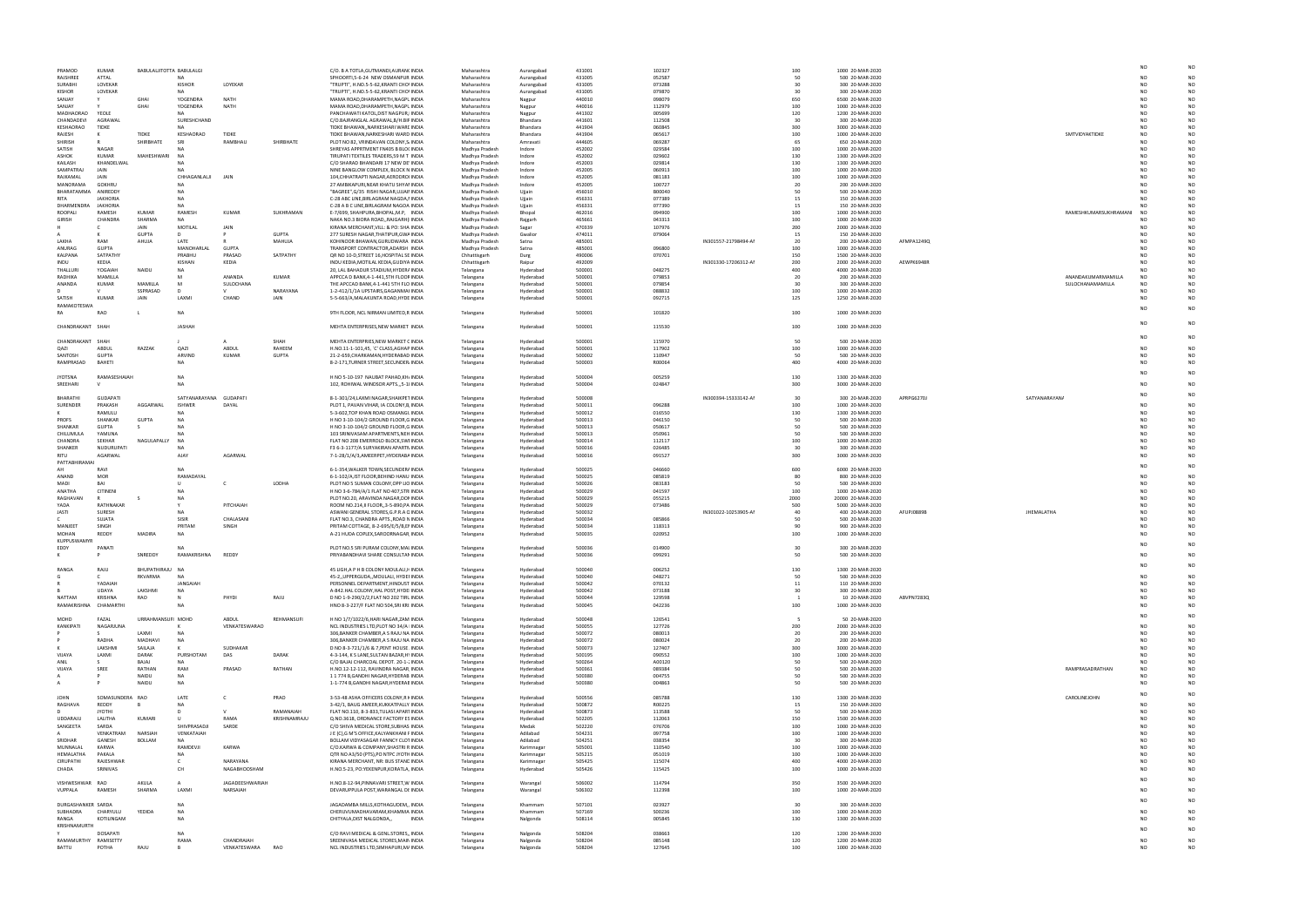|                  |                       | NO                     | NO              |
|------------------|-----------------------|------------------------|-----------------|
|                  |                       | NO                     | NO              |
|                  |                       | <b>NO</b>              | NO              |
|                  |                       | NO<br>NO               | NO<br>NO        |
|                  |                       | <b>NO</b>              | NO              |
|                  |                       | <b>NO</b>              | NO              |
|                  |                       | N <sub>O</sub><br>NO   | NO<br><b>NO</b> |
|                  | SMTVIDYAKTIDKE        | <b>NO</b>              | <b>NO</b>       |
|                  |                       | NO                     | NO              |
|                  |                       | <b>NO</b>              | NO              |
|                  |                       | <b>NO</b><br>NO        | NO<br>NO        |
|                  |                       | NO                     | NO              |
|                  |                       | NO                     | NO              |
|                  |                       | NO                     | NO              |
|                  |                       | <b>NO</b><br><b>NO</b> | NO<br>NO        |
|                  |                       | NO                     | NO              |
|                  | RAMESHKUMARSUKHRAMANI | NO                     | <b>NO</b>       |
|                  |                       | <b>NO</b>              | <b>NO</b>       |
|                  |                       | NO<br>NO               | NO<br>NO        |
|                  |                       | <b>NO</b>              | NO              |
|                  |                       | NO                     | NO              |
|                  |                       | NO                     | NO              |
|                  |                       | <b>NO</b><br>NO        | NO<br>NO        |
|                  | ANANDAKUMARMAMILLA    | NO                     | NO              |
|                  | SULOCHANAMAMILLA      | NO                     | <b>NO</b>       |
|                  |                       | NO                     | <b>NO</b>       |
|                  |                       | <b>NO</b>              | NO              |
|                  |                       | <b>NO</b>              | NO              |
|                  |                       | <b>NO</b>              | NO              |
|                  |                       |                        |                 |
|                  |                       | NO                     | NO              |
|                  |                       | <b>NO</b>              | <b>NO</b>       |
|                  |                       | NO                     | NO              |
|                  |                       | <b>NO</b>              | NO              |
|                  |                       | <b>NO</b>              | NO              |
|                  |                       | <b>NO</b>              | NO              |
|                  |                       | NO                     | NO              |
| <b>ANARAYANA</b> |                       |                        |                 |
|                  |                       | NO<br><b>NO</b>        | <b>NO</b><br>NO |
|                  |                       | NO                     | NO              |
|                  |                       | NO                     | NO              |
|                  |                       | <b>NO</b><br>NO        | <b>NO</b><br>NO |
|                  |                       | <b>NO</b>              | NO              |
|                  |                       | <b>NO</b>              | NO              |
|                  |                       | NO                     | NO              |
|                  |                       | <b>NO</b>              | <b>NO</b>       |
|                  |                       | NO                     | NO              |
|                  |                       | <b>NO</b>              | NO              |
|                  |                       | <b>NO</b>              | NO              |
| MALATHA          |                       | NO<br>NO               | NO<br>NO        |
|                  |                       | <b>NO</b>              | <b>NO</b>       |
|                  |                       | NO                     | NO              |
|                  |                       | <b>NO</b>              | NO              |
|                  |                       | <b>NO</b>              | NO              |
|                  |                       | <b>NO</b>              | <b>NO</b>       |
|                  |                       | <b>NO</b>              | NO              |
|                  |                       |                        |                 |
|                  |                       | NO<br><b>NO</b>        | NO<br>NO        |
|                  |                       | NO                     | NO              |
|                  |                       | NO                     | NO              |
|                  |                       | <b>NO</b>              | NO              |
|                  |                       | NO                     | NO              |
|                  |                       | NO                     | NO              |
|                  |                       | NO                     | NO              |
|                  |                       | NO                     | NO              |
|                  |                       | <b>NO</b><br>NO        | NO<br>NO        |
|                  |                       | <b>NO</b>              | NO              |
|                  | RAMPRASADRATHAN       | <b>NO</b>              | NO              |
|                  |                       | NO                     | NO              |
|                  |                       | NO                     | NO              |
|                  | CAROLINEJOHN          | <b>NO</b>              | NO              |
|                  |                       | NO                     | NO              |
|                  |                       | <b>NO</b><br>NO        | NO<br>NO        |
|                  |                       | NO                     | NO              |
|                  |                       | <b>NO</b>              | NO              |
|                  |                       | NO                     | NO              |
|                  |                       | NO                     | NO              |
|                  |                       | <b>NO</b><br>NO        | NO<br>NO        |
|                  |                       | NO                     | NO              |
|                  |                       | <b>NO</b>              | NO              |
|                  |                       |                        |                 |
|                  |                       | NO                     | NO              |
|                  |                       | <b>NO</b>              | NO              |
|                  |                       | NO                     | NO              |
|                  |                       | <b>NO</b>              | NO              |
|                  |                       | NO                     | NO              |
|                  |                       | <b>NO</b>              | NO              |

| PRAMOD                       | KUMAR                       | BABULALIITOTTA BABULALGI |                        |                            |              | C/O. B A TOTLA, GUTMANDI, AURAN( INDIA                                            | Maharashtra                      | Aurangabad               | 431001           | 102327           |                      | 100            | 1000 20-MAR-2020                     |            |                       |                                          |
|------------------------------|-----------------------------|--------------------------|------------------------|----------------------------|--------------|-----------------------------------------------------------------------------------|----------------------------------|--------------------------|------------------|------------------|----------------------|----------------|--------------------------------------|------------|-----------------------|------------------------------------------|
| RAJSHREE<br>SURABHI          | ATTAL<br>LOVEKAR            |                          | <b>KISHOR</b>          | LOYEKAR                    |              | SPHOORTI,5-6-24 NEW OSMANPUR INDIA<br>"TRUPTI", H.NO.5-5-62, KRANTI CHO' INDIA    | Maharashtra<br>Maharashtra       | Aurangabad               | 431005<br>431005 | 052587<br>073288 |                      | 50<br>30       | 500 20-MAR-2020<br>300 20-MAR-2020   |            |                       | NO<br>NO                                 |
| KISHOR                       | LOVEKAR                     |                          |                        |                            |              | "TRUPTI", H.NO.5-5-62, KRANTI CHO' INDIA                                          | Maharashtra                      | Aurangabad<br>Aurangabad | 431005           | 079870           |                      | 30             | 300 20-MAR-2020                      |            |                       | NO                                       |
| SANJAY                       | Y                           | GHAI                     | YOGENDRA               | <b>NATH</b>                |              | MAMA ROAD, DHARAMPETH, NAGPL INDIA                                                | Maharashtra                      | Nagpur                   | 440010           | 098079           |                      | 650            | 6500 20-MAR-2020                     |            |                       | NO                                       |
| SANJAY                       | Y                           | GHAI                     | YOGENDRA               | <b>NATH</b>                |              | MAMA ROAD, DHARAMPETH, NAGPL INDIA                                                | Maharashtra                      | Nagpur                   | 440016           | 112979           |                      | 100            | 1000 20-MAR-2020                     |            |                       | NO                                       |
| MADHAORAO                    | YEOLE                       |                          | <b>NA</b>              |                            |              | PANCHAWATI KATOL, DIST NAGPUR, INDIA                                              | Maharashtra                      | Nagpur                   | 441302           | 005699           |                      | 120            | 1200 20-MAR-2020                     |            |                       | NO                                       |
| CHANDADEV                    | AGRAWAL                     |                          | SURESHCHAND            |                            |              | C/O.BAJRANGLAL AGRAWAL, B/H. BIF INDIA<br>TIDKE BHAWAN, NARKESHARI WARE INDIA     | Maharashtra                      | Bhandara                 | 441601           | 112508           |                      | 30             | 300 20-MAR-2020                      |            |                       | NO<br>NΩ                                 |
| <b>KESHAORAO</b><br>RAJESH   | TIDKE<br>к                  | <b>TIDKE</b>             | KESHAORAC              | <b>TIDKF</b>               |              | TIDKE BHAWAN, NARKESHARI WARD INDIA                                               | Maharashtra<br>Maharashtra       | Bhandara<br>Bhandara     | 441904<br>441904 | 060845<br>065617 |                      | 300<br>100     | 3000 20-MAR-2020<br>1000 20-MAR-2020 |            | SMTVIDYAKTIDKE        | NO                                       |
| SHIRISH                      | $\mathsf{R}$                | SHIRBHATE                | SRI                    | RAMBHAU                    | SHIRBHATE    | PLOT NO 82, VRINDAVAN COLONY, S. INDIA                                            | Maharashtra                      | Amravati                 | 444605           | 069287           |                      | 65             | 650 20-MAR-2020                      |            |                       | NO                                       |
| SATISH                       | <b>NAGAR</b>                |                          |                        |                            |              | SHREYAS APPRTMENT FN405 B BLO( INDIA                                              | Madhya Pradesh                   | Indore                   | 452002           | 029584           |                      | 100            | 1000 20-MAR-2020                     |            |                       | NO                                       |
| ASHOK                        | KUMAR                       | MAHESHWARI               |                        |                            |              | TIRUPATI TEXTILES TRADERS,59 M T INDIA                                            | Madhya Pradesh                   | Indore                   | 452002           | 029602           |                      | 130            | 1300 20-MAR-2020                     |            |                       | NO.                                      |
| KAILASH                      | KHANDELWAL                  |                          |                        |                            |              | C/O SHARAD BHANDARI 17 NEW DE INDIA                                               | Madhya Pradesh                   | Indore                   | 452003           | 029814           |                      | 130            | 1300 20-MAR-2020                     |            |                       | NO                                       |
| SAMPATRAJ                    | JAIN                        |                          |                        |                            |              | NINE BANGLOW COMPLEX, BLOCK N INDIA                                               | Madhya Pradesh                   | Indore                   | 452005           | 060913           |                      | 100            | 1000 20-MAR-2020                     |            |                       | NΩ                                       |
| RAJKAMAL                     | JAIN                        |                          | CHHAGANLALII           | JAIN                       |              | 104, CHHATRAPTI NAGAR, AERODROI INDIA                                             | Madhya Pradesh                   | Indore                   | 452005           | 081183           |                      | 100            | 1000 20-MAR-2020                     |            |                       | NΩ                                       |
| MANORAMA<br>BHARATAMMA       | <b>GOKHRL</b><br>ANIREDDY   |                          |                        |                            |              | 27 AMBIKAPURI, NEAR KHATU SHYAI INDIA<br>"BAGREE", G/35 RISHI NAGAR, UJJAII INDIA | Madhya Pradesh<br>Madhya Pradesh | Indore<br>Ujjain         | 452005<br>456010 | 100727<br>B00040 |                      | 20<br>50       | 200 20-MAR-2020<br>500 20-MAR-2020   |            |                       | NO<br>NO                                 |
| RITA                         | <b>JAKHORIA</b>             |                          |                        |                            |              | C-28 ABC LINE, BIRLAGRAM NAGDA, I INDIA                                           | Madhya Pradesh                   | Ujjain                   | 456331           | 077389           |                      | 15             | 150 20-MAR-2020                      |            |                       | NO                                       |
| <b>DHARMENDRA</b>            | <b>JAKHORIA</b>             |                          |                        |                            |              | C-28 A B C LINE, BIRLAGRAM NAGOA INDIA                                            | Madhya Pradesh                   | Ujjain                   | 456331           | 077390           |                      | 15             | 150 20-MAR-2020                      |            |                       | NΟ                                       |
| ROOPAL                       | RAMESH                      | <b>KUMAR</b>             | RAMESH                 | <b>KUMAR</b>               | SUKHRAMAN    | E-7/699, SHAHPURA, BHOPAL, M.P, INDIA                                             | Madhya Pradesh                   | Bhopal                   | 462016           | 094900           |                      | 100            | 1000 20-MAR-2020                     |            | RAMESHKUMARSUKHRAMANI | NO                                       |
| GIRISH                       | CHANDRA                     | SHARMA                   | <b>NA</b>              |                            |              | NAKA NO.3 BIORA ROAD, RAJGARH ( INDIA                                             | Madhya Pradesh                   | Rajgarh                  | 465661           | 043313           |                      | 100            | 1000 20-MAR-2020                     |            |                       | NC                                       |
|                              |                             | JAIN                     | MOTILAL                | JAIN                       |              | KIRANA MERCHANT, VILL: & PO: SHA INDIA                                            | Madhya Pradesh                   | Sagar                    | 470339           | 107976           |                      | 200            | 2000 20-MAR-2020                     |            |                       | NO                                       |
|                              | к<br>RAM                    | <b>GUPTA</b>             | D                      |                            | <b>GUPTA</b> | 277 SURESH NAGAR, THATIPUR, GWA INDIA                                             | Madhya Pradesh                   | Gwalior                  | 474011           | 079064           |                      | 15             | 150 20-MAR-2020                      |            |                       | NO                                       |
| <b>I AKHA</b><br>ANURAG      | <b>GUPTA</b>                | AHUJA                    | LATE<br>MANOHARLAI     | <b>GUPTA</b>               | MAHUJA       | KOHINOOR BHAWAN, GURUDWARA INDIA<br>TRANSPORT CONTRACTOR, ADARSH INDIA            | Madhya Pradesh<br>Madhya Pradesh | Satna<br>Satna           | 485001<br>485001 | 096800           | IN301557-21798494-AM | 20<br>100      | 200 20-MAR-2020<br>1000 20-MAR-2020  | AFMPA1249Q |                       | NO<br>NO                                 |
| KALPANA                      | SATPATHY                    |                          | PRABHL                 | PRASAD                     | SATPATHY     | QR NO 10-D, STREET 16, HOSPITAL SE INDIA                                          | Chhattisgarh                     | Durg                     | 490006           | 070701           |                      | 150            | 1500 20-MAR-2020                     |            |                       | NO                                       |
| INDU                         | KEDIA                       |                          | KISHAN                 | KEDIA                      |              | INDU KEDIA, MOTILAL KEDIA, GUDIYA INDIA                                           | Chhattisgarh                     | Raipur                   | 492009           |                  | IN301330-17206312-AM | 200            | 2000 20-MAR-2020                     | AEWPK6948R |                       | NO                                       |
| THALLURI                     | YOGAIAH                     | NAIDU                    | <b>NA</b>              |                            |              | 20, LAL BAHADUR STADIUM, HYDER/ INDIA                                             | Telangana                        | Hyderabad                | 500001           | 048275           |                      | 400            | 4000 20-MAR-2020                     |            |                       | NO                                       |
| RADHIKA                      | MAMILLA                     |                          |                        | ANANDA                     | KUMAR        | APPCCA D BANK, 4-1-441, 5TH FLOOF INDIA                                           | Telangana                        | Hyderabad                | 500001           | 079853           |                      | 20             | 200 20-MAR-2020                      |            | ANANDAKUMARMAMILLA    | N <sub>O</sub>                           |
| ANANDA                       | <b>KUMAR</b>                | MAMILLA                  | M                      | SULOCHANA                  |              | THE APCCAD BANK, 4-1-441 5TH FLO INDIA                                            | Telangana                        | Hyderabad                | 500001           | 079854           |                      | 30             | 300 20-MAR-2020                      |            | SULOCHANAMAMILLA      | NO.                                      |
|                              | v                           | SSPRASAD                 | D                      | v                          | NARAYANA     | 1-2-412/1/1A UPSTAIRS, GAGANMAI INDIA                                             | Telangana                        | Hyderabad                | 500001           | 088832           |                      | 100            | 1000 20-MAR-2020                     |            |                       | NO.                                      |
| SATISH<br><b>RAMAKOTESWA</b> | <b>KUMAF</b>                | <b>JAIN</b>              | LAXM                   | CHAND                      | JAIN         | 5-5-663/A, MALAKUNTA ROAD, HYDE INDIA                                             | Telangana                        | Hyderabad                | 500001           | 092715           |                      | 125            | 1250 20-MAR-2020                     |            |                       | NO.                                      |
| RA                           | RAC                         |                          | <b>NA</b>              |                            |              | 9TH FLOOR, NCL NIRMAN LIMITED,R INDIA                                             | Telangana                        | Hyderabad                | 500001           | 101820           |                      | 100            | 1000 20-MAR-2020                     |            |                       | NΩ                                       |
|                              |                             |                          |                        |                            |              |                                                                                   |                                  |                          |                  |                  |                      |                |                                      |            |                       |                                          |
| CHANDRAKANT                  | SHAH                        |                          | JASHAH                 |                            |              | MEHTA ENTERPRISES, NEW MARKET INDIA                                               | Telangana                        | Hyderabad                | 500001           | 115530           |                      | 100            | 1000 20-MAR-2020                     |            |                       | NΩ                                       |
|                              |                             |                          |                        |                            |              |                                                                                   |                                  |                          |                  |                  |                      |                |                                      |            |                       |                                          |
| CHANDRAKANT                  | SHAH                        |                          |                        |                            | SHAH         | MEHTA ENTERPRIES, NEW MARKET ( INDIA                                              | Telangana                        | Hyderabad                | 500001           | 115970           |                      | 50             | 500 20-MAR-2020                      |            |                       |                                          |
| QAZI                         | ABDUL                       | RAZZAK                   | QAZI                   | ABDUL                      | RAHEEM       | H.NO.11-1-101,45, `C' CLASS, AGHAF INDIA                                          | Telangana                        | Hyderabad                | 500001           | 117902           |                      | 100            | 1000 20-MAR-2020                     |            |                       |                                          |
| SANTOSH                      | <b>GUPTA</b>                |                          | ARVIND                 | KUMAR                      | <b>GUPTA</b> | 21-2-659, CHARKAMAN, HYDERABAD INDIA                                              | Telangana                        | Hyderabad                | 500002           | 110947           |                      | 50             | 500 20-MAR-2020                      |            |                       | NΟ                                       |
| RAMPRASAD                    | BAHETI                      |                          | <b>NA</b>              |                            |              | 8-2-171, TURNER STREET, SECUNDER. INDIA                                           | Telangana                        | Hyderabad                | 500003           | R00064           |                      | 400            | 4000 20-MAR-2020                     |            |                       |                                          |
|                              |                             |                          |                        |                            |              |                                                                                   |                                  |                          |                  |                  |                      |                |                                      |            |                       | NO                                       |
| <b>JYOTSNA</b><br>SREEHARI   | RAMASESHAIAH                |                          | <b>NA</b><br><b>NA</b> |                            |              | H NO 5-10-197 NAUBAT PAHAD, KH. INDIA<br>102, ROHIWAL WINDSOR APTS.,,5-1  INDIA   | Telangana<br>Telangana           | Hyderabad<br>Hyderabad   | 500004<br>500004 | 005259<br>024847 |                      | 130<br>300     | 1300 20-MAR-2020<br>3000 20-MAR-2020 |            |                       |                                          |
|                              |                             |                          |                        |                            |              |                                                                                   |                                  |                          |                  |                  |                      |                |                                      |            |                       |                                          |
| BHARATHI                     | <b>GUDAPATI</b>             |                          | SATYANARAYANA GUDAPATI |                            |              | 8-1-301/24,LAXMI NAGAR,SHAIKPET INDIA                                             | Telangana                        | Hyderabad                | 500008           |                  | IN300394-15333142-AM | 30             | 300 20-MAR-2020                      | APRPG6270J | SATYANARAYAN/         |                                          |
| SURENDER                     | PRAKASH                     | AGGARWAL                 | <b>ISHWER</b>          | DAYAL                      |              | PLOT 1, PAVAN VIHAR, IA COLONY, B INDIA                                           | Telangana                        | Hyderabad                | 500011           | 096288           |                      | 100            | 1000 20-MAR-2020                     |            |                       | NO                                       |
|                              | RAMULU                      |                          |                        |                            |              | 5-3-602, TOP KHAN ROAD OSMANGL INDIA                                              | Telangana                        | Hyderabad                | 500012           | 016550           |                      | 130            | 1300 20-MAR-2020                     |            |                       | NΩ                                       |
| PROFS                        | SHANKAR                     | GUPTA                    | <b>NA</b>              |                            |              | H NO 3-10-104/2 GROUND FLOOR,G INDIA                                              | Telangana                        | Hyderabad                | 500013           | 046150           |                      | 50             | 500 20-MAR-2020                      |            |                       | NΟ                                       |
| SHANKAR                      | <b>GUPTA</b>                |                          |                        |                            |              | H NO 3-10-104/2 GROUND FLOOR,G INDIA                                              | Telangana                        | Hyderabad                | 500013           | 050617           |                      | 50             | 500 20-MAR-2020                      |            |                       |                                          |
| CHILUMULA                    | YAMUNA                      |                          | NΑ                     |                            |              | 103 SRINIVASAM APARTMENTS, NEH INDIA                                              | Telangana                        | Hyderabad                | 500013           | 050961           |                      | 50             | 500 20-MAR-2020                      |            |                       |                                          |
| CHANDRA<br>SHANKER           | SEKHAR<br><b>NUDURUPATI</b> | NAGULAPALLY              |                        |                            |              | FLAT NO 208 EMERROLD BLOCK, SWI INDIA<br>F3 6-3-1177/A SURYAKIRAN APARTN INDIA    | Telangana<br>Telangana           | Hyderabad<br>Hyderabad   | 500014<br>500016 | 112117<br>026485 |                      | 100<br>30      | 1000 20-MAR-2020<br>300 20-MAR-2020  |            |                       | NO<br>NO                                 |
| RITU                         | AGARWAI                     |                          | AJAY                   | AGARWAL                    |              | 7-1-28/1/A/3, AMEERPET, HYDERABA INDIA                                            | Telangana                        | Hyderabad                | 500016           | 091527           |                      | 300            | 3000 20-MAR-2020                     |            |                       | NΩ                                       |
| PATTABHIRAMAI                |                             |                          |                        |                            |              |                                                                                   |                                  |                          |                  |                  |                      |                |                                      |            |                       |                                          |
|                              | RAVI                        |                          | <b>NA</b>              |                            |              | 6-1-354, WALKER TOWN, SECUNDER/ INDIA                                             | Telangana                        | Hyderabad                | 500025           | 046660           |                      | 600            | 6000 20-MAR-2020                     |            |                       |                                          |
| <b>ANAND</b>                 | <b>MOR</b>                  |                          | RAMADAYAI              |                            |              | 6-1-102/A, IST FLOOR, BEHIND HANU INDIA                                           | Telangana                        | Hyderabad                | 500025           | 085819           |                      | 80             | 800 20-MAR-2020                      |            |                       | NC                                       |
|                              | <b>BAI</b>                  |                          | U                      | c                          | LODHA        | PLOT NO 5 SUMAN COLONY, OPP LIC INDIA                                             | Telangana                        | Hyderabad                | 500026           | 083183           |                      | 50             | 500 20-MAR-2020                      |            |                       | N <sub>O</sub><br>NO                     |
| MADI                         |                             |                          |                        |                            |              | H NO 3-6-784/A/1 FLAT NO 407, STR INDIA                                           | Telangana                        | Hyderabad                | 500029           | 041597           |                      | 100            | 1000 20-MAR-2020                     |            |                       | NO                                       |
| ANATHA                       | CITINENI                    |                          |                        |                            |              |                                                                                   |                                  | Hyderabad                | 500029           | 055215           |                      | 2000<br>500    | 20000 20-MAR-2020                    |            |                       | NΩ                                       |
| RAGHAVAN                     |                             |                          | <b>NA</b>              |                            |              | PLOT NO.20, ARAVINDA NAGAR, DOI INDIA                                             | Telangana                        |                          |                  |                  |                      |                | 5000 20-MAR-2020                     | AFUPJ0889B |                       | NO                                       |
| YADA                         | RATHNAKAF                   |                          |                        | PITCHAIAH                  |              | ROOM NO.214, II FLOOR, 3-5-890, PA INDIA                                          | Telangana                        | Hyderabad                | 500029           | 073486           |                      |                |                                      |            |                       |                                          |
| JASTI                        | SURESH                      |                          |                        |                            |              | ASWANI GENERAL STORES, G.P.R.A C INDIA                                            | Telangana                        | Hyderabad                | 500032           |                  | IN301022-10253905-AM | 40             | 400 20-MAR-2020                      |            | JHEMALATHA            |                                          |
|                              | SUIATA                      |                          | SISIR<br>PRITAM        | CHALASANI                  |              | FLAT NO.3, CHANDRA APTS., ROAD N INDIA<br>PRITAM COTTAGE, 8-2-695/E/5/B,EI INDIA  | Telangana                        | Hyderabad                | 500034           | 085866           |                      | 50<br>90       | 500 20-MAR-2020                      |            |                       |                                          |
| MANJEET<br>MOHAN             | SINGH<br>REDDY              | <b>MADIRA</b>            | <b>NA</b>              | SINGH                      |              | A-21 HUDA COPLEX, SAROORNAGAR INDIA                                               | Telangana<br>Telangana           | Hyderabad<br>Hyderabad   | 500034<br>500035 | 118313<br>020952 |                      | 100            | 900 20-MAR-2020<br>1000 20-MAR-2020  |            |                       |                                          |
| KUPPUSWAMYI                  |                             |                          |                        |                            |              |                                                                                   |                                  |                          |                  |                  |                      |                |                                      |            |                       |                                          |
| EDDY                         | PANAT                       |                          | NΔ                     |                            |              | PLOT NO.5 SRI PURAM COLONY, MAI INDIA                                             | Telangana                        | Hyderabad                | 500036           | 014900           |                      | 30             | 300 20-MAR-2020                      |            |                       |                                          |
|                              |                             | SNREDDY                  | RAMAKRISHNA            | <b>REDDY</b>               |              | PRIYABANDHAVI SHARE CONSULTAN INDIA                                               | Telangana                        | Hyderabac                | 500036           | 099291           |                      | 50             | 500 20-MAR-2020                      |            |                       | N <sub>O</sub>                           |
|                              |                             |                          |                        |                            |              |                                                                                   |                                  |                          |                  |                  |                      |                |                                      |            |                       |                                          |
| RANGA                        | RAJU                        | BHUPATHIRAJU NA          |                        |                            |              | 45 LIGH, A P H B COLONY MOULALI, HINDIA                                           | Telangana                        | Hyderabad                | 500040           | 006252           |                      | 130            | 1300 20-MAR-2020                     |            |                       |                                          |
|                              | $\mathsf{C}$                | RKVARMA                  | <b>NA</b>              |                            |              | 45-2, UPPERGUDA, MOULALI, HYDEI INDIA                                             | Telangana                        | Hyderabad                | 500040           | 048271           |                      | 50             | 500 20-MAR-2020                      |            |                       | NO                                       |
|                              | YADAIAH<br><b>UDAYA</b>     | LAKSHMI                  | JANGAIAH<br><b>NA</b>  |                            |              | PERSONNEL DEPARTMENT, HINDUST INDIA<br>A-842.HAL COLONY, HAL POST, HYDE INDIA     | Telangana                        | Hyderabad<br>Hyderabad   | 500042<br>500042 | 070132<br>073188 |                      | 11<br>30       | 110 20-MAR-2020<br>300 20-MAR-2020   |            |                       | NO<br>NO.<br>NO<br>NO.                   |
| <b>NATTAM</b>                | KRISHNA                     | RAO                      |                        | PHYDI                      | RAJU         | D NO 1-9-290/2/2, FLAT NO 202 TIRL INDIA                                          | Telangana<br>Telangana           | Hyderabad                | 500044           | 129598           |                      | $\overline{1}$ | 10 20-MAR-2020                       | ABVPN7283Q |                       | N <sub>O</sub>                           |
| RAMAKRISHNA                  | CHAMARTH                    |                          | <b>NA</b>              |                            |              | HNO 8-3-227/F FLAT NO 504, SRI KRI INDIA                                          | Telangana                        | Hyderabad                | 500045           | 042236           |                      | 100            | 1000 20-MAR-2020                     |            |                       | NO<br>NΩ                                 |
|                              |                             |                          |                        |                            |              |                                                                                   |                                  |                          |                  |                  |                      |                |                                      |            |                       |                                          |
| MOHD                         | FAZAL                       | URRAHMANSUFI MOHD        |                        | ABDUL                      | REHMANSUFI   | H NO 1/7/1022/6, HARI NAGAR, ZAM INDIA                                            | Telangana                        | Hyderabad                | 500048           | 126541           |                      |                | 50 20-MAR-2020                       |            |                       |                                          |
| KANKIPATI                    | NAGARJUNA                   |                          | к                      | VENKATESWARAO              |              | NCL INDUSTRIES LTD, PLOT NO 34/A INDIA                                            | Telangana                        | Hyderabad                | 500055           | 127726           |                      | 200            | 2000 20-MAR-2020                     |            |                       | NO                                       |
|                              | s                           | LAXMI                    | <b>NA</b>              |                            |              | 306, BANKER CHAMBER, A S RAJU NA INDIA                                            | Telangana                        | Hyderabad                | 500072           | 080013           |                      | 20             | 200 20-MAR-2020                      |            |                       | NO.<br>NO                                |
|                              | RADHA<br>LAKSHM             | MADHAVI<br>SAILAJA       | <b>NA</b><br>к         | SUDHAKAR                   |              | 306, BANKER CHAMBER, A S RAJU NA INDIA<br>D NO 8-3-721/1/6 & 7, PENT HOUSE INDIA  | Telangana<br>Telangana           | Hyderabad<br>Hyderabad   | 500072<br>500073 | 080024<br>127407 |                      | 20<br>300      | 200 20-MAR-2020<br>3000 20-MAR-2020  |            |                       | NO<br>NO<br>N <sub>O</sub>               |
| <b>VIJAYA</b>                | LAXMI                       | DARAK                    | PURSHOTAM              | DAS                        | DARAK        | 4-3-144, K S LANE, SULTAN BAZAR, H' INDIA                                         | Telangana                        | Hyderabad                | 500195           | 090552           |                      | 100            | 1000 20-MAR-2020                     |            |                       | NO<br>NO                                 |
| ANIL                         |                             | BAJAJ                    | <b>NA</b>              |                            |              | C/O BAJAJ CHARCOAL DEPOT. 20-1-; INDIA                                            | Telangana                        | Hyderabad                | 500264           | A00120           |                      | 50             | 500 20-MAR-2020                      |            |                       | NO<br>NO                                 |
| VIJAYA                       | SREE                        | RATHAN                   | RAM                    | PRASAD                     | RATHAN       | H.NO.12-12-112, RAVINDRA NAGAR INDIA                                              | Telangana                        | Hyderabad                | 500361           | 089384           |                      | 50             | 500 20-MAR-2020                      |            | RAMPRASADRATHAN       | NO                                       |
|                              |                             | NAIDU                    | NA                     |                            |              | 11774 B, GANDHI NAGAR, HYDERAB INDIA                                              | Telangana                        | Hyderabad                | 500380           | 004755           |                      | 50             | 500 20-MAR-2020                      |            |                       | NO<br>NO                                 |
|                              |                             | NAIDU                    | <b>NA</b>              |                            |              | 1-1-774 B, GANDHI NAGAR, HYDERAE INDIA                                            | Telangana                        | Hyderabad                | 500380           | 004863           |                      | 50             | 500 20-MAR-2020                      |            |                       | NO.<br>N <sub>O</sub>                    |
|                              |                             |                          |                        |                            |              |                                                                                   |                                  |                          |                  |                  |                      |                |                                      |            |                       | NO                                       |
| <b>JOHN</b><br>RAGHAVA       | SOMASUNDERA RAO<br>REDDY    |                          | LATE<br><b>NA</b>      | c                          | PRAO         | 3-53-48 ASHA OFFICERS COLONY, R I INDIA<br>3-42/1, BAUG AMEER, KUKKATPALLY INDIA  | Telangana<br>Telangana           | Hyderabad<br>Hyderabad   | 500556<br>500872 | 085788<br>R00225 |                      | 130<br>15      | 1300 20-MAR-2020<br>150 20-MAR-2020  |            | CAROLINEJOHN          | NO                                       |
|                              | <b>JYOTHI</b>               |                          | D                      | $\mathsf{V}$               | RAMANAIAH    | FLAT NO.110, 8-3-833, TULASI APAR1 INDIA                                          | Telangana                        | Hyderabad                | 500873           | 113588           |                      | 50             | 500 20-MAR-2020                      |            |                       | NO                                       |
| UDDARAJU                     | LALITHA                     | KUMARI                   | U                      | RAMA                       | KRISHNAMRAJU | Q.NO.3618, ORDNANCE FACTORY ES INDIA                                              | Telangana                        | Hyderabad                | 502205           | 112063           |                      | 150            | 1500 20-MAR-2020                     |            |                       | NO.                                      |
| SANGEETA                     | SARDA                       |                          | SHIVPRASADJI           | SARDE                      |              | C/O SHIVA MEDICAL STORE, SUBHAS INDIA                                             | Telangana                        | Medak                    | 502220           | 076706           |                      | 100            | 1000 20-MAR-2020                     |            |                       | NO                                       |
|                              | VFNKATRAM                   | NARSIAH                  | VENKATAIAH             |                            |              | J E (C), G M'S OFFICE, KALYANKHANI F INDIA                                        | Telangana                        | Adilabad                 | 504231           | 097758           |                      | 100            | 1000 20-MAR-2020                     |            |                       | NO                                       |
| SRIDHAR                      | GANESH                      | BOLLAM                   | <b>NA</b>              |                            |              | BOLLAM VIDYASAGAR FANNCY CLO1 INDIA                                               | Telangana                        | Adilabad                 | 504251           | 038354           |                      | 30             | 300 20-MAR-2020                      |            |                       | NO                                       |
| MUNNALAL                     | KARWA                       |                          | RAMDEVJI               | KARWA                      |              | C/O.KARWA & COMPANY, SHASTRI R INDIA                                              | Telangana                        | Karimnagar               | 505001           | 110540           |                      | 100            | 1000 20-MAR-2020                     |            |                       | NO                                       |
| HEMALATHA                    | PAKALA                      |                          | <b>NA</b>              |                            |              | QTR NO A3/50 (PTS), PO NTPC JYOTH INDIA                                           | Telangana                        | Karimnagar               | 505215           | 051019           |                      | 100            | 1000 20-MAR-2020                     |            |                       | NO.                                      |
| CIRUPATHI                    | RAJESHWAR                   |                          | c                      | NARAYANA                   |              | KIRANA MERCHANT, NR: BUS STANE INDIA                                              | Telangana                        | Karimnagar               | 505425           | 115074           |                      | 400            | 4000 20-MAR-2020                     |            |                       | NO<br>N <sub>O</sub><br>NO               |
| CHADA                        | SRINIVAS                    |                          | CH                     | NAGABHOOSHAM               |              | H.NO.5-23, PO:YEKENPUR, KORATLA, INDIA                                            | Telangana                        | Hyderabad                | 505426           | 115425           |                      | 100            | 1000 20-MAR-2020                     |            |                       |                                          |
| VISHWESHWAR                  | RAO                         | AKULA                    | $\overline{A}$         | JAGADEESHWARIAH            |              | H.NO.8-12-94, PINNAVARI STREET, W INDIA                                           | Telangana                        | Warangal                 | 506002           | 114794           |                      | 350            | 3500 20-MAR-2020                     |            |                       | NΩ                                       |
| VUPPALA                      | <b>RAMESH</b>               | SHARMA                   | LAXMI                  | NARSAIAH                   |              | DEVARUPPULA POST, WARANGAL DI INDIA                                               | Telangana                        | Warangal                 | 506302           | 112398           |                      | 100            | 1000 20-MAR-2020                     |            |                       |                                          |
|                              |                             |                          |                        |                            |              |                                                                                   |                                  |                          |                  |                  |                      |                |                                      |            |                       |                                          |
| DURGASHANKER SARDA           |                             |                          | <b>NA</b>              |                            |              | JAGADAMBA MILLS, KOTHAGUDEM,, INDIA                                               | Telangana                        | Khammam                  | 507101           | 023927           |                      | 30             | 300 20-MAR-2020                      |            |                       | N <sub>O</sub><br>NO                     |
| SUBHADRA                     | CHARYULU                    | YEDIDA                   | <b>NA</b>              |                            |              | CHERUVUMADHAVARAM, KHAMMA INDIA                                                   | Telangana                        | Khammam                  | 507169           | S00236           |                      | 100            | 1000 20-MAR-2020                     |            |                       | N <sub>O</sub>                           |
| RANGA                        | KOTILINGAM                  |                          | <b>NA</b>              |                            |              | CHITYALA, DIST NALGONDA,,<br><b>INDIA</b>                                         | Telangana                        | Nalgonda                 | 508114           | 005845           |                      | 130            | 1300 20-MAR-2020                     |            |                       | NO<br>NΩ                                 |
| KRISHNAMURTH                 |                             |                          |                        |                            |              |                                                                                   |                                  |                          |                  |                  |                      |                |                                      |            |                       | NO                                       |
|                              | <b>DOSAPATI</b>             |                          | <b>NA</b>              |                            |              | C/O RAVI MEDICAL & GENL.STORES, INDIA<br>SREENIVASA MEDICAL STORES.MAIN INDIA     | Telangana                        | Nalgonda                 | 508204           | 038663           |                      | 120            | 1200 20-MAR-2020                     |            |                       |                                          |
| RAMAMURTHY<br><b>BATTU</b>   | RAMISETTY<br>POTHA          | RAJU                     | RAMA<br>B              | CHANDRAIAH<br>VENKATESWARA | RAO          | NCL INDUSTRIES LTD, SIMHAPURI, M/ INDIA                                           | Telangana<br>Telangana           | Nalgonda<br>Nalgonda     | 508204<br>508204 | 085148<br>127645 |                      | 120<br>100     | 1200 20-MAR-2020<br>1000 20-MAR-2020 |            |                       | <b>NO</b><br>NO<br>N <sub>O</sub><br>NO. |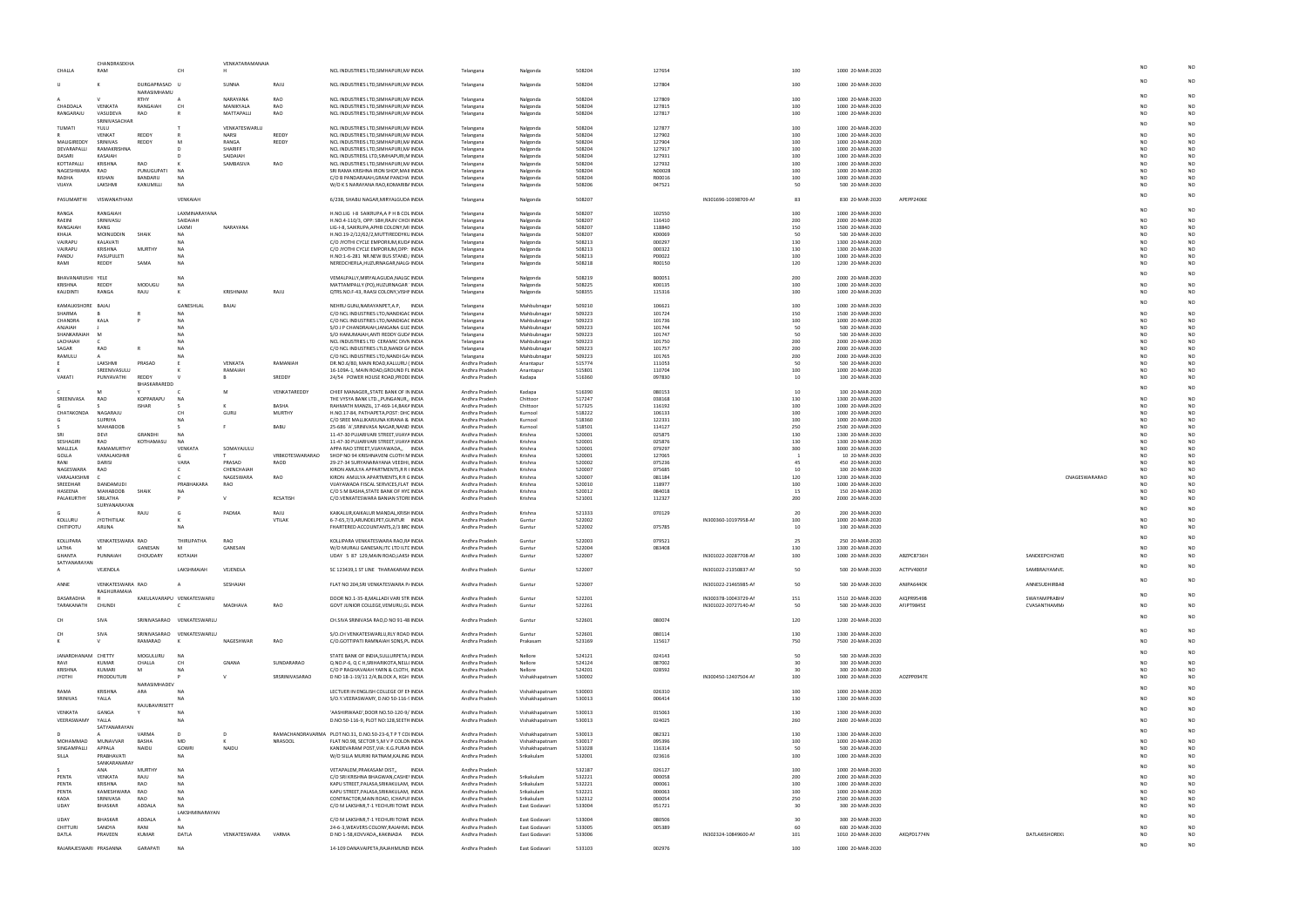|                         | CHANDRASEKHA                        |                              |                            | VENKATARAMANAIA     |                 |                                                                                    |                                  |                                  |                  |                  |                      |            |                                      |            |                |                |                                  |
|-------------------------|-------------------------------------|------------------------------|----------------------------|---------------------|-----------------|------------------------------------------------------------------------------------|----------------------------------|----------------------------------|------------------|------------------|----------------------|------------|--------------------------------------|------------|----------------|----------------|----------------------------------|
| CHALLA                  | RAM                                 |                              | CH                         |                     |                 | NCL INDUSTRIES LTD, SIMHAPURI, M/ INDIA                                            | Telangana                        | Nalgonda                         | 508204           | 127654           |                      | 100        | 1000 20-MAR-2020                     |            |                |                |                                  |
|                         |                                     | DURGAPRASAD U                |                            | SUNNA               | RAJU            | NCL INDUSTRIES LTD, SIMHAPURI, M/ INDIA                                            | Telangana                        | Nalgonda                         | 508204           | 127804           |                      | 100        | 1000 20-MAR-2020                     |            |                |                |                                  |
|                         |                                     | NARASIMHAMU                  |                            |                     |                 |                                                                                    |                                  |                                  |                  |                  |                      |            |                                      |            |                |                |                                  |
|                         |                                     | RTHY                         | $\overline{A}$             | NARAYANA            | RAO             | NCL INDUSTRIES LTD, SIMHAPURI, M/ INDIA                                            | Telangana                        | Nalgonda                         | 508204           | 127809           |                      | 100        | 1000 20-MAR-2020                     |            |                |                |                                  |
| CHADDALA                | VENKATA                             | RANGAIAH                     | CH                         | MANIKYALA           | RAO             | NCL INDUSTRIES LTD, SIMHAPURI, M/ INDIA                                            | Telangana                        | Nalgonda                         | 508204           | 127815           |                      | 100        | 1000 20-MAR-2020                     |            |                | NΩ             |                                  |
| RANGARAJU               | VASUDEVA                            | RAO                          |                            | MATTAPALLI          | RAO             | NCL INDUSTRIES LTD, SIMHAPURI, M/ INDIA                                            | Telangana                        | Nalgonda                         | 508204           | 127817           |                      | 100        | 1000 20-MAR-2020                     |            |                | NO             | N <sub>O</sub>                   |
|                         | SRINIVASACHAE                       |                              |                            |                     |                 |                                                                                    |                                  |                                  |                  |                  |                      |            |                                      |            |                |                |                                  |
| TUMATI                  | YULU                                |                              |                            | VENKATESWARLU       |                 | NCL INDUSTRIES LTD, SIMHAPURI, M/ INDIA                                            | Telangana                        | Nalgonda                         | 508204           | 127877           |                      | 100        | 1000 20-MAR-2020                     |            |                |                |                                  |
|                         | VENKAT                              | <b>REDDY</b>                 |                            | <b>NARSI</b>        | REDDY           | NCL INDUSTRIES LTD, SIMHAPURI, M/ INDIA                                            | Telangana                        | Nalgonda                         | 508204           | 127902           |                      | 100        | 1000 20-MAR-2020                     |            |                |                |                                  |
| MALIGIREDDY             | SRINIVAS                            | REDDY                        | N                          | RANGA               | REDDY           | NCL INDUSTREIS LTD, SIMHAPURI, M/ INDIA                                            | Telangana                        | Nalgonda                         | 508204           | 127904           |                      | 100        | 1000 20-MAR-2020                     |            |                | NΩ             |                                  |
| DEVARAPALLI<br>DASARI   | <b>RAMAKRISHN</b><br><b>KASAIAH</b> |                              |                            | SHARIFF<br>SAIDAIAH |                 | NCL INDUSTRIES LTD, SIMHAPURI, M/ INDIA<br>NCL INDUSTREISL LTD, SIMHAPURI, M INDIA | Telangana<br>Telangana           | Nalgonda<br>Nalgonda             | 508204<br>508204 | 127917<br>127931 |                      | 100<br>100 | 1000 20-MAR-2020<br>1000 20-MAR-2020 |            |                | NΩ             |                                  |
| KOTTAPALLI              | <b>KRISHNA</b>                      | RAO                          |                            | SAMBASIVA           | RAO             | NCL INDUSTRIES LTD, SIMHAPURI, M/ INDIA                                            | Telangana                        | Nalgonda                         | 508204           | 127932           |                      | 100        | 1000 20-MAR-2020                     |            |                |                |                                  |
| NAGESHWARA              | <b>RAO</b>                          | PUNUGUPATI                   | <b>NA</b>                  |                     |                 | SRI RAMA KRISHNA IRON SHOP, MAI INDIA                                              | Telangana                        | Nalgonda                         | 508204           | N00028           |                      | 100        | 1000 20-MAR-2020                     |            |                |                |                                  |
| RADHA                   | <b>KISHAN</b>                       | BANDARU                      | <b>NA</b>                  |                     |                 | C/O B PANDARAIAH, GRAM PANCHA INDIA                                                | Telangana                        | Nalgonda                         | 508204           | R00016           |                      | 100        | 1000 20-MAR-2020                     |            |                |                |                                  |
| VIJAYA                  | LAKSHMI                             | KANUMILLI                    | <b>NA</b>                  |                     |                 | W/O K S NARAYANA RAO, KOMARIBI INDIA                                               | Telangana                        | Nalgonda                         | 508206           | 047521           |                      | 50         | 500 20-MAR-2020                      |            |                | NO.            |                                  |
|                         |                                     |                              |                            |                     |                 |                                                                                    |                                  |                                  |                  |                  |                      |            |                                      |            |                | NΩ             |                                  |
| PASUMARTHI              | VISWANATHAM                         |                              | VENKAIAH                   |                     |                 | 6/238, SHABU NAGAR, MIRYALGUDA INDIA                                               | Telangana                        | Nalgonda                         | 508207           |                  | IN301696-10398709-AM | 83         | 830 20-MAR-2020                      | APEPP2406E |                |                |                                  |
|                         |                                     |                              |                            |                     |                 |                                                                                    |                                  |                                  |                  |                  |                      |            |                                      |            |                | NΩ             |                                  |
| RANGA                   | <b>RANGAIAH</b>                     |                              | LAXMINARAYANA              |                     |                 | H.NO.LIG I-8 SAIKRUPA, A P H B COL INDIA                                           | Telangana                        | Nalgonda                         | 508207           | 102550           |                      | 100        | 1000 20-MAR-2020                     |            |                |                |                                  |
| RAEINI<br>RANGAIAH      | SRINIVASU<br>RANG                   |                              | SAIDAIAH                   | NARAYANA            |                 | H.NO.4-110/3, OPP: SBH, RAJIV CHOI INDIA                                           | Telangana                        | Nalgonda                         | 508207<br>508207 | 116410<br>118840 |                      | 200        | 2000 20-MAR-2020                     |            |                | NΩ             |                                  |
| KHAJA                   | MOINUDDIN                           | SHAIK                        | LAXMI<br>NA.               |                     |                 | LIG-I-8, SAIKRUPA, APHB COLONY, MI INDIA<br>H.NO.19-2/12/62/2, MUTTIREDDYKL INDIA  | Telangana<br>Telangana           | Nalgonda<br>Nalgonda             | 508207           | K00069           |                      | 150<br>50  | 1500 20-MAR-2020<br>500 20-MAR-2020  |            |                | NΩ             |                                  |
| VAJRAPU                 | KALAVATI                            |                              | NA                         |                     |                 | C/O JYOTHI CYCLE EMPORIUM, KUD/ INDIA                                              | Telangana                        | Nalgonda                         | 508213           | 000297           |                      | 130        | 1300 20-MAR-2020                     |            |                |                |                                  |
| VAJRAPU                 | KRISHNA                             | MURTH                        | N/                         |                     |                 | C/O JYOTHI CYCLE EMPORIUM, OPP: INDIA                                              | Telangana                        | Nalgonda                         | 508213           | 000322           |                      | 130        | 1300 20-MAR-2020                     |            |                |                |                                  |
| PANDU                   | PASUPULET                           |                              | NA                         |                     |                 | H.NO:1-6-281 NR.NEW BUS STAND, INDIA                                               | Telangana                        | Nalgonda                         | 508213           | P00022           |                      | 100        | 1000 20-MAR-2020                     |            |                |                |                                  |
| RAMI                    | REDDY                               | SAMA                         | <b>NA</b>                  |                     |                 | NEREDCHERLA, HUZURNAGAR, NALG INDIA                                                | Telangana                        | Nalgonda                         | 508218           | R00150           |                      | 120        | 1200 20-MAR-2020                     |            |                | NO             |                                  |
|                         |                                     |                              |                            |                     |                 |                                                                                    |                                  |                                  |                  |                  |                      |            |                                      |            |                | NΩ             |                                  |
| BHAVANARUSHI            | YELE                                |                              | <b>NA</b>                  |                     |                 | VEMALPALLY, MIRYALAGUDA, NALGC INDIA                                               | Telangana                        | Nalgonda                         | 508219           | B00051           |                      | 200        | 2000 20-MAR-2020                     |            |                |                |                                  |
| KRISHNA                 | REDDY                               | MODUGU                       | <b>NA</b>                  |                     |                 | MATTAMPALLY (PO), HUZURNAGAR INDIA                                                 | Telangana                        | Nalgonda                         | 508225           | K00135           |                      | 100        | 1000 20-MAR-2020                     |            |                |                |                                  |
| KALIDINTI               | RANGA                               | RAJU                         | к                          | KRISHNAM            | RAJU            | QTRS.NO.F-43, RAASI COLONY, VISHI INDIA                                            | Telangana                        | Nalgonda                         | 508355           | 115316           |                      | 100        | 1000 20-MAR-2020                     |            |                |                |                                  |
| KAMALKISHORE            | <b>BAJA</b>                         |                              | GANESHLAL                  | BAJAJ               |                 | NEHRU GUNJ, NARAYANPET, A.P, INDIA                                                 | Telangana                        | Mahbubnagar                      | 509210           | 106621           |                      | 100        | 1000 20-MAR-2020                     |            |                |                |                                  |
| SHARMA                  |                                     |                              | <b>NA</b>                  |                     |                 | C/O NCL INDUSTRIES LTD, NANDIGAC INDIA                                             | Telangana                        | Mahbubnagar                      | 509223           | 101724           |                      | 150        | 1500 20-MAR-2020                     |            |                | N <sub>O</sub> |                                  |
| CHANDRA                 | KALA                                |                              | NΔ                         |                     |                 | C/O NCL INDUSTRIES LTD, NANDIGAC INDIA                                             | Telangana                        | Mahbubnagar                      | 509223           | 101736           |                      | 100        | 1000 20-MAR-2020                     |            |                | NΩ             |                                  |
| ANJAIAH                 |                                     |                              |                            |                     |                 | S/O J P CHANDRAIAH, JANGANA GUL INDIA                                              | Telangana                        | Mahbubnagar                      | 509223           | 101744           |                      | 50         | 500 20-MAR-2020                      |            |                |                |                                  |
| SHANKARAIAH             | M                                   |                              |                            |                     |                 | S/O HANUMAIAH, ANTI REDDY GUD/ INDIA                                               | Telangana                        | Mahbubnagar                      | 509223           | 101747           |                      | 50         | 500 20-MAR-2020                      |            |                |                |                                  |
| LACHAIAH                |                                     |                              | NA                         |                     |                 | NCL INDUSTRIES LTD CERAMIC DIVN INDIA                                              | Telangana                        | Mahbubnagar                      | 509223           | 101750           |                      | 200        | 2000 20-MAR-2020                     |            |                |                |                                  |
| SAGAR                   | <b>RAO</b>                          |                              | NA                         |                     |                 | C/O NCL INDUSTRIES LTLD, NANDI G/ INDIA                                            | Telangana                        | Mahbubnagar                      | 509223           | 101757           |                      | 200        | 2000 20-MAR-2020                     |            |                |                |                                  |
| RAMULU                  | A                                   |                              |                            |                     |                 | C/O NCL INDUSTRIES LTD, NANDI GA INDIA                                             | Telangana                        | Mahbubnagar                      | 509223           | 101765           |                      | 200        | 2000 20-MAR-2020                     |            |                | NΩ             |                                  |
|                         | LAKSHMI                             | PRASAD                       |                            | VENKATA             | RAMANIAH        | DR.NO.6/80, MAIN ROAD, KALLURU ( INDIA                                             | Andhra Pradesh                   | Anantapur                        | 515774           | 111053           |                      | 50         | 500 20-MAR-2020                      |            |                | NΩ             |                                  |
|                         | SREENIVASULU                        |                              |                            | RAMAIAH             |                 | 16-109A-1, MAIN ROAD, GROUND FL INDIA<br>24/54 POWER HOUSE ROAD, PRODI INDIA       | Andhra Pradesh                   | Anantapur                        | 515801           | 110704           |                      | 100        | 1000 20-MAR-2020                     |            |                |                |                                  |
| VAKATI                  | PUNYAVATHI                          | <b>REDDY</b><br>BHASKARAREDD |                            |                     | SREDDY          |                                                                                    | Andhra Pradesh                   | Kadapa                           | 516360           | 097830           |                      | 10         | 100 20-MAR-2020                      |            |                | NO             |                                  |
|                         |                                     |                              |                            | M                   | VENKATAREDDY    | CHIEF MANAGER,, STATE BANK OF IN INDIA                                             | Andhra Pradesh                   | Kadapa                           | 516390           | 080153           |                      | 10         | 100 20-MAR-2020                      |            |                | NC             |                                  |
| SREENIVASA              | RAO                                 | KOPPARAPU                    | NA                         |                     |                 | THE VYSYA BANK LTD.,, PUNGANUR,, INDIA                                             | Andhra Pradesh                   | Chittoor                         | 517247           | 038168           |                      | 130        | 1300 20-MAR-2020                     |            |                | NC             |                                  |
|                         |                                     | <b>ISHAR</b>                 |                            |                     | BASHA           | RAHMATH MANZIL, 17-469-14, BAK/ INDIA                                              | Andhra Pradesh                   | Chittoor                         | 517325           | 116192           |                      | 100        | 1000 20-MAR-2020                     |            |                | NΩ             |                                  |
| CHATAKONDA              | NAGARAJU                            |                              | CH                         | GURL                | MURTHY          | H.NO.17-84, PATHAPETA, POST: DHC INDIA                                             | Andhra Pradesh                   | Kurnool                          | 518222           | 106133           |                      | 100        | 1000 20-MAR-2020                     |            |                |                |                                  |
|                         | SUPRIYA                             |                              |                            |                     |                 | C/O SREE MALLIKARJUNA KIRANA & INDIA                                               | Andhra Pradesh                   | Kurnool                          | 518360           | 122331           |                      | 100        | 1000 20-MAR-2020                     |            |                |                |                                  |
|                         | <b>MAHABOOE</b>                     |                              |                            |                     | <b>BABU</b>     | 25-686 `A', SRINIVASA NAGAR, NAND INDIA                                            | Andhra Pradesh                   | Kurnool                          | 518501           | 114127           |                      | 250        | 2500 20-MAR-2020                     |            |                |                |                                  |
| SRI                     | <b>DEVI</b>                         | <b>GRANDHI</b>               | <b>NA</b>                  |                     |                 | 11-47-30 PUJARIVARI STREET, VIJAYA INDIA                                           | Andhra Pradesh                   | Krishna                          | 520001           | 025875           |                      | 130        | 1300 20-MAR-2020                     |            |                |                |                                  |
| SESHAGIRI               | RAO                                 | KOTHAMASU                    | <b>NA</b>                  |                     |                 | 11-47-30 PUJARIVARI STREET, VIJAYA INDIA                                           | Andhra Pradesh                   | Krishna                          | 520001           | 025876           |                      | 130        | 1300 20-MAR-2020                     |            |                | NΩ             |                                  |
| MALLELA                 | RAMAMURTHY<br>VARALAKSHM            |                              | VENKATA                    | SOMAYAJULU          |                 | APPA RAO STREET, VIJAYAWADA,, INDIA                                                | Andhra Pradesh                   | Krishna                          | 520001           | 079297           |                      | 300        | 3000 20-MAR-2020                     |            |                | NΩ             |                                  |
|                         |                                     |                              |                            |                     | VRBKOTESWARARAO | SHOP NO 94 KRISHNAVENI CLOTH N INDIA                                               | Andhra Pradesh                   | Krishna                          | 520001           | 127065           |                      |            | 10 20-MAR-2020                       |            |                | NO             |                                  |
| GOLLA                   |                                     |                              |                            |                     |                 |                                                                                    |                                  |                                  |                  |                  |                      |            |                                      |            |                |                |                                  |
| RANI                    | DARISI                              |                              | VARA                       | PRASAD              | RAOD            | 29-27-34 SURYANARAYANA VEEDHI, INDIA                                               | Andhra Pradesh                   | Krishna                          | 520002           | 075236           |                      | 45         | 450 20-MAR-2020                      |            |                |                |                                  |
| NAGESWARA               | RAO                                 |                              | C                          | CHENCHAIAH          |                 | KIRON AMULYA APPARTMENTS, R R I INDIA                                              | Andhra Pradesh                   | Krishna                          | 520007           | 075685           |                      | 10         | 100 20-MAR-2020                      |            |                | NΩ             |                                  |
| VARALAKSHMI<br>SREEDHAR | DANDAMUDI                           |                              | c<br>PRABHAKARA            | NAGESWARA<br>RAO    | <b>RAO</b>      | KIRON AMULYA APARTMENTS, R R C INDIA<br>VIJAYAWADA FISCAL SERVICES, FLAT INDIA     | Andhra Pradesh                   | Krishna<br>Krishna               | 520007<br>520010 | 081184<br>118977 |                      | 120        | 1200 20-MAR-2020<br>1000 20-MAR-2020 |            | CNAGESWARARAO  | NO<br>NO       |                                  |
| HASEENA                 | <b>MAHABOOB</b>                     | SHAIK                        | <b>NA</b>                  |                     |                 | C/O S M BASHA, STATE BANK OF HYE INDIA                                             | Andhra Pradesh<br>Andhra Pradesh | Krishna                          | 520012           | 084018           |                      | 100<br>15  | 150 20-MAR-2020                      |            |                | NΩ             |                                  |
| PALAKURTHY              | SRILATHA                            |                              |                            |                     | RCSATISH        | C/O.VENKATESWARA BANIAN STORI INDIA                                                | Andhra Pradesh                   | Krishna                          | 521001           | 112327           |                      | 200        | 2000 20-MAR-2020                     |            |                | NO             |                                  |
|                         | SURYANARAYAN                        |                              |                            |                     |                 |                                                                                    |                                  |                                  |                  |                  |                      |            |                                      |            |                |                |                                  |
|                         | $\mathsf{A}$                        | RAJL                         | G                          | PADMA               | RAJU            | KAIKALUR, KAIKALUR MANDAL, KRISH INDIA                                             | Andhra Pradesh                   | Krishna                          | 521333           | 070129           |                      | 20         | 200 20-MAR-2020                      |            |                | NC             |                                  |
| KOLLURU                 | <b>JYOTHITILAK</b>                  |                              |                            |                     | VTILAK          | 6-7-65,7/3,ARUNDELPET,GUNTUR INDIA                                                 | Andhra Pradesh                   | Guntur                           | 522002           |                  | IN300360-10197958-AM | 100        | 1000 20-MAR-2020                     |            |                |                |                                  |
| CHITIPOTU               | ARUNA                               |                              | <b>NA</b>                  |                     |                 | FHARTERED ACCOUNTANTS, 2/3 BRC INDIA                                               | Andhra Pradesh                   | Guntur                           | 522002           | 075785           |                      | 10         | 100 20-MAR-2020                      |            |                | NO             | N <sub>O</sub>                   |
|                         |                                     |                              |                            |                     |                 |                                                                                    |                                  |                                  |                  |                  |                      |            |                                      |            |                |                |                                  |
| KOLLIPARA               | VENKATESWARA RAO                    |                              | THIRUPATHA                 | <b>RAO</b>          |                 | KOLLIPARA VENKATESWARA RAO,RA INDIA                                                | Andhra Pradesh                   | Guntur                           | 522003           | 079521           |                      | 25         | 250 20-MAR-2020                      |            |                |                |                                  |
| LATHA                   | M                                   | GANESAN                      | <sub>N</sub>               | GANESAN             |                 | W/O MURALI GANESAN, ITC LTD ILTE INDIA                                             | Andhra Pradesh                   | Guntur                           | 522004           | 083408           |                      | 130        | 1300 20-MAR-2020                     |            |                |                | N <sub>O</sub>                   |
| GHANTA                  |                                     | <b>CHOUDARY</b>              | KOTAIAH                    |                     |                 | UDAY 5 87 129, MAIN ROAD, LAKSHINDIA                                               | Andhra Prades                    | Guntu                            | 52200            |                  | IN301022-20287708-A  |            | 1000 20-MAR-2020                     | ABZPC8736H | SANDEEPCHOW    |                |                                  |
| SATYANARAYAN<br>A       | VEJENDLA                            |                              | LAKSHMAIAH                 | VEJENDLA            |                 | SC 123439,1 ST LINE THARAKARAM INDIA                                               | Andhra Pradesh                   | Guntur                           | 522007           |                  | IN301022-21350837-AM | 50         | 500 20-MAR-2020                      | ACTPV4005F | SAMBRAJYAMVE.  | NO.            |                                  |
|                         |                                     |                              |                            |                     |                 |                                                                                    |                                  |                                  |                  |                  |                      |            |                                      |            |                |                |                                  |
| ANNE                    | VENKATESWARA RAO                    |                              |                            | SESHAIAH            |                 | FLAT NO 204, SRI VENKATESWARA P/ INDIA                                             | Andhra Pradesh                   | Guntur                           | 522007           |                  | IN301022-21465985-AM | 50         | 500 20-MAR-2020                      | ANIPA6440K | ANNESUDHIRBAE  | NO.            | N <sub>O</sub>                   |
|                         | RAGHURAMAIA                         |                              |                            |                     |                 |                                                                                    |                                  |                                  |                  |                  |                      |            |                                      |            |                |                |                                  |
| DASARADHA               |                                     |                              | KAKULAVARAPU VENKATESWARU  |                     |                 | DOOR NO.1-35-8, MALLADI VARI STR INDIA                                             | Andhra Pradesh                   | Guntur                           | 522201           |                  | IN300378-10043729-AM | 151        | 1510 20-MAR-2020                     | AIQPR9549B | SWAYAMPRABH/   | NΩ             |                                  |
| TARAKANATH              | CHUNDI                              |                              | C                          | MADHAVA             | RAO             | GOVT JUNIOR COLLEGE, VEMURU, GL INDIA                                              | Andhra Pradesh                   | Guntur                           | 522261           |                  | IN301022-20727140-AM | 50         | 500 20-MAR-2020                      | AFJPT9845E | CVASANTHAMM/   |                |                                  |
|                         |                                     |                              |                            |                     |                 |                                                                                    |                                  |                                  |                  |                  |                      |            |                                      |            |                | NO.            | N <sub>O</sub>                   |
| CH                      | SIVA                                |                              | SRINIVASARAO VENKATESWARLU |                     |                 | CH.SIVA SRINIVASA RAO,D NO 91-48 INDIA                                             | Andhra Pradesh                   | Guntur                           | 522601           | 080074           |                      | 120        | 1200 20-MAR-2020                     |            |                |                |                                  |
|                         |                                     |                              |                            |                     |                 |                                                                                    |                                  |                                  |                  |                  |                      |            |                                      |            |                |                | N <sub>O</sub>                   |
| CH <sub>1</sub>         | SIVA                                |                              | SRINIVASARAO VENKATESWARLU |                     |                 | S/O.CH VENKATESWARLU, RLY ROAD INDIA                                               | Andhra Pradesh                   | Guntur                           | 522601           | 080114           |                      | 130        | 1300 20-MAR-2020                     |            |                |                |                                  |
|                         |                                     | RAMARAO                      | K                          | NAGESHWAR           | RAO             | C/O.GOTTIPATI RAMNAIAH SONS, PL INDIA                                              | Andhra Pradesh                   | Prakasam                         | 523169           | 115617           |                      | 750        | 7500 20-MAR-2020                     |            |                |                | NO                               |
| JANARDHANAM CHETTY      |                                     | MOGULURU                     | NA                         |                     |                 | STATE BANK OF INDIA, SULLURPETA, INDIA                                             | Andhra Pradesh                   | Nellore                          | 524121           | 024143           |                      | 50         | 500 20-MAR-2020                      |            |                |                |                                  |
| RAVI                    | <b>KUMAR</b>                        | CHALLA                       | CH                         | GNANA               | SUNDARARAO      | Q.NO.P-6, Q C H, SRIHARIKOTA, NELLI INDIA                                          | Andhra Pradesh                   | Nellore                          | 524124           | 087002           |                      | 30         | 300 20-MAR-2020                      |            |                |                |                                  |
| <b>KRISHNA</b>          | KUMARI                              | M                            | N/                         |                     |                 | C/O P RAGHAVAIAH YARN & CLOTH, INDIA                                               | Andhra Pradesh                   | Nellore                          | 524201           | 028592           |                      | 30         | 300 20-MAR-2020                      |            |                |                |                                  |
| <b>JYOTHI</b>           | PRODDUTURI                          |                              |                            |                     | SRSRINIVASARAO  | D NO 18-1-19/11 2/4, BLOCK A, KGH INDIA                                            | Andhra Pradesh                   | Vishakhapatnam                   | 530002           |                  | IN300450-12407504-AM | 100        | 1000 20-MAR-2020                     | AOZPP0947E |                | NΩ             | NO                               |
|                         |                                     | NARASIMHADEV                 |                            |                     |                 |                                                                                    |                                  |                                  |                  |                  |                      |            |                                      |            |                |                |                                  |
| RAMA                    | KRISHNA                             | ARA                          | <b>NA</b>                  |                     |                 | LECTUER IN ENGLISH COLLEGE OF EN INDIA                                             | Andhra Pradesh                   | Vishakhapatnam                   | 530003           | 026310           |                      | 100        | 1000 20-MAR-2020                     |            |                |                |                                  |
| SRINIVAS                | YALLA                               |                              | NΔ                         |                     |                 | S/O.Y.VEERASWAMY, D.NO 50-116-! INDIA                                              | Andhra Pradesh                   | Vishakhapatnam                   | 530013           | 006414           |                      | 130        | 1300 20-MAR-2020                     |            |                | NΩ             |                                  |
|                         |                                     | RAJUBAVIRISETT               |                            |                     |                 |                                                                                    |                                  |                                  |                  |                  |                      |            |                                      |            |                |                | N <sub>O</sub>                   |
| VENKATA                 | GANGA                               |                              | N/                         |                     |                 | 'AASHIRWAAD', DOOR NO.50-120-9/ INDIA                                              | Andhra Pradesh                   | Vishakhapatnam                   | 530013           | 015063           |                      | 130        | 1300 20-MAR-2020                     |            |                |                |                                  |
| VEERASWAMY              | YALLA                               |                              | NA                         |                     |                 | D.NO:50-116-9, PLOT NO:128, SEETH INDIA                                            | Andhra Pradesh                   | Vishakhapatnam                   | 530013           | 024025           |                      | 260        | 2600 20-MAR-2020                     |            |                |                |                                  |
|                         | SATYANARAYAN<br>A                   | VARMA                        | D                          | D                   |                 |                                                                                    |                                  |                                  |                  |                  |                      |            |                                      |            |                |                |                                  |
|                         | <b>MUNAVVAR</b>                     | BASHA                        | MD                         | к                   |                 | RAMACHANDRAVARMA PLOT NO.31, D.NO.50-23-6,T P T COI INDIA                          | Andhra Pradesh                   | Vishakhapatnam                   | 530013           | 082321           |                      | 130        | 1300 20-MAR-2020                     |            |                | NΩ             |                                  |
| MOHAMMAD<br>SINGAMPALLI | APPALA                              | NAIDU                        | GOWRI                      | NAIDU               | <b>NRASOOL</b>  | FLAT NO.98, SECTOR 5, M V P COLON INDIA<br>KANDEVARAM POST, VIA: K.G. PURAN INDIA  | Andhra Pradesh<br>Andhra Pradesh | Vishakhapatnam<br>Vishakhapatnam | 530017<br>531028 | 095396<br>116314 |                      | 100<br>50  | 1000 20-MAR-2020<br>500 20-MAR-2020  |            |                |                |                                  |
| SILLA                   | PRABHAVATI                          |                              | <b>NA</b>                  |                     |                 | W/O SILLA MURIKI RATNAM, KALING INDIA                                              | Andhra Pradesh                   | Srikakulam                       | 532001           | 023616           |                      | 100        | 1000 20-MAR-2020                     |            |                | NΩ             | NO                               |
|                         | SANKARANARAY                        |                              |                            |                     |                 |                                                                                    |                                  |                                  |                  |                  |                      |            |                                      |            |                |                |                                  |
|                         | ANA                                 | <b>MURTH</b>                 | <b>NA</b>                  |                     |                 | VETAPALEM, PRAKASAM DIST,, INDIA                                                   | Andhra Pradesh                   |                                  | 532187           | 026127           |                      | 100        | 1000 20-MAR-2020                     |            |                |                |                                  |
| PENTA                   | VENKATA                             | RAJU                         | <b>NA</b>                  |                     |                 | C/O SRI KRISHNA BHAGWAN, CASHE' INDIA                                              | Andhra Pradesh                   | Srikakulam                       | 532221           | 000058           |                      | 200        | 2000 20-MAR-2020                     |            |                | NΩ             |                                  |
| PENTA                   | KRISHNA                             | RAO                          | <b>NA</b>                  |                     |                 | KAPU STREET, PALASA, SRIKAKULAM, INDIA                                             | Andhra Pradesh                   | Srikakulam                       | 532221           | 000061           |                      | 100        | 1000 20-MAR-2020                     |            |                | NΩ             | N <sub>O</sub>                   |
| PENTA                   | KAMESHWARA                          | RAO                          | <b>NA</b>                  |                     |                 | KAPU STREET, PALASA, SRIKAKULAM, INDIA                                             | Andhra Pradesh                   | Srikakulam                       | 532221           | 000063           |                      | 100        | 1000 20-MAR-2020                     |            |                |                |                                  |
| KADA                    | SRINIVASA                           | RAO                          | <b>NA</b>                  |                     |                 | CONTRACTOR, MAIN ROAD, ICHAPUI INDIA                                               | Andhra Pradesh                   | Srikakulam                       | 532312           | 000054           |                      | 250        | 2500 20-MAR-2020                     |            |                |                | NO                               |
| UDAY                    | BHASKAR                             | ADDALA                       | <b>NA</b>                  |                     |                 | C/O M LAKSHMI, T-1 YECHURI TOWE INDIA                                              | Andhra Pradesh                   | East Godavari                    | 533004           | 051721           |                      | 30         | 300 20-MAR-2020                      |            |                |                | N <sub>O</sub>                   |
| LIDAY                   | <b>BHASKAR</b>                      | ADDALA                       | LAKSHMINARAYAN<br>A        |                     |                 | C/O M LAKSHMI, T-1 YECHURI TOWE INDIA                                              | Andhra Pradesh                   | East Godavari                    | 533004           | 080506           |                      | 30         | 300 20-MAR-2020                      |            |                | NΩ             |                                  |
| CHITTUR                 | SANDYA                              | RANI                         | <b>NA</b>                  |                     |                 | 24-6-3, WEAVERS COLONY, RAJAHMI, INDIA                                             | Andhra Pradesh                   | East Godavari                    | 533005           | 005389           |                      | 60         | 600 20-MAR-2020                      |            |                | NΩ             |                                  |
| DATLA                   | PRAVEEN                             | KUMAR                        | DATLA                      | VENKATESWARA        | VARMA           | D NO 1-58, KOVVADA, , KAKINADA INDIA                                               | Andhra Pradesh                   | East Godavari                    | 533006           |                  | IN302324-10849600-AM | 101        | 1010 20-MAR-2020                     | AKQPD1774N | DATLAKISHOREKI | NO             |                                  |
| RAJARAJESWARI PRASANNA  |                                     | GARAPATI                     | <b>NA</b>                  |                     |                 | 14-109 DANAVAIPETA, RAJAHMUND INDIA                                                | Andhra Pradesh                   | East Godavari                    | 533103           | 002976           |                      | 100        | 1000 20-MAR-2020                     |            |                | N <sub>O</sub> | N <sub>O</sub><br>N <sub>O</sub> |

| NO             | N <sub>O</sub> |
|----------------|----------------|
| NO             | NO             |
| NO             | NO             |
| NO             | NO             |
| N <sub>O</sub> | NO             |
| NO             | N <sub>O</sub> |
| NO             | NO             |
| NO             | NO             |
| NO             | <b>NO</b>      |
| NO             | NO             |
| N <sub>O</sub> | NO             |
| NO             | NO             |
| NO             | NO             |
| N <sub>O</sub> | N <sub>O</sub> |
| NO             | NO             |
| NO             | NO             |
| NO             | NO             |
| NO             | NO             |
| NO             | <b>NO</b>      |
| NO             | NO             |
| NO             | NO             |
| NO             | NO             |
| NO             | NO             |
| NO             | N <sub>O</sub> |
| NO             | N <sub>O</sub> |
| NO             | NO             |
| NO             | NO             |
| NO             | NO             |
| NO             | <b>NO</b>      |
| N <sub>O</sub> | N <sub>O</sub> |
| N <sub>O</sub> | N <sub>0</sub> |
| NO             | NO             |
| NO             | NO             |
| N <sub>O</sub> | NO             |
| NO             | NO             |
| NO             | N <sub>O</sub> |
| NO             | NO             |
| NO             | NO             |
| NO             | NO             |
| NO             | <b>NO</b>      |
| NO             | NO             |
| NO             | NO             |
| NO             | NO             |
| NO             | NO             |
| NO             | NO             |
| NO             | <b>NO</b>      |
| NO             | NO             |
| NO             | NO             |
| N <sub>O</sub> | N <sub>O</sub> |
| NO             | NO             |
| N <sub>O</sub> | N <sub>O</sub> |
| NO             | NO             |
| NO             | NO             |
| NO             | N <sub>O</sub> |
| NO             | NO             |
| NO             | NO             |
| NO             | NO             |
| NΩ             | NO             |
| NO             | NO             |
| NO             | NO             |
| NO             | NO             |
| NO             | NO             |
| NO             | NO             |
| NO             | NO             |
| NO             | N <sub>O</sub> |
| NO             | NO             |
| NO             | NO             |
| N <sub>O</sub> | NO             |
| NO             | NO             |
| NO             | NO             |
| NO             | NO             |
| NO             | NO             |
| NO             | NO             |
| NO             | NO             |
| NO             | NO             |
| NO             | NO             |
| NO             | NO             |
| NO             | NO             |
| NO             | NO             |
| NO             | NO             |
| NO             | NO             |
| NO             | NO             |
| N <sub>O</sub> | NO             |
| N <sub>O</sub> | NO             |
| NO             | NO             |
| NO             | NO             |
| NO             | NO             |
| NO             | NO             |
|                |                |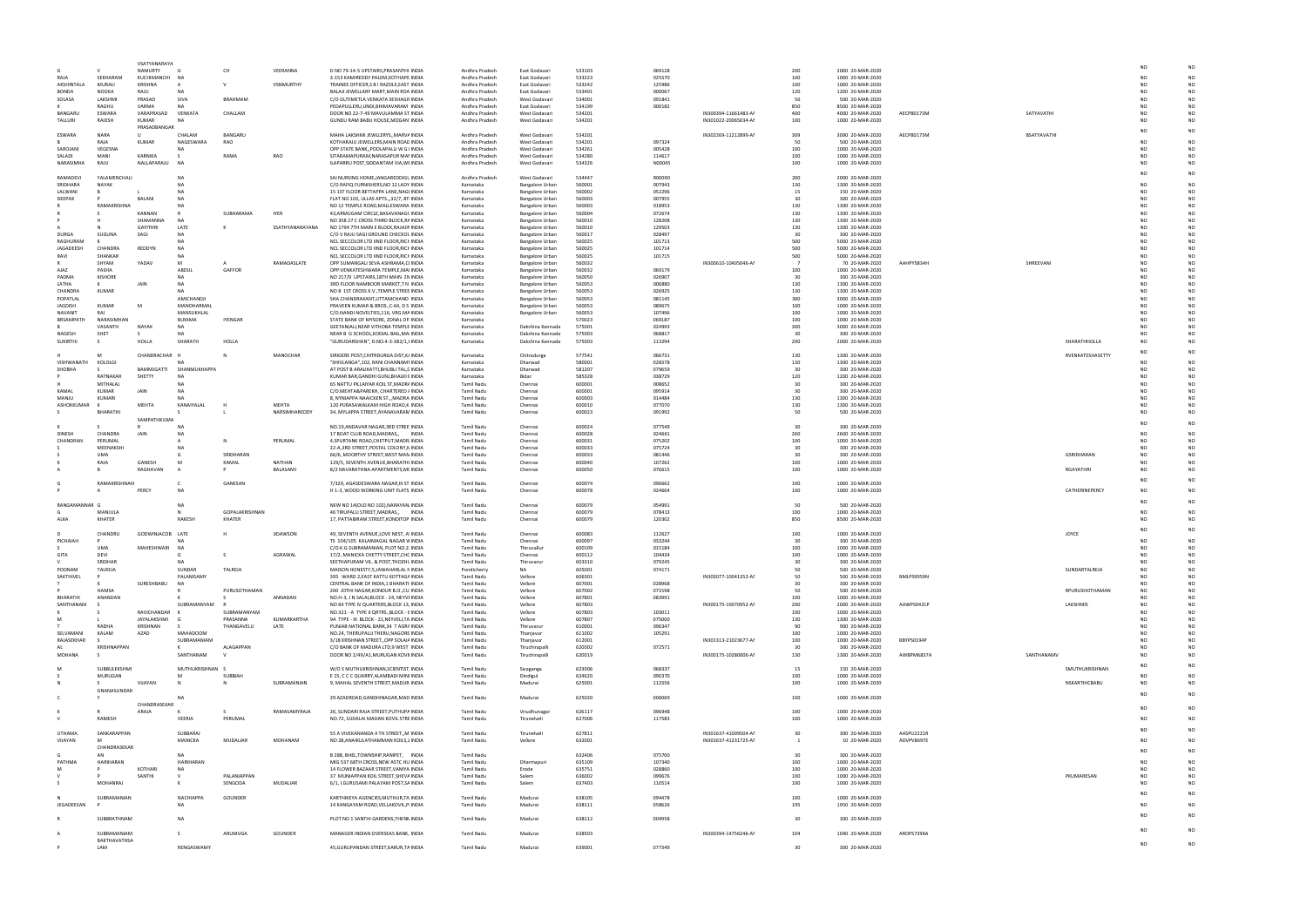|                            |                          | VSATYANARAYA            |                                |                          |                 |                                                                                       |                                        |                                      |                  |                  |                                              |            |                                      |            |             |                  |                 |                |
|----------------------------|--------------------------|-------------------------|--------------------------------|--------------------------|-----------------|---------------------------------------------------------------------------------------|----------------------------------------|--------------------------------------|------------------|------------------|----------------------------------------------|------------|--------------------------------------|------------|-------------|------------------|-----------------|----------------|
|                            |                          | NAMURTY                 |                                | CH                       | VEERANNA        | D NO 79-14-5 UPSTAIRS, PRASANTHI INDIA                                                | Andhra Pradesh                         | East Godavari                        | 533103           | 069128           |                                              | 200        | 2000 20-MAR-2020                     |            |             |                  | NO              |                |
| RAIA                       | SEKHARAM                 | KUCHIMANCHI             | NA                             |                          |                 | 3-153 KAMIREDDY PALEM, KOTHAPE INDIA                                                  | Andhra Pradesh                         | East Godavari                        | 533223           | 025570           |                                              | 100        | 1000 20-MAR-2020                     |            |             |                  | NΩ              |                |
| AKSHINTALA<br><b>BONDA</b> | MURALI<br><b>NOOKA</b>   | KRISHNA<br>RAJU         | <b>NA</b>                      |                          | VSNMURTHY       | TRAINEE OFFICER, S B I RAZOLE, EAST INDIA<br>BALAJI JEWELLARY MART.MAIN ROA INDIA     | Andhra Pradesh<br>Andhra Pradesh       | East Godavari<br>East Godavari       | 533242<br>533401 | 125986<br>000067 |                                              | 100<br>120 | 1000 20-MAR-2020<br>1200 20-MAR-2020 |            |             |                  | NO<br>NΩ        |                |
| SOLASA                     | <b>I AKSHMI</b>          | PRASAD                  | SIVA                           | <b>BRAHMAM</b>           |                 | C/O GUTIMETLA VENKATA SESHAGII INDIA                                                  | Andhra Pradesh                         | West Godavari                        | 534001           | 091841           |                                              | 50         | 500 20-MAR-2020                      |            |             |                  | NΩ              |                |
|                            | RAGHU                    | VARMA                   | NA                             |                          |                 | PEDAPULLERU, UNDI, BHIMAVARAM INDIA                                                   | Andhra Pradesh                         | East Godavari                        | 534199           | 000182           |                                              | 850        | 8500 20-MAR-2020                     |            |             |                  | NΩ              |                |
| BANGARU<br>TALLURI         | ESWARA<br>RAJESH         | VARAPRASAD<br>KUMAR     | VENKATA<br><b>NA</b>           | CHALLAM                  |                 | DOOR NO 22-7-49 MAVULAMMA ST INDIA<br>GUNDU RAM BABU HOUSE, MOGAN INDIA               | Andhra Pradesh<br>Andhra Pradesh       | West Godavari<br>West Godavari       | 534201<br>534201 |                  | IN300394-11661483-AM<br>IN301022-20065034-AM | 400<br>100 | 4000 20-MAR-2020<br>1000 20-MAR-2020 | AECPB0173M | SATYAVATHI  |                  | NO<br>NΩ        | N <sub>O</sub> |
|                            |                          | PRASADBANGAR            |                                |                          |                 |                                                                                       |                                        |                                      |                  |                  |                                              |            |                                      |            |             |                  |                 |                |
| ESWARA                     | <b>NARA</b>              | $\mathbf{U}$            | CHALAM                         | BANGARU                  |                 | MAHA LAKSHMI JEWLLERYS,, MARV/ INDIA                                                  | Andhra Pradesh                         | West Godavari                        | 534201           |                  | IN302269-11212899-AI                         | 309        | 3090 20-MAR-2020                     | AECPB0173M | BSATYAVATHI |                  |                 |                |
| SAROJANI                   | RAIA<br>VEGESNA          | KUMAR                   | NAGESWARA<br><b>NA</b>         | RAO                      |                 | KOTHARAJU JEWELLERS, MAIN ROAE INDIA<br>OPP STATE BANK,, POOLAPALLI W G INDIA         | Andhra Pradesh<br>Andhra Pradesh       | West Godavari<br>West Godavari       | 534201<br>534261 | 097324<br>005428 |                                              | 50<br>100  | 500 20-MAR-2020<br>1000 20-MAR-2020  |            |             |                  | NΩ<br>NO        | N <sub>O</sub> |
| SALADI                     | MANI                     | KARNIKA                 |                                | RAMA                     | RAO             | SITARAMAPURAM, NARASAPUR MAI INDIA                                                    | Andhra Pradesh                         | West Godavari                        | 534280           | 114617           |                                              | 100        | 1000 20-MAR-2020                     |            |             |                  | NO              | N <sub>O</sub> |
| NARASIMHA                  | RAJU                     | NALLAPARAJU             | N <sub>A</sub>                 |                          |                 | ILAPARRU POST, SIDDANTAM VIA, WI INDIA                                                | Andhra Pradesh                         | West Godavari                        | 534326           | N00045           |                                              | 100        | 1000 20-MAR-2020                     |            |             |                  | NΩ              | N <sub>O</sub> |
| RAMADEVI                   | YALAMENCHALI             |                         | <b>NA</b>                      |                          |                 | SAI NURSING HOME, JANGAREDDIGL INDIA                                                  | Andhra Pradesh                         | West Godavari                        | 534447           | R00090           |                                              | 200        | 2000 20-MAR-2020                     |            |             |                  | NO              |                |
| SRIDHARA                   | <b>NAYAK</b>             |                         | NA                             |                          |                 | C/O RAFIQ FURNISHERS, NO 12 LADY INDIA                                                | Karnataka                              | Bangalore Urban                      | 560001           | 007943           |                                              | 130        | 1300 20-MAR-2020                     |            |             |                  | NΩ              |                |
| LALWANI                    |                          |                         | <b>NA</b>                      |                          |                 | 15 1ST FLOOR BETTAPPA LANE, NAGI INDIA                                                | Karnataka                              | Bangalore Urban                      | 560002           | 052296           |                                              | 15         | 150 20-MAR-2020                      |            |             |                  | NO              |                |
| DEEPAK                     | <b>RAMAKRISHN</b>        | <b>BAI AN</b>           | <b>NA</b>                      |                          |                 | FLAT NO.103, ULLAS APTS.,,32/7, 8T INDIA<br>NO 12 TEMPLE ROAD, MALLESWARA INDIA       | Karnataka<br>Karnataka                 | Bangalore Urban                      | 560003<br>560003 | 007955<br>018953 |                                              | 30<br>130  | 300 20-MAR-2020<br>1300 20-MAR-2020  |            |             |                  | ٧C<br>NΩ        |                |
|                            |                          | KANNAN                  |                                | SUBHARAMA                | <b>IYER</b>     | 43,ARMUGAM CIRCLE,BASAVANAGL INDIA                                                    | Karnataka                              | Bangalore Urban<br>Bangalore Urban   | 560004           | 072674           |                                              | 130        | 1300 20-MAR-2020                     |            |             |                  | NO              |                |
|                            |                          | SHAMANNA                | <b>NA</b>                      |                          |                 | NO 358 27 C CROSS THIRD BLOCK, RAINDIA                                                | Karnataka                              | Bangalore Urban                      | 560010           | 128208           |                                              | 130        | 1300 20-MAR-2020                     |            |             |                  |                 |                |
|                            |                          | <b>GAYITHRI</b><br>SAGI | LATE                           |                          | SSATHYANARAYANA | NO 1794 7TH MAIN E BLOCK, RAJAJII INDIA                                               | Karnataka                              | Bangalore Urban                      | 560010           | 129503           |                                              | 130        | 1300 20-MAR-2020                     |            |             |                  | NΩ<br>NO        |                |
| <b>DURGA</b><br>RAGHURAM   | SUGUNA                   |                         | NA<br><b>NA</b>                |                          |                 | C/O V RAJU SAGI GROUND CHECKOL INDIA<br>NCL SECCOLOR LTD IIND FLOOR, RICH INDIA       | Karnataka<br>Karnataka                 | Bangalore Urban<br>Bangalore Urban   | 560017<br>560025 | 028497<br>101713 |                                              | 30<br>500  | 300 20-MAR-2020<br>5000 20-MAR-2020  |            |             |                  | NO              |                |
| JAGADEESH                  | <b>CHANDRA</b>           | REDDYN                  | <b>NA</b>                      |                          |                 | NCL SECCOLOR LTD IIND FLOOR, RICH INDIA                                               | Karnataka                              | Bangalore Urban                      | 560025           | 101714           |                                              | 500        | 5000 20-MAR-2020                     |            |             |                  | ٧C              |                |
| RAVI                       | <b>SHANKAF</b>           |                         | <b>NA</b>                      |                          |                 | NCL SECCOLOR LTD IIND FLOOR, RICH INDIA                                               | Karnataka                              | Bangalore Urban                      | 560025           | 101715           |                                              | 500        | 5000 20-MAR-2020                     |            |             |                  | NO              |                |
| <b>AJAZ</b>                | SHYAM<br>PASHA           | YADAV                   | M<br>ABDUL                     | GAFFOR                   | RAMADASLATE     | OPP SUMANGALI SEVA ASHRAMA, CI INDIA<br>OPP:VENKATESHWARA TEMPLE.MAI INDIA            | Karnataka<br>Karnataka                 | Bangalore Urban<br>Bangalore Urban   | 560032<br>560032 | 069179           | IN300610-10405046-AM                         | 100        | 70 20-MAR-2020<br>1000 20-MAR-2020   | AAHPY5834H | SHREEVANI   |                  | NO<br>NO        |                |
| PADMA                      | <b>KISHORE</b>           |                         | <b>NA</b>                      |                          |                 | NO 217/9 UPSTAIRS, 18TH MAIN 2N INDIA                                                 | Karnataka                              | Bangalore Urban                      | 560050           | 026907           |                                              | 30         | 300 20-MAR-2020                      |            |             |                  | NO              |                |
| LATHA                      | К                        |                         | NA                             |                          |                 | 3RD FLOOR NAMBOOR MARKET,T N INDIA                                                    | Karnataka                              | Bangalore Urban                      | 560053           | 006880           |                                              | 130        | 1300 20-MAR-2020                     |            |             |                  | NO              |                |
| CHANDRA                    | <b>KUMAR</b>             |                         | NA<br>AMICHANDJI               |                          |                 | NO 8 1ST CROSS K.V., TEMPLE STREE INDIA                                               | Karnataka                              | Bangalore Urban                      | 560053           | 026925           |                                              | 130<br>300 | 1300 20-MAR-2020                     |            |             |                  | NO<br>NO        |                |
| POPATLAL<br><b>JAGDISH</b> | <b>KUMAR</b>             |                         | MANOHARMAL                     |                          |                 | SHA CHANDRAKANT, UTTAMCHAND INDIA<br>PRAVEEN KUMAR & BROS., C-64, D S INDIA           | Karnataka<br>Karnataka                 | Bangalore Urban<br>Bangalore Urban   | 560053<br>560053 | 081145<br>089675 |                                              | 100        | 3000 20-MAR-2020<br>1000 20-MAR-2020 |            |             |                  | NO              |                |
| NAVANIT                    | RAI                      |                         | MANSUKHLAL                     |                          |                 | C/O.NANDI NOVELTIES,116, VRG.MA INDIA                                                 | Karnataka                              | Bangalore Urban                      | 560053           | 107496           |                                              | 100        | 1000 20-MAR-2020                     |            |             |                  | NO              |                |
| BRSAMPATH                  | NARASIMHAN               |                         | BLRAMA                         | IYENGAR                  |                 | STATE BANK OF MYSORE, ZONAL OF INDIA                                                  | Karnataka                              |                                      | 570023           | 069187           |                                              | 100        | 1000 20-MAR-2020                     |            |             |                  | NO              |                |
| NAGESH                     | VASANTH<br>SHET          | NAYAK                   | <b>NA</b>                      |                          |                 | GEETANJALI, NEAR VITHOBA TEMPLE INDIA<br>NEAR B G SCHOOL, KODIAL BAIL, MA INDIA       | Karnataka<br>Karnataka                 | Dakshina Kannada<br>Dakshina Kannada | 575001<br>575003 | 024993<br>068817 |                                              | 300<br>30  | 3000 20-MAR-2020<br>300 20-MAR-2020  |            |             |                  | NO<br>NO        | N <sub>O</sub> |
| SUKIRTHI                   |                          | HOLLA                   | SHARATH                        | HOLLA                    |                 | "GURUDARSHAN", D.NO.4-3-382/1,I INDIA                                                 | Karnataka                              | Dakshina Kannada                     | 575003           | 113294           |                                              | 200        | 2000 20-MAR-2020                     |            |             | SHARATHHOLLA     | NO              |                |
|                            |                          |                         |                                |                          |                 |                                                                                       |                                        |                                      |                  |                  |                                              |            |                                      |            |             |                  | NO              |                |
| VISHWANATI                 | KOLOLGI                  | CHANDRACHAR             |                                |                          | MANOCHAR        | SIRIGERE POST, CHITRDURGA DIST, K/ INDIA<br>"SHIVLANGA",102, RANI CHANNAMI INDIA      | Karnataka                              | Chitradurga                          | 577541<br>580001 | 066731<br>028378 |                                              | 130<br>130 | 1300 20-MAR-2020<br>1300 20-MAR-2020 |            |             | RVENKATESHASETTY | NΩ              |                |
| SHOBHA                     |                          | BAMMJGATTI              | SHANMUKHAPPA                   |                          |                 | AT POST B ARALIKATTI, BHUBLI TAL, E INDIA                                             | Karnataka<br>Karnataka                 | Dharwad<br>Dharwad                   | 581207           | 079659           |                                              | 30         | 300 20-MAR-2020                      |            |             |                  | NO              |                |
|                            | RATNAKAR                 | SHETTY                  | <b>NA</b>                      |                          |                 | KUMAR BAR, GANDHI GUNJ, BHALKI I INDIA                                                | Karnataka                              | Bidar                                | 585328           | 038729           |                                              | 120        | 1200 20-MAR-2020                     |            |             |                  | NΩ              |                |
|                            | MITHALAL                 |                         | NA                             |                          |                 | 65 NATTU PILLAIYAR KOIL ST, MADR/ INDIA                                               | <b>Tamil Nadu</b>                      | Chennai                              | 600001           | 008652           |                                              | 30         | 300 20-MAR-2020                      |            |             |                  | NΩ              |                |
| KAMAL<br>MANJU             | <b>KUMAF</b><br>KUMARI   | JAIN                    | <b>NA</b><br><b>NA</b>         |                          |                 | C/O.MEHTA&PAREKH, CHARTERED / INDIA<br>8, NYNIAPPA NAAICKEN ST., MADRA INDIA          | <b>Tamil Nadu</b><br><b>Tamil Nadu</b> | Chennai<br>Chennai                   | 600001<br>600003 | 095914<br>014484 |                                              | 30<br>130  | 300 20-MAR-2020<br>1300 20-MAR-2020  |            |             |                  | NO<br>NO        |                |
| ASHOKKUMAR                 |                          | MEHTA                   | KANAIYALAL                     |                          | MFHTA           | 120 PURASAWALKAM HIGH ROAD,K INDIA                                                    | Tamil Nadu                             | Chennai                              | 600010           | 077070           |                                              | 130        | 1300 20-MAR-2020                     |            |             |                  | NΩ              |                |
|                            | BHARATHI                 |                         |                                |                          | NARSIMHAREDDY   | 34, MYLAPPA STREET, AYANAVARAN INDIA                                                  | Tamil Nadu                             | Chennai                              | 600023           | 091992           |                                              | 50         | 500 20-MAR-2020                      |            |             |                  | NO              | N <sub>O</sub> |
|                            |                          | SAMPATHKUMA             |                                |                          |                 | NO.19, ANDAVAR NAGAR, 3RD STREE INDIA                                                 | <b>Tamil Nadu</b>                      | Chennai                              | 600024           | 077549           |                                              | 30         | 300 20-MAR-2020                      |            |             |                  | NO              |                |
| <b>DINESH</b>              | CHANDRA                  | JAIN                    | NΔ                             |                          |                 | 17 BOAT CLUB ROAD, MADRAS,, INDIA                                                     | <b>Tamil Nadu</b>                      | Chennai                              | 600028           | 024661           |                                              | 260        | 2600 20-MAR-2020                     |            |             |                  | NO              |                |
| CHANDRAN                   | PERUMAL                  |                         |                                |                          | PERUMAL         | 4, SPURTANK ROAD, CHETPUT, MADR INDIA                                                 | <b>Tamil Nadu</b>                      | Chennai                              | 600031           | 075202           |                                              | 100        | 1000 20-MAR-2020                     |            |             |                  | NO              |                |
|                            | MFFNAKSHI<br><b>IIMA</b> |                         | NΑ                             | SRIDHARAN                |                 | 22-A,3RD STREET, POSTAL COLONY, NINDIA<br>66/6, MOORTHY STREET, WEST MAN INDIA        | Tamil Nadu<br><b>Tamil Nadu</b>        | Chennai<br>Chennai                   | 600033<br>600033 | 075724<br>081446 |                                              | 30<br>30   | 300 20-MAR-2020<br>300 20-MAR-2020   |            |             | GSRIDHARAN       | NΩ<br>NO        |                |
|                            | RAIA                     | GANESH                  |                                | KAMAL                    | NATHAN          | 129/5, SEVENTH AVENUE, BHARATHI INDIA                                                 | <b>Tamil Nadu</b>                      | Chennai                              | 600040           | 107262           |                                              | 100        | 1000 20-MAR-2020                     |            |             |                  | NΩ              |                |
|                            |                          |                         |                                |                          |                 |                                                                                       |                                        |                                      |                  |                  |                                              |            |                                      |            |             |                  |                 |                |
|                            |                          | RAGHAVAN                |                                |                          | BALASAMI        | 8/2 NAVARATHNA APARTMENTS, MI INDIA                                                   | <b>Tamil Nadu</b>                      | Chennai                              | 600050           | 076615           |                                              | 100        | 1000 20-MAR-2020                     |            |             | <b>RGAYATHRI</b> | N <sub>O</sub>  | N <sub>O</sub> |
|                            |                          |                         |                                |                          |                 |                                                                                       |                                        |                                      |                  |                  |                                              |            |                                      |            |             |                  | NO              |                |
|                            | RAMAKRISHNAM             | PERCY                   | $\mathsf{C}$<br><b>NA</b>      | GANESAN                  |                 | 7/329, AGASDESWARA NAGAR, III ST INDIA<br>H 1-3, WOOD WORKING UNIT FLATS INDIA        | <b>Tamil Nadu</b><br>Tamil Nadu        | Chennai<br>Chennai                   | 600074<br>600078 | 096662<br>024664 |                                              | 100<br>100 | 1000 20-MAR-2020<br>1000 20-MAR-2020 |            |             | CATHERINEPERCY   | N <sub>O</sub>  |                |
|                            |                          |                         |                                |                          |                 |                                                                                       |                                        |                                      |                  |                  |                                              |            |                                      |            |             |                  |                 |                |
| RANGAMANNAR                |                          |                         | NΔ                             |                          |                 | NEW NO 14(OLD NO 102), NARAYAN INDIA                                                  | <b>Tamil Nadu</b>                      | Chennai                              | 600079           | 054991           |                                              | 50         | 500 20-MAR-2020                      |            |             |                  |                 |                |
|                            | MANJULA<br>KHATER        |                         | RAKESH                         | GOPALAKRISHNAN<br>KHATER |                 | 46 TIRUPALLI STREET, MADRAS,, INDIA                                                   | <b>Tamil Nadu</b><br><b>Tamil Nadu</b> | Chennai<br>Chennai                   | 600079<br>600079 | 078413<br>120302 |                                              | 100<br>850 | 1000 20-MAR-2020                     |            |             |                  | NO              | N <sub>O</sub> |
| ALKA                       |                          |                         |                                |                          |                 | 17, PATTABIRAM STREET, KONDITOP INDIA                                                 |                                        |                                      |                  |                  |                                              |            | 8500 20-MAR-2020                     |            |             |                  |                 |                |
| D.                         | CHANDRU                  | GODWINJACOB LATE        |                                |                          | <b>IJDAWSON</b> | 49, SEVENTH AVENUE, LOVE NEST, A INDIA                                                | <b>Tamil Nadu</b>                      | Chennai                              | 600083           | 112627           |                                              | 100        | 1000 20-MAR-2020                     |            |             | JOYCE            | NΟ              |                |
| PICHAIAH                   |                          |                         | <b>NA</b><br>NA                |                          |                 | TS 104/105 KALAIMAGAL NAGAR V INDIA                                                   | <b>Tamil Nadu</b>                      | Chennai<br>Thiruvalluı               | 600097           | 033244<br>015184 |                                              |            | 300 20-MAR-2020                      |            |             |                  | NO              |                |
| GITA                       | UMA<br>DEVI              | MAHESHWARI              |                                |                          | AGRAWAL         | C/O.K.G.SUBRAMANIAN, PLOT NO.2. INDIA<br>17/2, MANICKA CHETTY STREET, CHC INDIA       | <b>Tamil Nadu</b><br><b>Tamil Nadu</b> | Chennai                              | 600109<br>600112 | 104434           |                                              | 100<br>100 | 1000 20-MAR-2020<br>1000 20-MAR-2020 |            |             |                  | NO              |                |
|                            | SRIDHAR                  |                         | <b>NA</b>                      |                          |                 | SEETHAPURAM VIL. & POST, THOZHI, INDIA                                                | <b>Tamil Nadu</b>                      | Thiruvarur                           | 603310           | 079245           |                                              | 30         | 300 20-MAR-2020                      |            |             |                  | NO              |                |
| POONAM                     | TALREJA                  |                         | SUNDAR                         | TALREJA                  |                 | MAISON HONESTY, 5, JAWAHARLAL N INDIA                                                 | Pondicherry                            | <b>NA</b>                            | 605001           | 074171           |                                              | 50         | 500 20-MAR-2020                      |            |             | SUNDARTALREJA    | <b>NO</b><br>NΩ |                |
| SAKTHIVEL                  |                          | SURESHBABU              | PALANISAMY<br><b>NA</b>        |                          |                 | 395 WARD 2, EAST KATTU KOTTAG/ INDIA<br>CENTRAL BANK OF INDIA,1 BHARATI INDIA         | <b>Tamil Nadu</b><br><b>Tamil Nadu</b> | Vellore<br>Vellore                   | 606301<br>607001 | 028968           | IN303077-10041352-AM                         | 50<br>30   | 500 20-MAR-2020<br>300 20-MAR-2020   | BMLPS9959N |             |                  | NO              |                |
|                            | HAMSA                    |                         |                                | PURUSOTHAMAN             |                 | 200 JOTHI NAGAR, KONDUR B.O., CU INDIA                                                | <b>Tamil Nadu</b>                      | Vellore                              | 607002           | 071598           |                                              | 50         | 500 20-MAR-2020                      |            |             | RPURUSHOTHAMAN   | NO              |                |
| <b>BHARATHI</b>            | ANANDAN                  |                         |                                |                          | ANNADAN         | NO.H-3, J N SALAI, BLOCK - 24, NEYVI INDIA                                            | <b>Tamil Nadu</b>                      | Vellore                              | 607801           | 083991           |                                              | 100        | 1000 20-MAR-2020                     |            |             |                  | NΩ              |                |
| SANTHANAM                  |                          | RAVICHANDAR             | SUBRAMANYAM                    | SUBRAMANYAM              |                 | NO 64 TYPE IV QUARTERS, BLOCK 13, INDIA<br>NO.321 - A TYPE II QRTRS., BLOCK - { INDIA | <b>Tamil Nadu</b><br><b>Tamil Nadu</b> | Vellore<br>Vellore                   | 607803<br>607803 | 103011           | IN300175-10070952-AI                         | 200<br>100 | 2000 20-MAR-2020<br>1000 20-MAR-2020 | AAWPS0431P |             | LAKSHMIS         | NO<br>NO        |                |
| M                          |                          | JAYALAKSHMI             |                                | PRASANNA                 | KUMARKARTHA     | 9A TYPE - III BLOCK - 21, NEYVELI, TA INDIA                                           | <b>Tamil Nadu</b>                      | Vellore                              | 607807           | 075000           |                                              | 130        | 1300 20-MAR-2020                     |            |             |                  | NΩ              |                |
|                            | <b>RADHA</b>             | KRISHNAN                |                                | THANGAVELU               | LATE            | PUNJAB NATIONAL BANK, 34 T AGR/ INDIA                                                 | <b>Tamil Nadu</b>                      | Thiruvarur                           | 610001           | 096347           |                                              | 90         | 900 20-MAR-2020                      |            |             |                  | NO              |                |
| SELVAMANI<br>RAJASEKHAR    | KALAM                    | AZAD                    | <b>MAHADOOM</b><br>SUBRAMANIAM |                          |                 | NO.24, THERUPALLI THERU, NAGORE INDIA<br>3/18 KRISHNAN STREET,, OPP SOLAI/ INDIA      | <b>Tamil Nadu</b><br><b>Tamil Nadu</b> | Thanjavur                            | 611002<br>612001 | 105291           |                                              | 100<br>100 | 1000 20-MAR-2020                     | BBYPS0194P |             |                  | N۵<br>NΩ        |                |
| AL.                        | <b>KRISHNAPPAN</b>       |                         | к                              | ALAGAPPAN                |                 | C/O BANK OF MADURA LTD,9 WEST INDIA                                                   | Tamil Nadu                             | Thanjavur<br>Tiruchirapalli          | 620002           | 072571           | IN301313-21023677-AM                         | 30         | 1000 20-MAR-2020<br>300 20-MAR-2020  |            |             |                  | NO              |                |
| MOHANA                     | -S                       |                         | SANTHANAM                      |                          |                 | DOOR NO 2/49/A1, MURUGAN KOVI INDIA                                                   | Tamil Nadu                             | Tiruchirapalli                       | 620019           |                  | IN300175-10280006-AI                         | 130        | 1300 20-MAR-2020                     | AWBPM6837A | SANTHANAMV  |                  | NO              | N <sub>O</sub> |
| M                          |                          |                         |                                |                          |                 |                                                                                       |                                        |                                      |                  |                  |                                              |            |                                      |            |             |                  | N <sub>O</sub>  |                |
|                            | SUBBULEKSHMI<br>MURUGAN  |                         | MUTHUKRISHNAN S                | SUBBIAH                  |                 | W/O S MUTHUKRISHNAN, SCIENTIST INDIA<br>E 15, C C C QUARRY, ALAMBADI MIN INDIA        | <b>Tamil Nadu</b><br><b>Tamil Nadu</b> | Sivaganga<br>Dindigul                | 623006<br>624620 | 068337<br>090370 |                                              | 15<br>100  | 150 20-MAR-2020<br>1000 20-MAR-2020  |            |             | SMUTHUKRISHNAN   | NΩ              |                |
| N                          |                          | VIJAYAN                 | N                              |                          | SUBRAMANIAN     | 9, MAHAL SEVENTH STREET, MADUR INDIA                                                  | Tamil Nadu                             | Madurai                              | 625001           | 112356           |                                              | 100        | 1000 20-MAR-2020                     |            |             | NSKARTHICBABU    | NO              | N <sub>O</sub> |
|                            | GNANASUNDAR              |                         |                                |                          |                 |                                                                                       |                                        |                                      |                  |                  |                                              |            |                                      |            |             |                  | NO              |                |
|                            |                          | CHANDRASEKAR            | <b>NA</b>                      |                          |                 | 29 AZADROAD, GANDHINAGAR, MAD INDIA                                                   | <b>Tamil Nadu</b>                      | Madurai                              | 625020           | 006069           |                                              | 100        | 1000 20-MAR-2020                     |            |             |                  |                 |                |
|                            |                          | ARAJA                   |                                |                          | RAMASAMYRAJA    | 26, SUNDARI RAJA STREET, PUTHUPA INDIA                                                | <b>Tamil Nadu</b>                      | Virudhunagar                         | 626117           | 096948           |                                              | 100        | 1000 20-MAR-2020                     |            |             |                  | NO              | N <sub>O</sub> |
| $\mathsf{V}$               | RAMESH                   |                         | VEERIA                         | PERUMAL                  |                 | NO.72, SUDALAI MADAN KOVIL STRE INDIA                                                 | <b>Tamil Nadu</b>                      | Tirunelveli                          | 627006           | 117583           |                                              | 100        | 1000 20-MAR-2020                     |            |             |                  |                 |                |
| <b>UTHAMA</b>              | SANKARAPPAN              |                         | SUBBARAJ                       |                          |                 | 55 A VIVEKANANDA 4 TH STREET,, M INDIA                                                | <b>Tamil Nadu</b>                      | Tirunelveli                          | 627811           |                  | IN301637-41009504-AM                         | 30         | 300 20-MAR-2020                      | AASPU2221R |             |                  |                 |                |
| VIJAYAN                    | M                        |                         | MANICKA                        | MUDALIAR                 | MOHANAM         | NO 28, ANAIKULATHAMMAN KOILS, ¿ INDIA                                                 | <b>Tamil Nadu</b>                      | Vellore                              | 632001           |                  | IN301637-41231725-AM                         |            | 10 20-MAR-2020                       | ADVPV8697E |             |                  |                 |                |
|                            | CHANDRASEKAR             |                         |                                |                          |                 |                                                                                       |                                        |                                      |                  |                  |                                              |            |                                      |            |             |                  |                 | N <sub>O</sub> |
|                            | AN                       |                         | <b>NA</b>                      |                          |                 | B 288, BHEL, TOWNSHIP, RANIPET, INDIA                                                 | <b>Tamil Nadu</b>                      |                                      | 632406           | 075700           |                                              | 30         | 300 20-MAR-2020                      |            |             |                  |                 |                |
| PATHMA<br>M                | HARIHARAN                | KOTHARI                 | <b>HARIHARAN</b><br>NA         |                          |                 | MIG 537 68TH CROSS, NEW ASTC HU INDIA<br>14 FLOWER BAZAAR STREET, VANIYA INDIA        | <b>Tamil Nadu</b><br><b>Tamil Nadu</b> | Dharmapuri<br>Erode                  | 635109<br>635751 | 107340<br>028860 |                                              | 100<br>100 | 1000 20-MAR-2020<br>1000 20-MAR-2020 |            |             |                  |                 |                |
|                            |                          | SANTHI                  |                                | PALANIAPPAN              |                 | 37 MUNIAPPAN KOIL STREET, SHEVA INDIA                                                 | Tamil Nadu                             | Salem                                | 636002           | 099676           |                                              | 100        | 1000 20-MAR-2020                     |            |             | PKUMARESAN       | NO              |                |
|                            | MOHANRAJ                 |                         |                                | SENGODA                  | MUDALIAR        | 6/1, I.GURUSAMI PALAYAM POST, SA INDIA                                                | <b>Tamil Nadu</b>                      | Salem                                | 637403           | 110514           |                                              | 100        | 1000 20-MAR-2020                     |            |             |                  | NΩ              |                |
|                            | SUBRAMANIAN              |                         | NACHIAPP/                      | GOUNDER                  |                 | KARTHIKEYA AGENCIES, MUTHUR, TA INDIA                                                 | <b>Tamil Nadu</b>                      | Madurai                              | 638105           | 094478           |                                              | 100        | 1000 20-MAR-2020                     |            |             |                  | NO              |                |
| JEGADEESAN                 |                          |                         | <b>NA</b>                      |                          |                 | 14 KANGAYAM ROAD, VELLAKOVIL, P INDIA                                                 | <b>Tamil Nadu</b>                      | Madurai                              | 638111           | 058626           |                                              | 195        | 1950 20-MAR-2020                     |            |             |                  |                 |                |
|                            |                          |                         |                                |                          |                 |                                                                                       |                                        |                                      |                  |                  |                                              |            |                                      |            |             |                  |                 |                |
|                            | SUBBRATHNAM              |                         | NA                             |                          |                 | PLOT NO 1 SANTHI GARDENS, THENN INDIA                                                 | <b>Tamil Nadu</b>                      | Madurai                              | 638112           | 004958           |                                              | 30         | 300 20-MAR-2020                      |            |             |                  |                 |                |
|                            | SUBRAMANIAM              |                         | -S                             | ARUMUGA                  | GOUNDER         | MANAGER INDIAN OVERSEAS BANK, INDIA                                                   | Tamil Nadu                             | Madurai                              | 638503           |                  | IN300394-14756246-AI                         | 104        | 1040 20-MAR-2020                     | AROPS7396A |             |                  | NO              |                |
|                            | BAKTHAVATHSA<br>LAM      |                         | RENGASWAMY                     |                          |                 | 45, GURUPANDAN STREET, KARUR, TA INDIA                                                | Tamil Nadu                             | Madurai                              | 639001           | 077349           |                                              | 30         | 300 20-MAR-2020                      |            |             |                  | N <sub>O</sub>  | N <sub>O</sub> |

|             |                   | <b>NO</b>            | NO              |
|-------------|-------------------|----------------------|-----------------|
|             |                   | NO                   | NO              |
|             |                   | NO                   | NO              |
|             |                   | NO<br>NO             | NO<br>NO        |
|             |                   | NO                   | NO              |
| SATYAVATHI  |                   | NO                   | <b>NO</b>       |
|             |                   | <b>NO</b>            | NO              |
| BSATYAVATHI |                   | NO                   | <b>NO</b>       |
|             |                   | NO                   | NO              |
|             |                   | NO<br>NO             | NO<br>NO        |
|             |                   | <b>NO</b>            | NO              |
|             |                   | N <sub>O</sub>       | NO              |
|             |                   |                      |                 |
|             |                   | NO<br>NO             | NO<br>NO        |
|             |                   | <b>NO</b>            | NO              |
|             |                   | <b>NO</b>            | <b>NO</b>       |
|             |                   | NO                   | NO              |
|             |                   | NO<br><b>NO</b>      | NO<br>NO        |
|             |                   | NO                   | NO              |
|             |                   | NO                   | NO              |
|             |                   | <b>NO</b><br>NO      | <b>NO</b><br>NO |
| SHREEVANI   |                   | NO                   | NO              |
|             |                   | <b>NO</b>            | NO              |
|             |                   | NO                   | NO              |
|             |                   | NO<br><b>NO</b>      | NO<br><b>NO</b> |
|             |                   | N <sub>O</sub>       | NO              |
|             |                   | NO                   | NO              |
|             |                   | NO                   | <b>NO</b>       |
|             |                   | <b>NO</b><br>NO      | NO<br>NO        |
|             |                   | <b>NO</b>            | <b>NO</b>       |
|             | SHARATHHOLLA      | NO                   | <b>NO</b>       |
|             | RVENKATESHASETTY  | NO                   | NO              |
|             |                   | <b>NO</b>            | NO              |
|             |                   | NO                   | NO              |
|             |                   | <b>NO</b>            | NO              |
|             |                   | <b>NO</b><br>NO      | <b>NO</b><br>NO |
|             |                   | NO                   | <b>NO</b>       |
|             |                   | NO                   | <b>NO</b>       |
|             |                   | NO                   | NO              |
|             |                   | <b>NO</b>            | <b>NO</b>       |
|             |                   | NO.                  | <b>NO</b>       |
|             |                   | <b>NO</b>            | NO              |
|             | <b>GSRIDHARAN</b> | <b>NO</b><br>NO      | NO<br>NO        |
|             |                   | <b>NO</b>            | NO              |
|             | RGAYATHRI         | <b>NO</b>            | <b>NO</b>       |
|             |                   | <b>NO</b>            | NO              |
|             | CATHERINEPERCY    | <b>NO</b>            | NO              |
|             |                   | NO                   | N <sub>O</sub>  |
|             |                   |                      |                 |
|             |                   | NO<br><b>NO</b>      | <b>NO</b><br>NO |
|             |                   |                      |                 |
|             | JOYCE             | <b>NO</b>            | NO              |
|             |                   | NO<br>NO             | NO              |
|             |                   | N <sub>O</sub>       | NO<br>NO        |
|             |                   | NO                   | NO              |
|             | SUNDARTALREJA     | <b>NO</b>            | NO              |
|             |                   | <b>NO</b><br>NO      | NO<br>NO        |
|             | RPURUSHOTHAMAN    | <b>NO</b>            | NO              |
|             |                   | <b>NO</b>            | NO              |
|             | LAKSHMIS          | NO                   | NO              |
|             |                   | NO<br>NO             | NO<br>NO        |
|             |                   | NO                   | NO              |
|             |                   | <b>NO</b>            | NO              |
|             |                   | <b>NO</b><br>NO      | NO<br>NO        |
| SANTHANAMV  |                   | NO                   | NO              |
|             |                   | <b>NO</b>            | NO              |
|             | SMUTHUKRISHNAN    | NO                   | NO              |
|             | NSKARTHICBABU     | <b>NO</b>            | NO              |
|             |                   | NO                   | NO              |
|             |                   |                      |                 |
|             |                   | NO                   | NO              |
|             |                   | <b>NO</b>            | NO              |
|             |                   | NO                   | NO              |
|             |                   |                      |                 |
|             |                   | <b>NO</b>            | NO              |
|             |                   | NO                   | NO              |
|             |                   | NO                   | NO              |
|             | PKUMARESAN        | NO<br>N <sub>O</sub> | NO<br>NO        |
|             |                   | <b>NO</b>            | NO              |
|             |                   |                      |                 |
|             |                   | NO                   | NO              |
|             |                   |                      |                 |
|             |                   | <b>NO</b>            | NO              |
|             |                   | NO                   | NO              |
|             |                   | <b>NO</b>            | NO              |
|             |                   | NO                   | NO              |